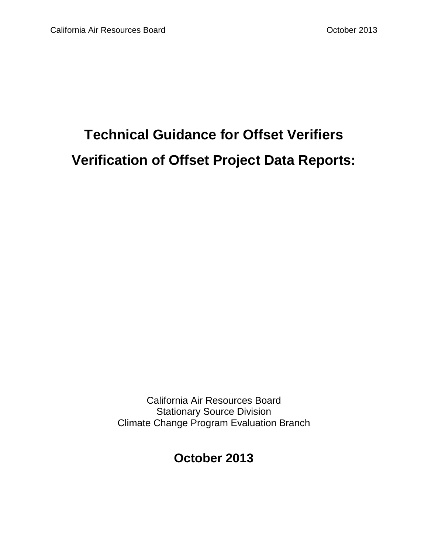# **Technical Guidance for Offset Verifiers Verification of Offset Project Data Reports:**

California Air Resources Board Stationary Source Division Climate Change Program Evaluation Branch

**October 2013**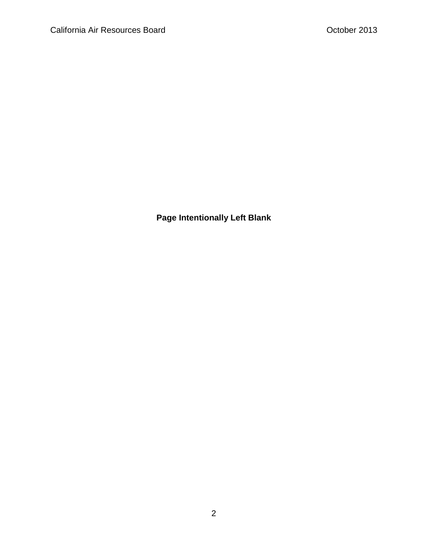**Page Intentionally Left Blank**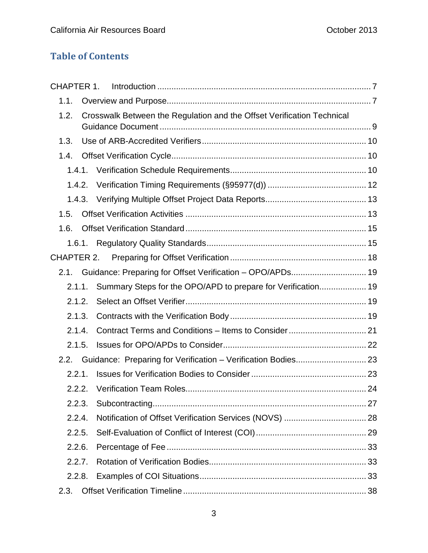# **Table of Contents**

| CHAPTER 1.        |                                                                        |  |
|-------------------|------------------------------------------------------------------------|--|
| 1.1.              |                                                                        |  |
| 1.2.              | Crosswalk Between the Regulation and the Offset Verification Technical |  |
| 1.3.              |                                                                        |  |
| 1.4.              |                                                                        |  |
| 1.4.1.            |                                                                        |  |
| 1.4.2.            |                                                                        |  |
| 1.4.3.            |                                                                        |  |
| 1.5.              |                                                                        |  |
| 1.6.              |                                                                        |  |
|                   |                                                                        |  |
| <b>CHAPTER 2.</b> |                                                                        |  |
| 2.1.              | Guidance: Preparing for Offset Verification - OPO/APDs 19              |  |
| 2.1.1.            | Summary Steps for the OPO/APD to prepare for Verification 19           |  |
| 2.1.2.            |                                                                        |  |
| 2.1.3.            |                                                                        |  |
| 2.1.4.            |                                                                        |  |
| 2.1.5.            |                                                                        |  |
| 2.2.              |                                                                        |  |
| 2.2.1.            |                                                                        |  |
| 2.2.2.            |                                                                        |  |
| 2.2.3.            |                                                                        |  |
| 2.2.4.            |                                                                        |  |
| 2.2.5.            |                                                                        |  |
| 2.2.6.            |                                                                        |  |
| 2.2.7.            |                                                                        |  |
| 2.2.8.            |                                                                        |  |
| 2.3.              |                                                                        |  |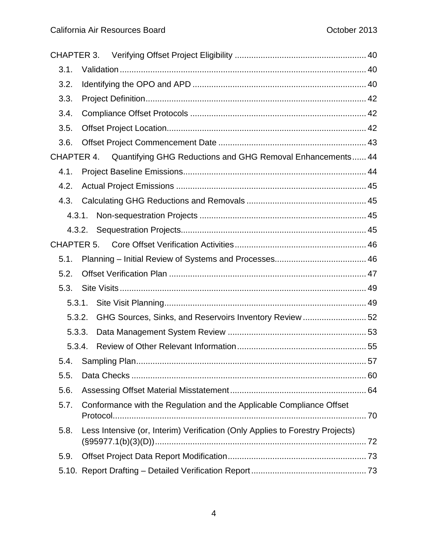| 3.1.       |  |                                                                               |  |  |  |
|------------|--|-------------------------------------------------------------------------------|--|--|--|
| 3.2.       |  |                                                                               |  |  |  |
| 3.3.       |  |                                                                               |  |  |  |
| 3.4.       |  |                                                                               |  |  |  |
| 3.5.       |  |                                                                               |  |  |  |
| 3.6.       |  |                                                                               |  |  |  |
| CHAPTER 4. |  | Quantifying GHG Reductions and GHG Removal Enhancements 44                    |  |  |  |
| 4.1.       |  |                                                                               |  |  |  |
| 4.2.       |  |                                                                               |  |  |  |
| 4.3.       |  |                                                                               |  |  |  |
| 4.3.1.     |  |                                                                               |  |  |  |
|            |  |                                                                               |  |  |  |
| CHAPTER 5. |  |                                                                               |  |  |  |
| 5.1.       |  |                                                                               |  |  |  |
| 5.2.       |  |                                                                               |  |  |  |
| 5.3.       |  |                                                                               |  |  |  |
| 5.3.1.     |  |                                                                               |  |  |  |
| 5.3.2.     |  | GHG Sources, Sinks, and Reservoirs Inventory Review  52                       |  |  |  |
| 5.3.3.     |  |                                                                               |  |  |  |
| 5.3.4.     |  |                                                                               |  |  |  |
|            |  |                                                                               |  |  |  |
| 5.5.       |  |                                                                               |  |  |  |
| 5.6.       |  |                                                                               |  |  |  |
| 5.7.       |  | Conformance with the Regulation and the Applicable Compliance Offset          |  |  |  |
| 5.8.       |  | Less Intensive (or, Interim) Verification (Only Applies to Forestry Projects) |  |  |  |
| 5.9.       |  |                                                                               |  |  |  |
|            |  |                                                                               |  |  |  |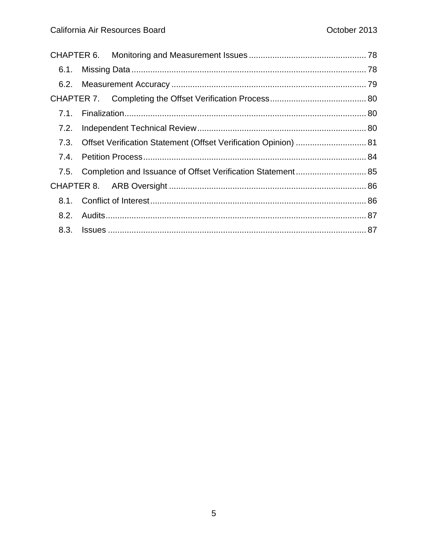|  | 7.3. Offset Verification Statement (Offset Verification Opinion)  81<br>7.5. Completion and Issuance of Offset Verification Statement 85 |
|--|------------------------------------------------------------------------------------------------------------------------------------------|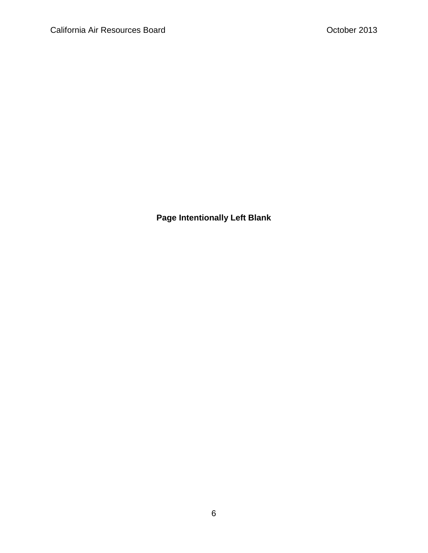**Page Intentionally Left Blank**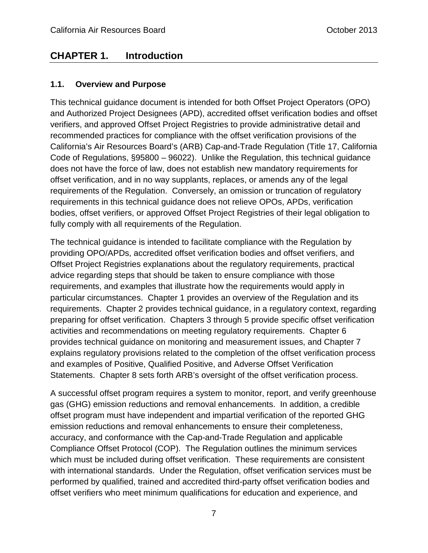# <span id="page-6-0"></span>**CHAPTER 1. Introduction**

#### <span id="page-6-1"></span>**1.1. Overview and Purpose**

This technical guidance document is intended for both Offset Project Operators (OPO) and Authorized Project Designees (APD), accredited offset verification bodies and offset verifiers, and approved Offset Project Registries to provide administrative detail and recommended practices for compliance with the offset verification provisions of the California's Air Resources Board's (ARB) Cap-and-Trade Regulation (Title 17, California Code of Regulations, §95800 – 96022). Unlike the Regulation, this technical guidance does not have the force of law, does not establish new mandatory requirements for offset verification, and in no way supplants, replaces, or amends any of the legal requirements of the Regulation. Conversely, an omission or truncation of regulatory requirements in this technical guidance does not relieve OPOs, APDs, verification bodies, offset verifiers, or approved Offset Project Registries of their legal obligation to fully comply with all requirements of the Regulation.

The technical guidance is intended to facilitate compliance with the Regulation by providing OPO/APDs, accredited offset verification bodies and offset verifiers, and Offset Project Registries explanations about the regulatory requirements, practical advice regarding steps that should be taken to ensure compliance with those requirements, and examples that illustrate how the requirements would apply in particular circumstances. Chapter 1 provides an overview of the Regulation and its requirements. Chapter 2 provides technical guidance, in a regulatory context, regarding preparing for offset verification. Chapters 3 through 5 provide specific offset verification activities and recommendations on meeting regulatory requirements. Chapter 6 provides technical guidance on monitoring and measurement issues, and Chapter 7 explains regulatory provisions related to the completion of the offset verification process and examples of Positive, Qualified Positive, and Adverse Offset Verification Statements. Chapter 8 sets forth ARB's oversight of the offset verification process.

<span id="page-6-2"></span>A successful offset program requires a system to monitor, report, and verify greenhouse gas (GHG) emission reductions and removal enhancements. In addition, a credible offset program must have independent and impartial verification of the reported GHG emission reductions and removal enhancements to ensure their completeness, accuracy, and conformance with the Cap-and-Trade Regulation and applicable Compliance Offset Protocol (COP). The Regulation outlines the minimum services which must be included during offset verification. These requirements are consistent with international standards. Under the Regulation, offset verification services must be performed by qualified, trained and accredited third-party offset verification bodies and offset verifiers who meet minimum qualifications for education and experience, and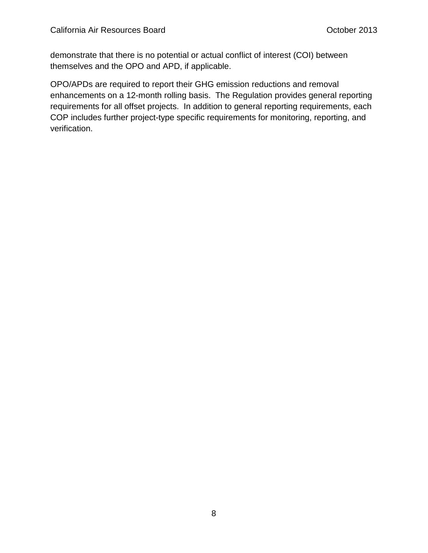demonstrate that there is no potential or actual conflict of interest (COI) between themselves and the OPO and APD, if applicable.

OPO/APDs are required to report their GHG emission reductions and removal enhancements on a 12-month rolling basis. The Regulation provides general reporting requirements for all offset projects. In addition to general reporting requirements, each COP includes further project-type specific requirements for monitoring, reporting, and verification.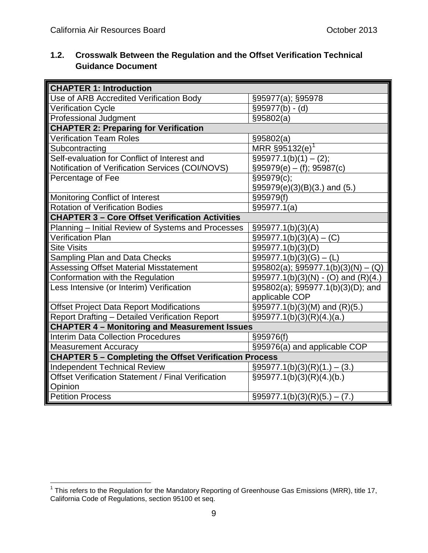# <span id="page-8-0"></span>**1.2. Crosswalk Between the Regulation and the Offset Verification Technical Guidance Document**

| <b>CHAPTER 1: Introduction</b>                                       |                                           |  |  |  |  |
|----------------------------------------------------------------------|-------------------------------------------|--|--|--|--|
| Use of ARB Accredited Verification Body                              | §95977(a); §95978                         |  |  |  |  |
| <b>Verification Cycle</b>                                            | $§95977(b) - (d)$                         |  |  |  |  |
| <b>Professional Judgment</b>                                         | §95802(a)                                 |  |  |  |  |
| <b>CHAPTER 2: Preparing for Verification</b>                         |                                           |  |  |  |  |
| <b>Verification Team Roles</b>                                       | §95802(a)                                 |  |  |  |  |
| Subcontracting                                                       | MRR §95132(e) <sup>1</sup>                |  |  |  |  |
| Self-evaluation for Conflict of Interest and                         | $\sqrt{\frac{1}{995977}}$ .1(b)(1) – (2); |  |  |  |  |
| Notification of Verification Services (COI/NOVS)                     | $\S 95979(e) - (f); 95987(c)$             |  |  |  |  |
| Percentage of Fee                                                    | §95979(c);                                |  |  |  |  |
|                                                                      | $\S95979(e)(3)(B)(3.)$ and (5.)           |  |  |  |  |
| <b>Monitoring Conflict of Interest</b>                               | §95979(f)                                 |  |  |  |  |
| <b>Rotation of Verification Bodies</b>                               | §95977.1(a)                               |  |  |  |  |
| <b>CHAPTER 3 - Core Offset Verification Activities</b>               |                                           |  |  |  |  |
| Planning - Initial Review of Systems and Processes                   | $\S 95977.1(b)(3)(A)$                     |  |  |  |  |
| <b>Verification Plan</b>                                             | $\S$ 95977.1(b)(3)(A) – (C)               |  |  |  |  |
| <b>Site Visits</b>                                                   | $\S 95977.1(b)(3)(D)$                     |  |  |  |  |
| Sampling Plan and Data Checks                                        | $\S$ 95977.1(b)(3)(G) – (L)               |  |  |  |  |
| <b>Assessing Offset Material Misstatement</b>                        | $\S95802(a)$ ; $\S95977.1(b)(3)(N) - (Q)$ |  |  |  |  |
| Conformation with the Regulation                                     | §95977.1(b)(3)(N) - (O) and (R)(4.)       |  |  |  |  |
| Less Intensive (or Interim) Verification                             | §95802(a); §95977.1(b)(3)(D); and         |  |  |  |  |
|                                                                      | applicable COP                            |  |  |  |  |
| <b>Offset Project Data Report Modifications</b>                      | §95977.1(b)(3)(M) and (R)(5.)             |  |  |  |  |
| <b>Report Drafting - Detailed Verification Report</b>                | $\S 95977.1(b)(3)(R)(4.(a))$              |  |  |  |  |
| <b>CHAPTER 4 - Monitoring and Measurement Issues</b>                 |                                           |  |  |  |  |
| <b>Interim Data Collection Procedures</b>                            | §95976(f)                                 |  |  |  |  |
| <b>Measurement Accuracy</b>                                          | §95976(a) and applicable COP              |  |  |  |  |
| <b>CHAPTER 5 - Completing the Offset Verification Process</b>        |                                           |  |  |  |  |
| <b>Independent Technical Review</b>                                  | $\S 95977.1(b)(3)(R)(1.) - (3.)$          |  |  |  |  |
| <b>Offset Verification Statement / Final Verification</b><br>Opinion | $\S$ 95977.1(b)(3)(R)(4.)(b.)             |  |  |  |  |
| <b>Petition Process</b>                                              | $\S$ 95977.1(b)(3)(R)(5.) – (7.)          |  |  |  |  |

<span id="page-8-1"></span> $1$  This refers to the Regulation for the Mandatory Reporting of Greenhouse Gas Emissions (MRR), title 17, California Code of Regulations, section 95100 et seq.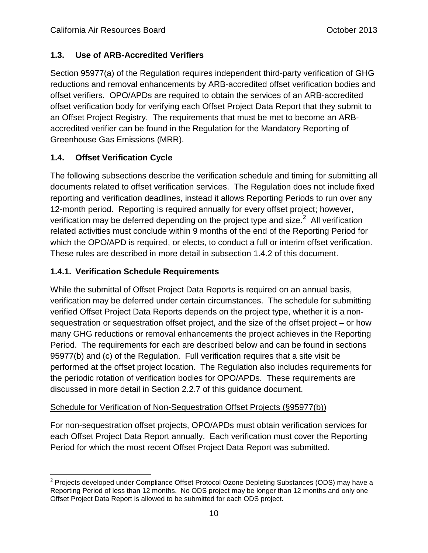# <span id="page-9-0"></span>**1.3. Use of ARB-Accredited Verifiers**

Section 95977(a) of the Regulation requires independent third-party verification of GHG reductions and removal enhancements by ARB-accredited offset verification bodies and offset verifiers. OPO/APDs are required to obtain the services of an ARB-accredited offset verification body for verifying each Offset Project Data Report that they submit to an Offset Project Registry. The requirements that must be met to become an ARBaccredited verifier can be found in the Regulation for the Mandatory Reporting of Greenhouse Gas Emissions (MRR).

# <span id="page-9-1"></span>**1.4. Offset Verification Cycle**

The following subsections describe the verification schedule and timing for submitting all documents related to offset verification services. The Regulation does not include fixed reporting and verification deadlines, instead it allows Reporting Periods to run over any 12-month period. Reporting is required annually for every offset project; however, verification may be deferred depending on the project type and size.<sup>[2](#page-8-1)</sup> All verification related activities must conclude within 9 months of the end of the Reporting Period for which the OPO/APD is required, or elects, to conduct a full or interim offset verification. These rules are described in more detail in subsection 1.4.2 of this document.

#### <span id="page-9-2"></span>**1.4.1. Verification Schedule Requirements**

While the submittal of Offset Project Data Reports is required on an annual basis, verification may be deferred under certain circumstances. The schedule for submitting verified Offset Project Data Reports depends on the project type, whether it is a nonsequestration or sequestration offset project, and the size of the offset project – or how many GHG reductions or removal enhancements the project achieves in the Reporting Period. The requirements for each are described below and can be found in sections 95977(b) and (c) of the Regulation. Full verification requires that a site visit be performed at the offset project location. The Regulation also includes requirements for the periodic rotation of verification bodies for OPO/APDs. These requirements are discussed in more detail in Section 2.2.7 of this guidance document.

#### Schedule for Verification of Non-Sequestration Offset Projects (§95977(b))

For non-sequestration offset projects, OPO/APDs must obtain verification services for each Offset Project Data Report annually. Each verification must cover the Reporting Period for which the most recent Offset Project Data Report was submitted.

<span id="page-9-3"></span> $2$  Projects developed under Compliance Offset Protocol Ozone Depleting Substances (ODS) may have a Reporting Period of less than 12 months. No ODS project may be longer than 12 months and only one Offset Project Data Report is allowed to be submitted for each ODS project.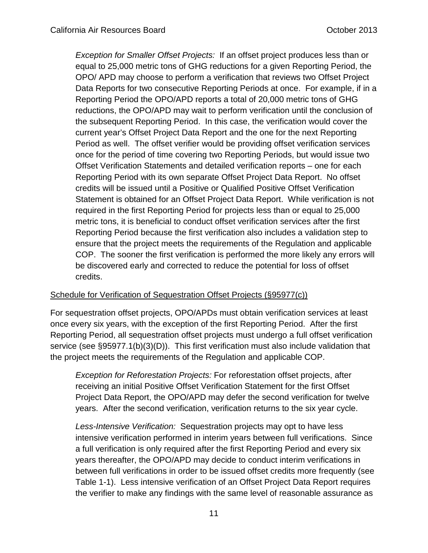*Exception for Smaller Offset Projects:* If an offset project produces less than or equal to 25,000 metric tons of GHG reductions for a given Reporting Period, the OPO/ APD may choose to perform a verification that reviews two Offset Project Data Reports for two consecutive Reporting Periods at once. For example, if in a Reporting Period the OPO/APD reports a total of 20,000 metric tons of GHG reductions, the OPO/APD may wait to perform verification until the conclusion of the subsequent Reporting Period. In this case, the verification would cover the current year's Offset Project Data Report and the one for the next Reporting Period as well. The offset verifier would be providing offset verification services once for the period of time covering two Reporting Periods, but would issue two Offset Verification Statements and detailed verification reports – one for each Reporting Period with its own separate Offset Project Data Report. No offset credits will be issued until a Positive or Qualified Positive Offset Verification Statement is obtained for an Offset Project Data Report. While verification is not required in the first Reporting Period for projects less than or equal to 25,000 metric tons, it is beneficial to conduct offset verification services after the first Reporting Period because the first verification also includes a validation step to ensure that the project meets the requirements of the Regulation and applicable COP. The sooner the first verification is performed the more likely any errors will be discovered early and corrected to reduce the potential for loss of offset credits.

#### Schedule for Verification of Sequestration Offset Projects (§95977(c))

For sequestration offset projects, OPO/APDs must obtain verification services at least once every six years, with the exception of the first Reporting Period. After the first Reporting Period, all sequestration offset projects must undergo a full offset verification service (see §95977.1(b)(3)(D)). This first verification must also include validation that the project meets the requirements of the Regulation and applicable COP.

*Exception for Reforestation Projects:* For reforestation offset projects, after receiving an initial Positive Offset Verification Statement for the first Offset Project Data Report, the OPO/APD may defer the second verification for twelve years. After the second verification, verification returns to the six year cycle.

*Less-Intensive Verification:* Sequestration projects may opt to have less intensive verification performed in interim years between full verifications. Since a full verification is only required after the first Reporting Period and every six years thereafter, the OPO/APD may decide to conduct interim verifications in between full verifications in order to be issued offset credits more frequently (see [Table 1-1\)](#page-11-1). Less intensive verification of an Offset Project Data Report requires the verifier to make any findings with the same level of reasonable assurance as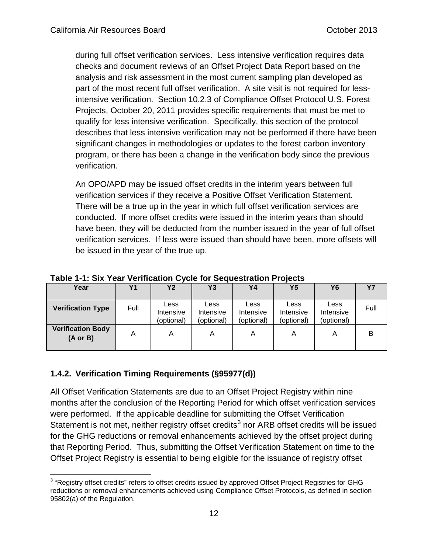during full offset verification services. Less intensive verification requires data checks and document reviews of an Offset Project Data Report based on the analysis and risk assessment in the most current sampling plan developed as part of the most recent full offset verification. A site visit is not required for lessintensive verification. Section 10.2.3 of Compliance Offset Protocol U.S. Forest Projects, October 20, 2011 provides specific requirements that must be met to qualify for less intensive verification. Specifically, this section of the protocol describes that less intensive verification may not be performed if there have been significant changes in methodologies or updates to the forest carbon inventory program, or there has been a change in the verification body since the previous verification.

An OPO/APD may be issued offset credits in the interim years between full verification services if they receive a Positive Offset Verification Statement. There will be a true up in the year in which full offset verification services are conducted. If more offset credits were issued in the interim years than should have been, they will be deducted from the number issued in the year of full offset verification services. If less were issued than should have been, more offsets will be issued in the year of the true up.

| Year                                            | <b>Y1</b> | Y2                              | Y3                              | Y4                              | Y <sub>5</sub>                  | Y6                              | V <sub>7</sub> |
|-------------------------------------------------|-----------|---------------------------------|---------------------------------|---------------------------------|---------------------------------|---------------------------------|----------------|
| <b>Verification Type</b>                        | Full      | Less<br>Intensive<br>(optional) | Less<br>Intensive<br>(optional) | Less<br>Intensive<br>(optional) | Less<br>Intensive<br>(optional) | Less<br>Intensive<br>(optional) | Full           |
| <b>Verification Body</b><br>$(A \text{ or } B)$ | A         | Α                               | Α                               | Α                               | A                               |                                 | в              |

<span id="page-11-1"></span>**Table 1-1: Six Year Verification Cycle for Sequestration Projects**

# <span id="page-11-0"></span>**1.4.2. Verification Timing Requirements (§95977(d))**

All Offset Verification Statements are due to an Offset Project Registry within nine months after the conclusion of the Reporting Period for which offset verification services were performed. If the applicable deadline for submitting the Offset Verification Statement is not met, neither registry offset credits<sup>[3](#page-9-3)</sup> nor ARB offset credits will be issued for the GHG reductions or removal enhancements achieved by the offset project during that Reporting Period. Thus, submitting the Offset Verification Statement on time to the Offset Project Registry is essential to being eligible for the issuance of registry offset

<span id="page-11-2"></span><sup>&</sup>lt;sup>3</sup> "Registry offset credits" refers to offset credits issued by approved Offset Project Registries for GHG reductions or removal enhancements achieved using Compliance Offset Protocols, as defined in section 95802(a) of the Regulation.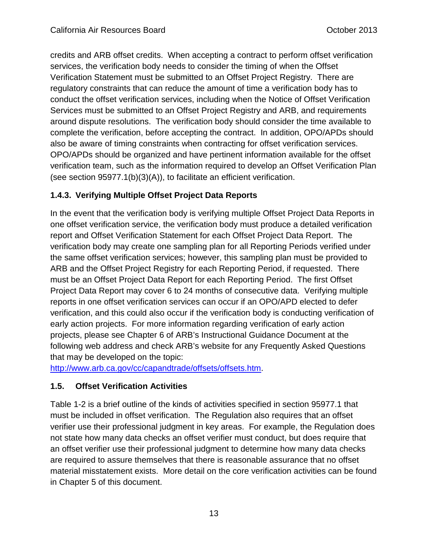credits and ARB offset credits. When accepting a contract to perform offset verification services, the verification body needs to consider the timing of when the Offset Verification Statement must be submitted to an Offset Project Registry. There are regulatory constraints that can reduce the amount of time a verification body has to conduct the offset verification services, including when the Notice of Offset Verification Services must be submitted to an Offset Project Registry and ARB, and requirements around dispute resolutions. The verification body should consider the time available to complete the verification, before accepting the contract. In addition, OPO/APDs should also be aware of timing constraints when contracting for offset verification services. OPO/APDs should be organized and have pertinent information available for the offset verification team, such as the information required to develop an Offset Verification Plan (see section 95977.1(b)(3)(A)), to facilitate an efficient verification.

#### <span id="page-12-0"></span>**1.4.3. Verifying Multiple Offset Project Data Reports**

In the event that the verification body is verifying multiple Offset Project Data Reports in one offset verification service, the verification body must produce a detailed verification report and Offset Verification Statement for each Offset Project Data Report. The verification body may create one sampling plan for all Reporting Periods verified under the same offset verification services; however, this sampling plan must be provided to ARB and the Offset Project Registry for each Reporting Period, if requested. There must be an Offset Project Data Report for each Reporting Period. The first Offset Project Data Report may cover 6 to 24 months of consecutive data. Verifying multiple reports in one offset verification services can occur if an OPO/APD elected to defer verification, and this could also occur if the verification body is conducting verification of early action projects. For more information regarding verification of early action projects, please see Chapter 6 of ARB's Instructional Guidance Document at the following web address and check ARB's website for any Frequently Asked Questions that may be developed on the topic:

[http://www.arb.ca.gov/cc/capandtrade/offsets/offsets.htm.](http://www.arb.ca.gov/cc/capandtrade/offsets/offsets.htm)

#### <span id="page-12-1"></span>**1.5. Offset Verification Activities**

Table 1-2 is a brief outline of the kinds of activities specified in section 95977.1 that must be included in offset verification. The Regulation also requires that an offset verifier use their professional judgment in key areas. For example, the Regulation does not state how many data checks an offset verifier must conduct, but does require that an offset verifier use their professional judgment to determine how many data checks are required to assure themselves that there is reasonable assurance that no offset material misstatement exists. More detail on the core verification activities can be found in Chapter 5 of this document.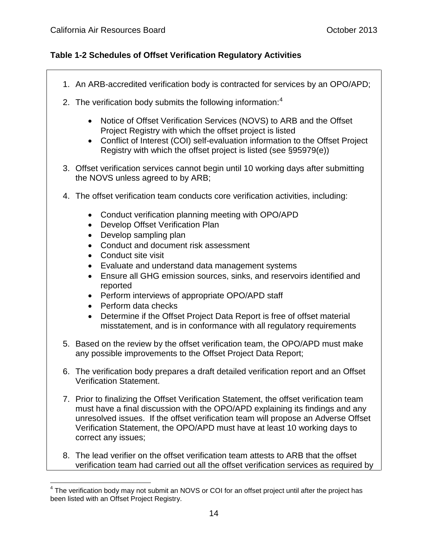#### **Table 1-2 Schedules of Offset Verification Regulatory Activities**

- 1. An ARB-accredited verification body is contracted for services by an OPO/APD;
- 2. The verification body submits the following information: $<sup>4</sup>$  $<sup>4</sup>$  $<sup>4</sup>$ </sup>
	- Notice of Offset Verification Services (NOVS) to ARB and the Offset Project Registry with which the offset project is listed
	- Conflict of Interest (COI) self-evaluation information to the Offset Project Registry with which the offset project is listed (see §95979(e))
- 3. Offset verification services cannot begin until 10 working days after submitting the NOVS unless agreed to by ARB;
- 4. The offset verification team conducts core verification activities, including:
	- Conduct verification planning meeting with OPO/APD
	- Develop Offset Verification Plan
	- Develop sampling plan
	- Conduct and document risk assessment
	- Conduct site visit
	- Evaluate and understand data management systems
	- Ensure all GHG emission sources, sinks, and reservoirs identified and reported
	- Perform interviews of appropriate OPO/APD staff
	- Perform data checks
	- Determine if the Offset Project Data Report is free of offset material misstatement, and is in conformance with all regulatory requirements
- 5. Based on the review by the offset verification team, the OPO/APD must make any possible improvements to the Offset Project Data Report;
- 6. The verification body prepares a draft detailed verification report and an Offset Verification Statement.
- 7. Prior to finalizing the Offset Verification Statement, the offset verification team must have a final discussion with the OPO/APD explaining its findings and any unresolved issues. If the offset verification team will propose an Adverse Offset Verification Statement, the OPO/APD must have at least 10 working days to correct any issues;
- 8. The lead verifier on the offset verification team attests to ARB that the offset verification team had carried out all the offset verification services as required by

<span id="page-13-0"></span><sup>&</sup>lt;sup>4</sup> The verification body may not submit an NOVS or COI for an offset project until after the project has been listed with an Offset Project Registry.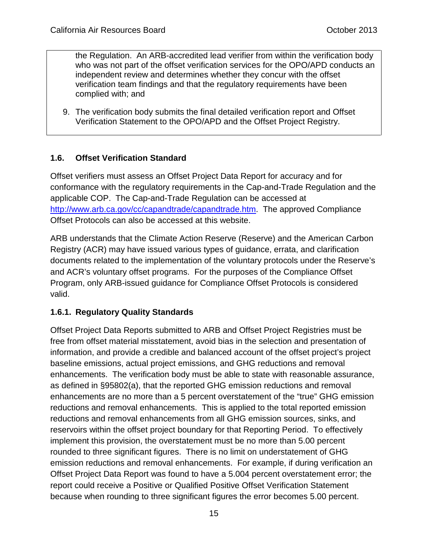the Regulation. An ARB-accredited lead verifier from within the verification body who was not part of the offset verification services for the OPO/APD conducts an independent review and determines whether they concur with the offset verification team findings and that the regulatory requirements have been complied with; and

9. The verification body submits the final detailed verification report and Offset Verification Statement to the OPO/APD and the Offset Project Registry.

#### <span id="page-14-0"></span>**1.6. Offset Verification Standard**

Offset verifiers must assess an Offset Project Data Report for accuracy and for conformance with the regulatory requirements in the Cap-and-Trade Regulation and the applicable COP. The Cap-and-Trade Regulation can be accessed at [http://www.arb.ca.gov/cc/capandtrade/capandtrade.htm.](http://www.arb.ca.gov/cc/capandtrade/capandtrade.htm) The approved Compliance Offset Protocols can also be accessed at this website.

ARB understands that the Climate Action Reserve (Reserve) and the American Carbon Registry (ACR) may have issued various types of guidance, errata, and clarification documents related to the implementation of the voluntary protocols under the Reserve's and ACR's voluntary offset programs. For the purposes of the Compliance Offset Program, only ARB-issued guidance for Compliance Offset Protocols is considered valid.

#### <span id="page-14-1"></span>**1.6.1. Regulatory Quality Standards**

Offset Project Data Reports submitted to ARB and Offset Project Registries must be free from offset material misstatement, avoid bias in the selection and presentation of information, and provide a credible and balanced account of the offset project's project baseline emissions, actual project emissions, and GHG reductions and removal enhancements. The verification body must be able to state with reasonable assurance, as defined in §95802(a), that the reported GHG emission reductions and removal enhancements are no more than a 5 percent overstatement of the "true" GHG emission reductions and removal enhancements. This is applied to the total reported emission reductions and removal enhancements from all GHG emission sources, sinks, and reservoirs within the offset project boundary for that Reporting Period. To effectively implement this provision, the overstatement must be no more than 5.00 percent rounded to three significant figures. There is no limit on understatement of GHG emission reductions and removal enhancements. For example, if during verification an Offset Project Data Report was found to have a 5.004 percent overstatement error; the report could receive a Positive or Qualified Positive Offset Verification Statement because when rounding to three significant figures the error becomes 5.00 percent.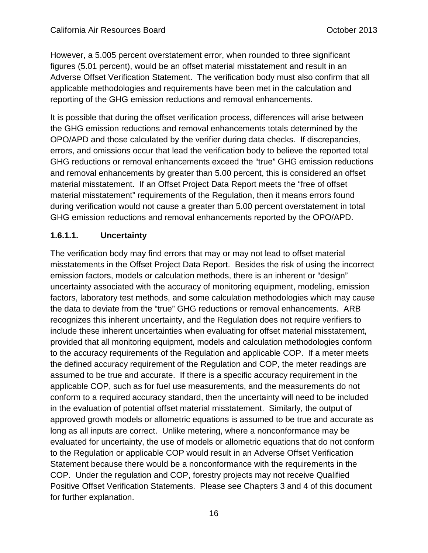However, a 5.005 percent overstatement error, when rounded to three significant figures (5.01 percent), would be an offset material misstatement and result in an Adverse Offset Verification Statement. The verification body must also confirm that all applicable methodologies and requirements have been met in the calculation and reporting of the GHG emission reductions and removal enhancements.

It is possible that during the offset verification process, differences will arise between the GHG emission reductions and removal enhancements totals determined by the OPO/APD and those calculated by the verifier during data checks. If discrepancies, errors, and omissions occur that lead the verification body to believe the reported total GHG reductions or removal enhancements exceed the "true" GHG emission reductions and removal enhancements by greater than 5.00 percent, this is considered an offset material misstatement. If an Offset Project Data Report meets the "free of offset material misstatement" requirements of the Regulation, then it means errors found during verification would not cause a greater than 5.00 percent overstatement in total GHG emission reductions and removal enhancements reported by the OPO/APD.

# **1.6.1.1. Uncertainty**

The verification body may find errors that may or may not lead to offset material misstatements in the Offset Project Data Report. Besides the risk of using the incorrect emission factors, models or calculation methods, there is an inherent or "design" uncertainty associated with the accuracy of monitoring equipment, modeling, emission factors, laboratory test methods, and some calculation methodologies which may cause the data to deviate from the "true" GHG reductions or removal enhancements. ARB recognizes this inherent uncertainty, and the Regulation does not require verifiers to include these inherent uncertainties when evaluating for offset material misstatement, provided that all monitoring equipment, models and calculation methodologies conform to the accuracy requirements of the Regulation and applicable COP. If a meter meets the defined accuracy requirement of the Regulation and COP, the meter readings are assumed to be true and accurate. If there is a specific accuracy requirement in the applicable COP, such as for fuel use measurements, and the measurements do not conform to a required accuracy standard, then the uncertainty will need to be included in the evaluation of potential offset material misstatement. Similarly, the output of approved growth models or allometric equations is assumed to be true and accurate as long as all inputs are correct. Unlike metering, where a nonconformance may be evaluated for uncertainty, the use of models or allometric equations that do not conform to the Regulation or applicable COP would result in an Adverse Offset Verification Statement because there would be a nonconformance with the requirements in the COP. Under the regulation and COP, forestry projects may not receive Qualified Positive Offset Verification Statements. Please see Chapters 3 and 4 of this document for further explanation.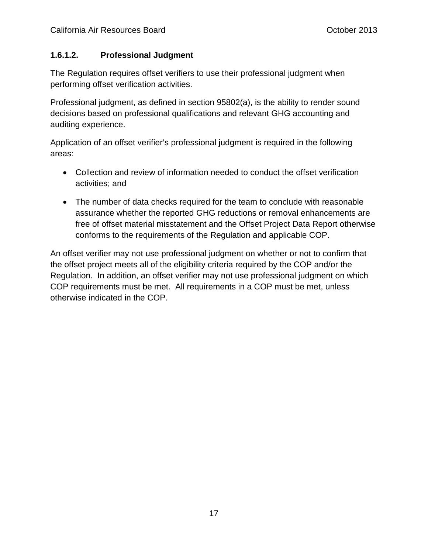#### **1.6.1.2. Professional Judgment**

The Regulation requires offset verifiers to use their professional judgment when performing offset verification activities.

Professional judgment, as defined in section 95802(a), is the ability to render sound decisions based on professional qualifications and relevant GHG accounting and auditing experience.

Application of an offset verifier's professional judgment is required in the following areas:

- Collection and review of information needed to conduct the offset verification activities; and
- The number of data checks required for the team to conclude with reasonable assurance whether the reported GHG reductions or removal enhancements are free of offset material misstatement and the Offset Project Data Report otherwise conforms to the requirements of the Regulation and applicable COP.

An offset verifier may not use professional judgment on whether or not to confirm that the offset project meets all of the eligibility criteria required by the COP and/or the Regulation. In addition, an offset verifier may not use professional judgment on which COP requirements must be met. All requirements in a COP must be met, unless otherwise indicated in the COP.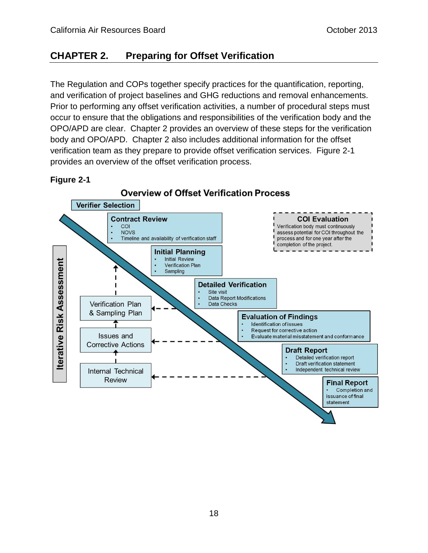# <span id="page-17-0"></span>**CHAPTER 2. Preparing for Offset Verification**

The Regulation and COPs together specify practices for the quantification, reporting, and verification of project baselines and GHG reductions and removal enhancements. Prior to performing any offset verification activities, a number of procedural steps must occur to ensure that the obligations and responsibilities of the verification body and the OPO/APD are clear. Chapter 2 provides an overview of these steps for the verification body and OPO/APD. Chapter 2 also includes additional information for the offset verification team as they prepare to provide offset verification services. [Figure 2-1](#page-17-1) provides an overview of the offset verification process.

# <span id="page-17-1"></span>**Figure 2-1**

**Overview of Offset Verification Process** 

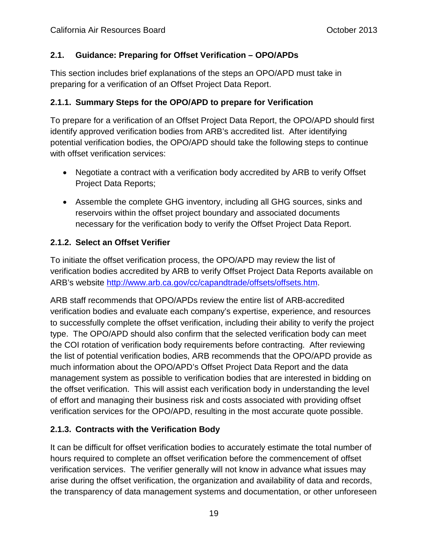#### <span id="page-18-0"></span>**2.1. Guidance: Preparing for Offset Verification – OPO/APDs**

This section includes brief explanations of the steps an OPO/APD must take in preparing for a verification of an Offset Project Data Report.

#### <span id="page-18-1"></span>**2.1.1. Summary Steps for the OPO/APD to prepare for Verification**

To prepare for a verification of an Offset Project Data Report, the OPO/APD should first identify approved verification bodies from ARB's accredited list. After identifying potential verification bodies, the OPO/APD should take the following steps to continue with offset verification services:

- Negotiate a contract with a verification body accredited by ARB to verify Offset Project Data Reports;
- Assemble the complete GHG inventory, including all GHG sources, sinks and reservoirs within the offset project boundary and associated documents necessary for the verification body to verify the Offset Project Data Report.

#### <span id="page-18-2"></span>**2.1.2. Select an Offset Verifier**

To initiate the offset verification process, the OPO/APD may review the list of verification bodies accredited by ARB to verify Offset Project Data Reports available on ARB's website [http://www.arb.ca.gov/cc/capandtrade/offsets/offsets.htm.](http://www.arb.ca.gov/cc/capandtrade/offsets/offsets.htm)

ARB staff recommends that OPO/APDs review the entire list of ARB-accredited verification bodies and evaluate each company's expertise, experience, and resources to successfully complete the offset verification, including their ability to verify the project type. The OPO/APD should also confirm that the selected verification body can meet the COI rotation of verification body requirements before contracting. After reviewing the list of potential verification bodies, ARB recommends that the OPO/APD provide as much information about the OPO/APD's Offset Project Data Report and the data management system as possible to verification bodies that are interested in bidding on the offset verification. This will assist each verification body in understanding the level of effort and managing their business risk and costs associated with providing offset verification services for the OPO/APD, resulting in the most accurate quote possible.

# <span id="page-18-3"></span>**2.1.3. Contracts with the Verification Body**

It can be difficult for offset verification bodies to accurately estimate the total number of hours required to complete an offset verification before the commencement of offset verification services. The verifier generally will not know in advance what issues may arise during the offset verification, the organization and availability of data and records, the transparency of data management systems and documentation, or other unforeseen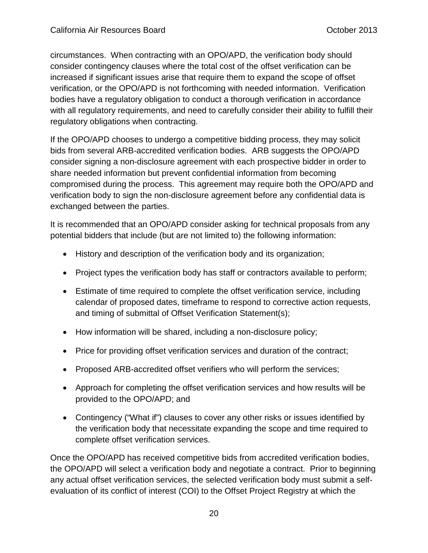circumstances. When contracting with an OPO/APD, the verification body should consider contingency clauses where the total cost of the offset verification can be increased if significant issues arise that require them to expand the scope of offset verification, or the OPO/APD is not forthcoming with needed information. Verification bodies have a regulatory obligation to conduct a thorough verification in accordance with all regulatory requirements, and need to carefully consider their ability to fulfill their regulatory obligations when contracting.

If the OPO/APD chooses to undergo a competitive bidding process, they may solicit bids from several ARB-accredited verification bodies. ARB suggests the OPO/APD consider signing a non-disclosure agreement with each prospective bidder in order to share needed information but prevent confidential information from becoming compromised during the process. This agreement may require both the OPO/APD and verification body to sign the non-disclosure agreement before any confidential data is exchanged between the parties.

It is recommended that an OPO/APD consider asking for technical proposals from any potential bidders that include (but are not limited to) the following information:

- History and description of the verification body and its organization;
- Project types the verification body has staff or contractors available to perform;
- Estimate of time required to complete the offset verification service, including calendar of proposed dates, timeframe to respond to corrective action requests, and timing of submittal of Offset Verification Statement(s);
- How information will be shared, including a non-disclosure policy;
- Price for providing offset verification services and duration of the contract;
- Proposed ARB-accredited offset verifiers who will perform the services;
- Approach for completing the offset verification services and how results will be provided to the OPO/APD; and
- Contingency ("What if") clauses to cover any other risks or issues identified by the verification body that necessitate expanding the scope and time required to complete offset verification services.

Once the OPO/APD has received competitive bids from accredited verification bodies, the OPO/APD will select a verification body and negotiate a contract. Prior to beginning any actual offset verification services, the selected verification body must submit a selfevaluation of its conflict of interest (COI) to the Offset Project Registry at which the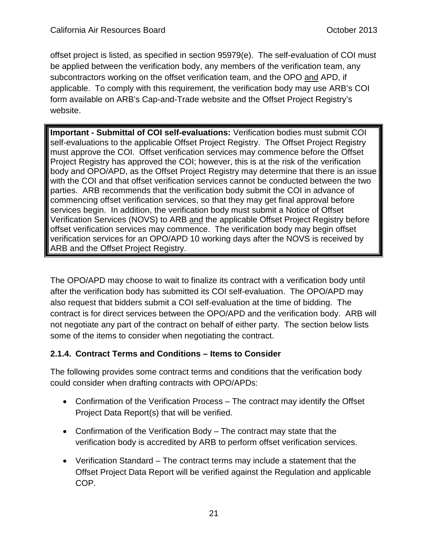offset project is listed, as specified in section 95979(e). The self-evaluation of COI must be applied between the verification body, any members of the verification team, any subcontractors working on the offset verification team, and the OPO and APD, if applicable. To comply with this requirement, the verification body may use ARB's COI form available on ARB's Cap-and-Trade website and the Offset Project Registry's website.

**Important - Submittal of COI self-evaluations:** Verification bodies must submit COI self-evaluations to the applicable Offset Project Registry. The Offset Project Registry must approve the COI. Offset verification services may commence before the Offset Project Registry has approved the COI; however, this is at the risk of the verification body and OPO/APD, as the Offset Project Registry may determine that there is an issue with the COI and that offset verification services cannot be conducted between the two parties. ARB recommends that the verification body submit the COI in advance of commencing offset verification services, so that they may get final approval before services begin. In addition, the verification body must submit a Notice of Offset Verification Services (NOVS) to ARB and the applicable Offset Project Registry before offset verification services may commence. The verification body may begin offset verification services for an OPO/APD 10 working days after the NOVS is received by ARB and the Offset Project Registry.

The OPO/APD may choose to wait to finalize its contract with a verification body until after the verification body has submitted its COI self-evaluation. The OPO/APD may also request that bidders submit a COI self-evaluation at the time of bidding. The contract is for direct services between the OPO/APD and the verification body. ARB will not negotiate any part of the contract on behalf of either party. The section below lists some of the items to consider when negotiating the contract.

# <span id="page-20-0"></span>**2.1.4. Contract Terms and Conditions – Items to Consider**

The following provides some contract terms and conditions that the verification body could consider when drafting contracts with OPO/APDs:

- Confirmation of the Verification Process The contract may identify the Offset Project Data Report(s) that will be verified.
- Confirmation of the Verification Body The contract may state that the verification body is accredited by ARB to perform offset verification services.
- Verification Standard The contract terms may include a statement that the Offset Project Data Report will be verified against the Regulation and applicable COP.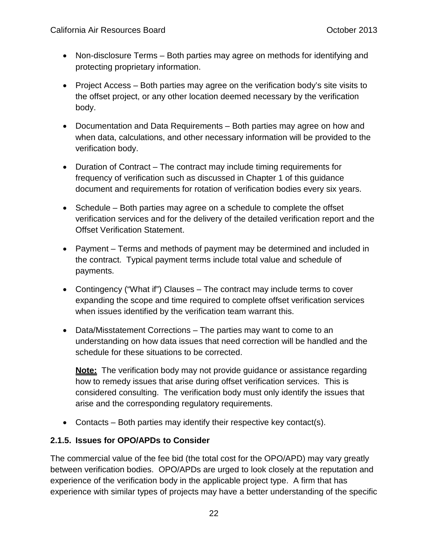- Non-disclosure Terms Both parties may agree on methods for identifying and protecting proprietary information.
- Project Access Both parties may agree on the verification body's site visits to the offset project, or any other location deemed necessary by the verification body.
- Documentation and Data Requirements Both parties may agree on how and when data, calculations, and other necessary information will be provided to the verification body.
- Duration of Contract The contract may include timing requirements for frequency of verification such as discussed in Chapter 1 of this guidance document and requirements for rotation of verification bodies every six years.
- Schedule Both parties may agree on a schedule to complete the offset verification services and for the delivery of the detailed verification report and the Offset Verification Statement.
- Payment Terms and methods of payment may be determined and included in the contract. Typical payment terms include total value and schedule of payments.
- Contingency ("What if") Clauses The contract may include terms to cover expanding the scope and time required to complete offset verification services when issues identified by the verification team warrant this.
- Data/Misstatement Corrections The parties may want to come to an understanding on how data issues that need correction will be handled and the schedule for these situations to be corrected.

**Note:** The verification body may not provide guidance or assistance regarding how to remedy issues that arise during offset verification services. This is considered consulting. The verification body must only identify the issues that arise and the corresponding regulatory requirements.

• Contacts – Both parties may identify their respective key contact(s).

#### <span id="page-21-0"></span>**2.1.5. Issues for OPO/APDs to Consider**

The commercial value of the fee bid (the total cost for the OPO/APD) may vary greatly between verification bodies. OPO/APDs are urged to look closely at the reputation and experience of the verification body in the applicable project type. A firm that has experience with similar types of projects may have a better understanding of the specific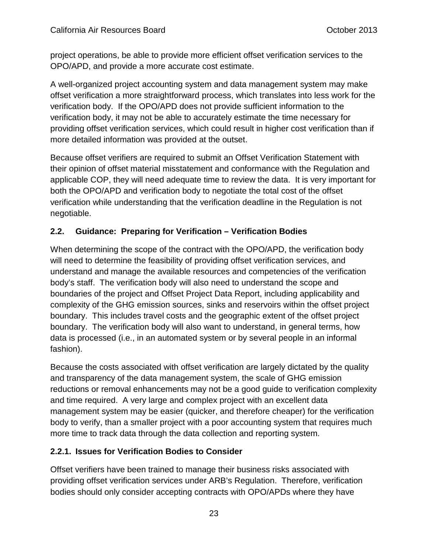project operations, be able to provide more efficient offset verification services to the OPO/APD, and provide a more accurate cost estimate.

A well-organized project accounting system and data management system may make offset verification a more straightforward process, which translates into less work for the verification body. If the OPO/APD does not provide sufficient information to the verification body, it may not be able to accurately estimate the time necessary for providing offset verification services, which could result in higher cost verification than if more detailed information was provided at the outset.

Because offset verifiers are required to submit an Offset Verification Statement with their opinion of offset material misstatement and conformance with the Regulation and applicable COP, they will need adequate time to review the data. It is very important for both the OPO/APD and verification body to negotiate the total cost of the offset verification while understanding that the verification deadline in the Regulation is not negotiable.

# <span id="page-22-0"></span>**2.2. Guidance: Preparing for Verification – Verification Bodies**

When determining the scope of the contract with the OPO/APD, the verification body will need to determine the feasibility of providing offset verification services, and understand and manage the available resources and competencies of the verification body's staff. The verification body will also need to understand the scope and boundaries of the project and Offset Project Data Report, including applicability and complexity of the GHG emission sources, sinks and reservoirs within the offset project boundary. This includes travel costs and the geographic extent of the offset project boundary. The verification body will also want to understand, in general terms, how data is processed (i.e., in an automated system or by several people in an informal fashion).

Because the costs associated with offset verification are largely dictated by the quality and transparency of the data management system, the scale of GHG emission reductions or removal enhancements may not be a good guide to verification complexity and time required. A very large and complex project with an excellent data management system may be easier (quicker, and therefore cheaper) for the verification body to verify, than a smaller project with a poor accounting system that requires much more time to track data through the data collection and reporting system.

# <span id="page-22-1"></span>**2.2.1. Issues for Verification Bodies to Consider**

Offset verifiers have been trained to manage their business risks associated with providing offset verification services under ARB's Regulation. Therefore, verification bodies should only consider accepting contracts with OPO/APDs where they have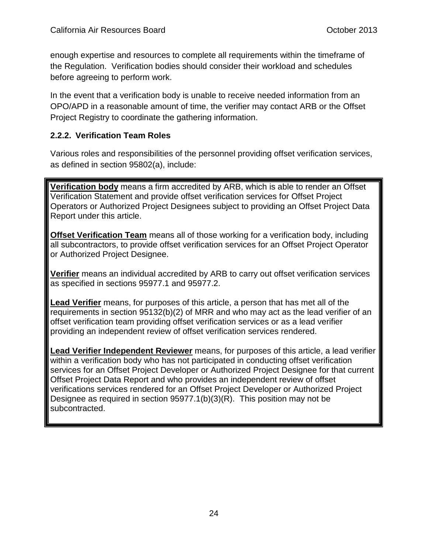enough expertise and resources to complete all requirements within the timeframe of the Regulation. Verification bodies should consider their workload and schedules before agreeing to perform work.

In the event that a verification body is unable to receive needed information from an OPO/APD in a reasonable amount of time, the verifier may contact ARB or the Offset Project Registry to coordinate the gathering information.

#### <span id="page-23-0"></span>**2.2.2. Verification Team Roles**

Various roles and responsibilities of the personnel providing offset verification services, as defined in section 95802(a), include:

**Verification body** means a firm accredited by ARB, which is able to render an Offset Verification Statement and provide offset verification services for Offset Project Operators or Authorized Project Designees subject to providing an Offset Project Data Report under this article.

**Offset Verification Team** means all of those working for a verification body, including all subcontractors, to provide offset verification services for an Offset Project Operator or Authorized Project Designee.

**Verifier** means an individual accredited by ARB to carry out offset verification services as specified in sections 95977.1 and 95977.2.

**Lead Verifier** means, for purposes of this article, a person that has met all of the requirements in section 95132(b)(2) of MRR and who may act as the lead verifier of an offset verification team providing offset verification services or as a lead verifier providing an independent review of offset verification services rendered.

**Lead Verifier Independent Reviewer** means, for purposes of this article, a lead verifier within a verification body who has not participated in conducting offset verification services for an Offset Project Developer or Authorized Project Designee for that current Offset Project Data Report and who provides an independent review of offset verifications services rendered for an Offset Project Developer or Authorized Project Designee as required in section 95977.1(b)(3)(R). This position may not be subcontracted.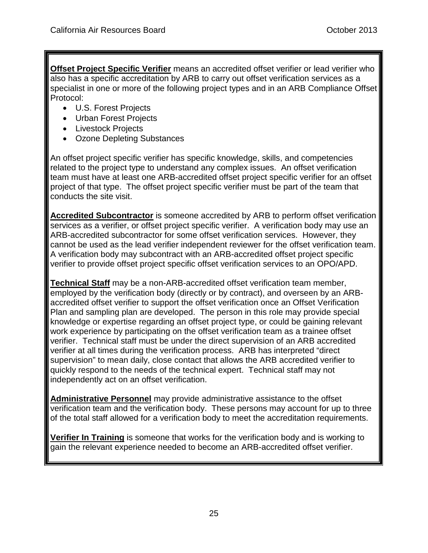**Offset Project Specific Verifier** means an accredited offset verifier or lead verifier who also has a specific accreditation by ARB to carry out offset verification services as a specialist in one or more of the following project types and in an ARB Compliance Offset Protocol:

- U.S. Forest Projects
- Urban Forest Projects
- Livestock Projects
- Ozone Depleting Substances

An offset project specific verifier has specific knowledge, skills, and competencies related to the project type to understand any complex issues. An offset verification team must have at least one ARB-accredited offset project specific verifier for an offset project of that type. The offset project specific verifier must be part of the team that conducts the site visit.

**Accredited Subcontractor** is someone accredited by ARB to perform offset verification services as a verifier, or offset project specific verifier. A verification body may use an ARB-accredited subcontractor for some offset verification services. However, they cannot be used as the lead verifier independent reviewer for the offset verification team. A verification body may subcontract with an ARB-accredited offset project specific verifier to provide offset project specific offset verification services to an OPO/APD.

**Technical Staff** may be a non-ARB-accredited offset verification team member, employed by the verification body (directly or by contract), and overseen by an ARBaccredited offset verifier to support the offset verification once an Offset Verification Plan and sampling plan are developed. The person in this role may provide special knowledge or expertise regarding an offset project type, or could be gaining relevant work experience by participating on the offset verification team as a trainee offset verifier. Technical staff must be under the direct supervision of an ARB accredited verifier at all times during the verification process. ARB has interpreted "direct supervision" to mean daily, close contact that allows the ARB accredited verifier to quickly respond to the needs of the technical expert. Technical staff may not independently act on an offset verification.

**Administrative Personnel** may provide administrative assistance to the offset verification team and the verification body. These persons may account for up to three of the total staff allowed for a verification body to meet the accreditation requirements.

**Verifier In Training** is someone that works for the verification body and is working to gain the relevant experience needed to become an ARB-accredited offset verifier.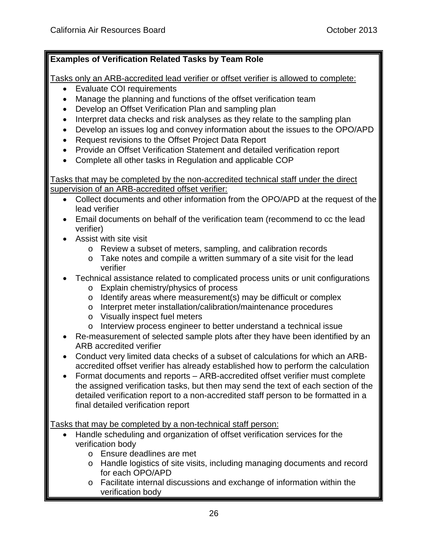# **Examples of Verification Related Tasks by Team Role**

Tasks only an ARB-accredited lead verifier or offset verifier is allowed to complete:

- Evaluate COI requirements
- Manage the planning and functions of the offset verification team
- Develop an Offset Verification Plan and sampling plan
- Interpret data checks and risk analyses as they relate to the sampling plan
- Develop an issues log and convey information about the issues to the OPO/APD
- Request revisions to the Offset Project Data Report
- Provide an Offset Verification Statement and detailed verification report
- Complete all other tasks in Regulation and applicable COP

Tasks that may be completed by the non-accredited technical staff under the direct supervision of an ARB-accredited offset verifier:

- Collect documents and other information from the OPO/APD at the request of the lead verifier
- Email documents on behalf of the verification team (recommend to cc the lead verifier)
- Assist with site visit
	- o Review a subset of meters, sampling, and calibration records
	- o Take notes and compile a written summary of a site visit for the lead verifier
- Technical assistance related to complicated process units or unit configurations
	- o Explain chemistry/physics of process
	- o Identify areas where measurement(s) may be difficult or complex
	- o Interpret meter installation/calibration/maintenance procedures
	- o Visually inspect fuel meters
	- o Interview process engineer to better understand a technical issue
- Re-measurement of selected sample plots after they have been identified by an ARB accredited verifier
- Conduct very limited data checks of a subset of calculations for which an ARBaccredited offset verifier has already established how to perform the calculation
- Format documents and reports ARB-accredited offset verifier must complete the assigned verification tasks, but then may send the text of each section of the detailed verification report to a non-accredited staff person to be formatted in a final detailed verification report

Tasks that may be completed by a non-technical staff person:

- Handle scheduling and organization of offset verification services for the verification body
	- o Ensure deadlines are met
	- o Handle logistics of site visits, including managing documents and record for each OPO/APD
	- $\circ$  Facilitate internal discussions and exchange of information within the verification body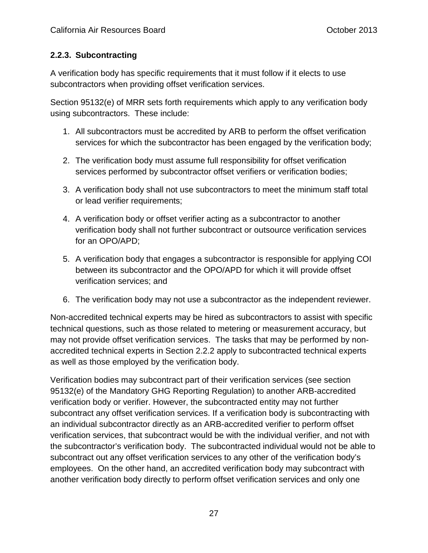#### <span id="page-26-0"></span>**2.2.3. Subcontracting**

A verification body has specific requirements that it must follow if it elects to use subcontractors when providing offset verification services.

Section 95132(e) of MRR sets forth requirements which apply to any verification body using subcontractors. These include:

- 1. All subcontractors must be accredited by ARB to perform the offset verification services for which the subcontractor has been engaged by the verification body;
- 2. The verification body must assume full responsibility for offset verification services performed by subcontractor offset verifiers or verification bodies;
- 3. A verification body shall not use subcontractors to meet the minimum staff total or lead verifier requirements;
- 4. A verification body or offset verifier acting as a subcontractor to another verification body shall not further subcontract or outsource verification services for an OPO/APD;
- 5. A verification body that engages a subcontractor is responsible for applying COI between its subcontractor and the OPO/APD for which it will provide offset verification services; and
- 6. The verification body may not use a subcontractor as the independent reviewer.

Non-accredited technical experts may be hired as subcontractors to assist with specific technical questions, such as those related to metering or measurement accuracy, but may not provide offset verification services. The tasks that may be performed by nonaccredited technical experts in Section 2.2.2 apply to subcontracted technical experts as well as those employed by the verification body.

Verification bodies may subcontract part of their verification services (see section 95132(e) of the Mandatory GHG Reporting Regulation) to another ARB-accredited verification body or verifier. However, the subcontracted entity may not further subcontract any offset verification services. If a verification body is subcontracting with an individual subcontractor directly as an ARB-accredited verifier to perform offset verification services, that subcontract would be with the individual verifier, and not with the subcontractor's verification body. The subcontracted individual would not be able to subcontract out any offset verification services to any other of the verification body's employees. On the other hand, an accredited verification body may subcontract with another verification body directly to perform offset verification services and only one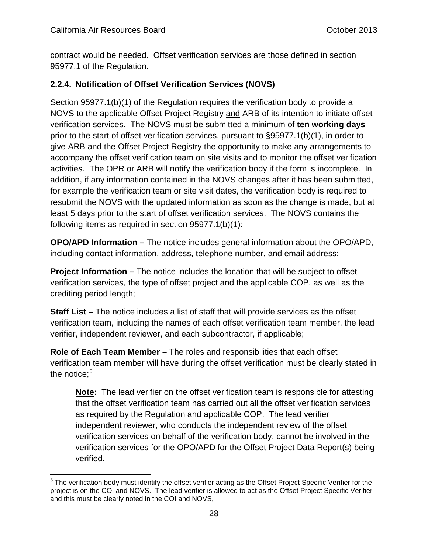contract would be needed. Offset verification services are those defined in section 95977.1 of the Regulation.

# <span id="page-27-0"></span>**2.2.4. Notification of Offset Verification Services (NOVS)**

Section 95977.1(b)(1) of the Regulation requires the verification body to provide a NOVS to the applicable Offset Project Registry and ARB of its intention to initiate offset verification services. The NOVS must be submitted a minimum of **ten working days** prior to the start of offset verification services, pursuant to §95977.1(b)(1), in order to give ARB and the Offset Project Registry the opportunity to make any arrangements to accompany the offset verification team on site visits and to monitor the offset verification activities. The OPR or ARB will notify the verification body if the form is incomplete. In addition, if any information contained in the NOVS changes after it has been submitted, for example the verification team or site visit dates, the verification body is required to resubmit the NOVS with the updated information as soon as the change is made, but at least 5 days prior to the start of offset verification services. The NOVS contains the following items as required in section 95977.1(b)(1):

**OPO/APD Information –** The notice includes general information about the OPO/APD, including contact information, address, telephone number, and email address;

**Project Information –** The notice includes the location that will be subject to offset verification services, the type of offset project and the applicable COP, as well as the crediting period length;

**Staff List –** The notice includes a list of staff that will provide services as the offset verification team, including the names of each offset verification team member, the lead verifier, independent reviewer, and each subcontractor, if applicable;

**Role of Each Team Member –** The roles and responsibilities that each offset verification team member will have during the offset verification must be clearly stated in the notice: $5$ 

**Note:** The lead verifier on the offset verification team is responsible for attesting that the offset verification team has carried out all the offset verification services as required by the Regulation and applicable COP. The lead verifier independent reviewer, who conducts the independent review of the offset verification services on behalf of the verification body, cannot be involved in the verification services for the OPO/APD for the Offset Project Data Report(s) being verified.

 $<sup>5</sup>$  The verification body must identify the offset verifier acting as the Offset Project Specific Verifier for the</sup> project is on the COI and NOVS. The lead verifier is allowed to act as the Offset Project Specific Verifier and this must be clearly noted in the COI and NOVS,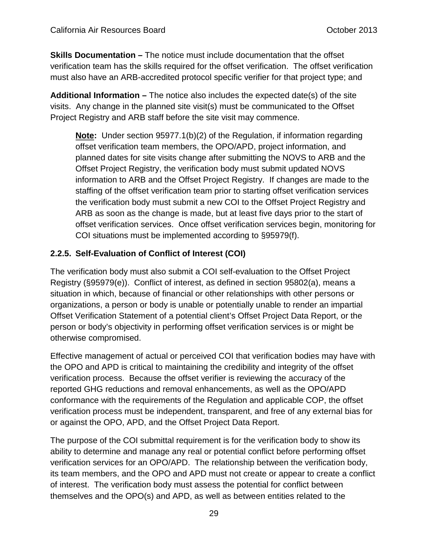**Skills Documentation –** The notice must include documentation that the offset verification team has the skills required for the offset verification. The offset verification must also have an ARB-accredited protocol specific verifier for that project type; and

**Additional Information –** The notice also includes the expected date(s) of the site visits. Any change in the planned site visit(s) must be communicated to the Offset Project Registry and ARB staff before the site visit may commence.

**Note:** Under section 95977.1(b)(2) of the Regulation, if information regarding offset verification team members, the OPO/APD, project information, and planned dates for site visits change after submitting the NOVS to ARB and the Offset Project Registry, the verification body must submit updated NOVS information to ARB and the Offset Project Registry. If changes are made to the staffing of the offset verification team prior to starting offset verification services the verification body must submit a new COI to the Offset Project Registry and ARB as soon as the change is made, but at least five days prior to the start of offset verification services. Once offset verification services begin, monitoring for COI situations must be implemented according to §95979(f).

# <span id="page-28-0"></span>**2.2.5. Self-Evaluation of Conflict of Interest (COI)**

The verification body must also submit a COI self-evaluation to the Offset Project Registry (§95979(e)). Conflict of interest, as defined in section 95802(a), means a situation in which, because of financial or other relationships with other persons or organizations, a person or body is unable or potentially unable to render an impartial Offset Verification Statement of a potential client's Offset Project Data Report, or the person or body's objectivity in performing offset verification services is or might be otherwise compromised.

Effective management of actual or perceived COI that verification bodies may have with the OPO and APD is critical to maintaining the credibility and integrity of the offset verification process. Because the offset verifier is reviewing the accuracy of the reported GHG reductions and removal enhancements, as well as the OPO/APD conformance with the requirements of the Regulation and applicable COP, the offset verification process must be independent, transparent, and free of any external bias for or against the OPO, APD, and the Offset Project Data Report.

The purpose of the COI submittal requirement is for the verification body to show its ability to determine and manage any real or potential conflict before performing offset verification services for an OPO/APD. The relationship between the verification body, its team members, and the OPO and APD must not create or appear to create a conflict of interest. The verification body must assess the potential for conflict between themselves and the OPO(s) and APD, as well as between entities related to the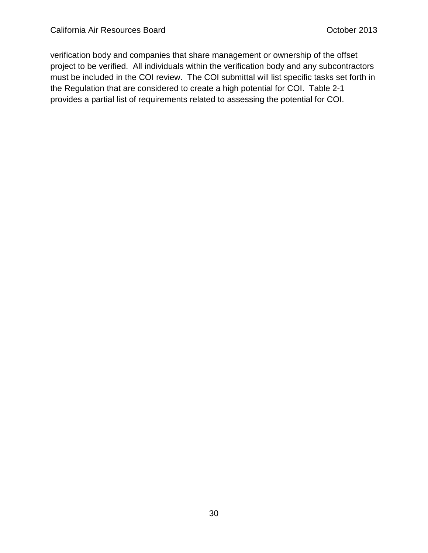verification body and companies that share management or ownership of the offset project to be verified. All individuals within the verification body and any subcontractors must be included in the COI review. The COI submittal will list specific tasks set forth in the Regulation that are considered to create a high potential for COI. Table 2-1 provides a partial list of requirements related to assessing the potential for COI.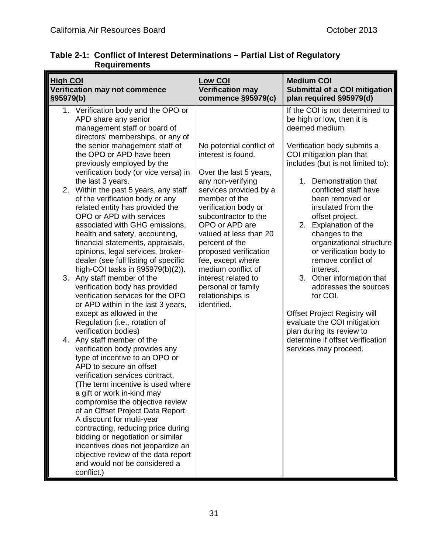| <b>High COI</b><br>§95979(b) | Verification may not commence                                                                                                                                                                                                                                                                                                                                                                                                                                                                                                              | <b>Low COI</b><br><b>Verification may</b><br>commence §95979(c)                                                                                                                                                                                | <b>Medium COI</b><br>Submittal of a COI mitigation<br>plan required §95979(d)                                                                                                                                                                   |  |  |
|------------------------------|--------------------------------------------------------------------------------------------------------------------------------------------------------------------------------------------------------------------------------------------------------------------------------------------------------------------------------------------------------------------------------------------------------------------------------------------------------------------------------------------------------------------------------------------|------------------------------------------------------------------------------------------------------------------------------------------------------------------------------------------------------------------------------------------------|-------------------------------------------------------------------------------------------------------------------------------------------------------------------------------------------------------------------------------------------------|--|--|
|                              | 1. Verification body and the OPO or<br>APD share any senior<br>management staff or board of                                                                                                                                                                                                                                                                                                                                                                                                                                                |                                                                                                                                                                                                                                                | If the COI is not determined to<br>be high or low, then it is<br>deemed medium.                                                                                                                                                                 |  |  |
|                              | directors' memberships, or any of<br>the senior management staff of<br>the OPO or APD have been<br>previously employed by the<br>verification body (or vice versa) in                                                                                                                                                                                                                                                                                                                                                                      | No potential conflict of<br>interest is found.<br>Over the last 5 years,                                                                                                                                                                       | Verification body submits a<br>COI mitigation plan that<br>includes (but is not limited to):                                                                                                                                                    |  |  |
|                              | the last 3 years.<br>2. Within the past 5 years, any staff<br>of the verification body or any<br>related entity has provided the<br>OPO or APD with services<br>associated with GHG emissions,<br>health and safety, accounting,<br>financial statements, appraisals,<br>opinions, legal services, broker-<br>dealer (see full listing of specific<br>high-COI tasks in $\S 95979(b)(2)$ ).                                                                                                                                                | any non-verifying<br>services provided by a<br>member of the<br>verification body or<br>subcontractor to the<br>OPO or APD are<br>valued at less than 20<br>percent of the<br>proposed verification<br>fee, except where<br>medium conflict of | 1. Demonstration that<br>conflicted staff have<br>been removed or<br>insulated from the<br>offset project.<br>2. Explanation of the<br>changes to the<br>organizational structure<br>or verification body to<br>remove conflict of<br>interest. |  |  |
|                              | 3. Any staff member of the<br>verification body has provided<br>verification services for the OPO<br>or APD within in the last 3 years,                                                                                                                                                                                                                                                                                                                                                                                                    | interest related to<br>personal or family<br>relationships is<br>identified.                                                                                                                                                                   | 3. Other information that<br>addresses the sources<br>for COI.                                                                                                                                                                                  |  |  |
|                              | except as allowed in the<br>Regulation (i.e., rotation of<br>verification bodies)                                                                                                                                                                                                                                                                                                                                                                                                                                                          |                                                                                                                                                                                                                                                | <b>Offset Project Registry will</b><br>evaluate the COI mitigation<br>plan during its review to                                                                                                                                                 |  |  |
|                              | 4. Any staff member of the<br>verification body provides any<br>type of incentive to an OPO or<br>APD to secure an offset<br>verification services contract.<br>(The term incentive is used where<br>a gift or work in-kind may<br>compromise the objective review<br>of an Offset Project Data Report.<br>A discount for multi-year<br>contracting, reducing price during<br>bidding or negotiation or similar<br>incentives does not jeopardize an<br>objective review of the data report<br>and would not be considered a<br>conflict.) |                                                                                                                                                                                                                                                | determine if offset verification<br>services may proceed.                                                                                                                                                                                       |  |  |

#### **Table 2-1: Conflict of Interest Determinations – Partial List of Regulatory Requirements**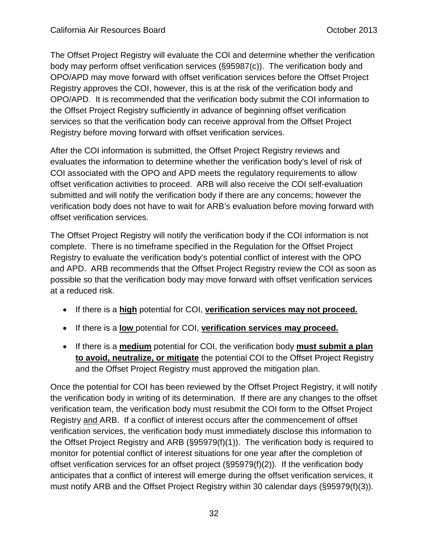The Offset Project Registry will evaluate the COI and determine whether the verification body may perform offset verification services (§95987(c)). The verification body and OPO/APD may move forward with offset verification services before the Offset Project Registry approves the COI, however, this is at the risk of the verification body and OPO/APD. It is recommended that the verification body submit the COI information to the Offset Project Registry sufficiently in advance of beginning offset verification services so that the verification body can receive approval from the Offset Project Registry before moving forward with offset verification services.

After the COI information is submitted, the Offset Project Registry reviews and evaluates the information to determine whether the verification body's level of risk of COI associated with the OPO and APD meets the regulatory requirements to allow offset verification activities to proceed. ARB will also receive the COI self-evaluation submitted and will notify the verification body if there are any concerns; however the verification body does not have to wait for ARB's evaluation before moving forward with offset verification services.

The Offset Project Registry will notify the verification body if the COI information is not complete. There is no timeframe specified in the Regulation for the Offset Project Registry to evaluate the verification body's potential conflict of interest with the OPO and APD. ARB recommends that the Offset Project Registry review the COI as soon as possible so that the verification body may move forward with offset verification services at a reduced risk.

- If there is a **high** potential for COI, **verification services may not proceed.**
- If there is a **low** potential for COI, **verification services may proceed.**
- If there is a **medium** potential for COI, the verification body **must submit a plan to avoid, neutralize, or mitigate** the potential COI to the Offset Project Registry and the Offset Project Registry must approved the mitigation plan.

Once the potential for COI has been reviewed by the Offset Project Registry, it will notify the verification body in writing of its determination. If there are any changes to the offset verification team, the verification body must resubmit the COI form to the Offset Project Registry and ARB. If a conflict of interest occurs after the commencement of offset verification services, the verification body must immediately disclose this information to the Offset Project Registry and ARB (§95979(f)(1)). The verification body is required to monitor for potential conflict of interest situations for one year after the completion of offset verification services for an offset project (§95979(f)(2)). If the verification body anticipates that a conflict of interest will emerge during the offset verification services, it must notify ARB and the Offset Project Registry within 30 calendar days (§95979(f)(3)).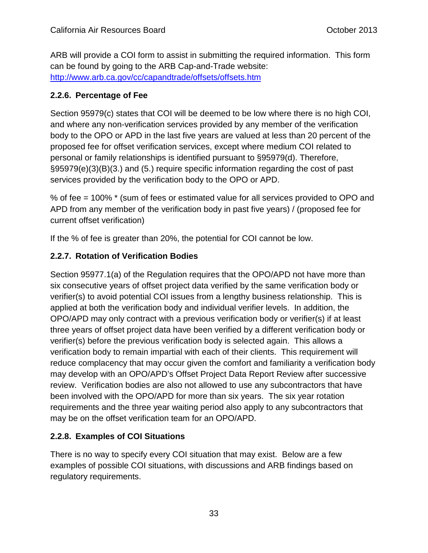ARB will provide a COI form to assist in submitting the required information. This form can be found by going to the ARB Cap-and-Trade website: <http://www.arb.ca.gov/cc/capandtrade/offsets/offsets.htm>

# <span id="page-32-0"></span>**2.2.6. Percentage of Fee**

Section 95979(c) states that COI will be deemed to be low where there is no high COI, and where any non-verification services provided by any member of the verification body to the OPO or APD in the last five years are valued at less than 20 percent of the proposed fee for offset verification services, except where medium COI related to personal or family relationships is identified pursuant to §95979(d). Therefore, §95979(e)(3)(B)(3.) and (5.) require specific information regarding the cost of past services provided by the verification body to the OPO or APD.

% of fee = 100% \* (sum of fees or estimated value for all services provided to OPO and APD from any member of the verification body in past five years) / (proposed fee for current offset verification)

If the % of fee is greater than 20%, the potential for COI cannot be low.

# <span id="page-32-1"></span>**2.2.7. Rotation of Verification Bodies**

Section 95977.1(a) of the Regulation requires that the OPO/APD not have more than six consecutive years of offset project data verified by the same verification body or verifier(s) to avoid potential COI issues from a lengthy business relationship. This is applied at both the verification body and individual verifier levels. In addition, the OPO/APD may only contract with a previous verification body or verifier(s) if at least three years of offset project data have been verified by a different verification body or verifier(s) before the previous verification body is selected again. This allows a verification body to remain impartial with each of their clients. This requirement will reduce complacency that may occur given the comfort and familiarity a verification body may develop with an OPO/APD's Offset Project Data Report Review after successive review. Verification bodies are also not allowed to use any subcontractors that have been involved with the OPO/APD for more than six years. The six year rotation requirements and the three year waiting period also apply to any subcontractors that may be on the offset verification team for an OPO/APD.

# <span id="page-32-2"></span>**2.2.8. Examples of COI Situations**

There is no way to specify every COI situation that may exist. Below are a few examples of possible COI situations, with discussions and ARB findings based on regulatory requirements.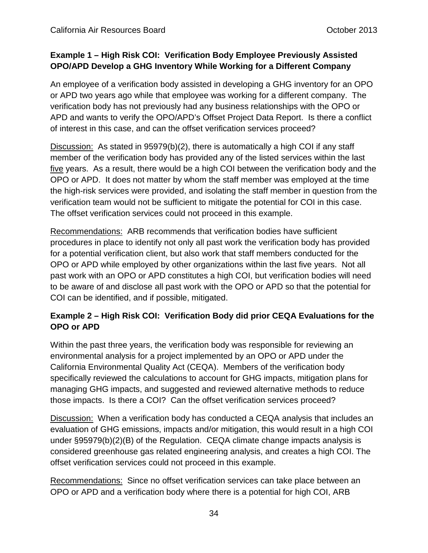# **Example 1 – High Risk COI: Verification Body Employee Previously Assisted OPO/APD Develop a GHG Inventory While Working for a Different Company**

An employee of a verification body assisted in developing a GHG inventory for an OPO or APD two years ago while that employee was working for a different company. The verification body has not previously had any business relationships with the OPO or APD and wants to verify the OPO/APD's Offset Project Data Report. Is there a conflict of interest in this case, and can the offset verification services proceed?

Discussion: As stated in 95979(b)(2), there is automatically a high COI if any staff member of the verification body has provided any of the listed services within the last five years. As a result, there would be a high COI between the verification body and the OPO or APD. It does not matter by whom the staff member was employed at the time the high-risk services were provided, and isolating the staff member in question from the verification team would not be sufficient to mitigate the potential for COI in this case. The offset verification services could not proceed in this example.

Recommendations: ARB recommends that verification bodies have sufficient procedures in place to identify not only all past work the verification body has provided for a potential verification client, but also work that staff members conducted for the OPO or APD while employed by other organizations within the last five years. Not all past work with an OPO or APD constitutes a high COI, but verification bodies will need to be aware of and disclose all past work with the OPO or APD so that the potential for COI can be identified, and if possible, mitigated.

# **Example 2 – High Risk COI: Verification Body did prior CEQA Evaluations for the OPO or APD**

Within the past three years, the verification body was responsible for reviewing an environmental analysis for a project implemented by an OPO or APD under the California Environmental Quality Act (CEQA). Members of the verification body specifically reviewed the calculations to account for GHG impacts, mitigation plans for managing GHG impacts, and suggested and reviewed alternative methods to reduce those impacts. Is there a COI? Can the offset verification services proceed?

Discussion: When a verification body has conducted a CEQA analysis that includes an evaluation of GHG emissions, impacts and/or mitigation, this would result in a high COI under §95979(b)(2)(B) of the Regulation. CEQA climate change impacts analysis is considered greenhouse gas related engineering analysis, and creates a high COI. The offset verification services could not proceed in this example.

Recommendations: Since no offset verification services can take place between an OPO or APD and a verification body where there is a potential for high COI, ARB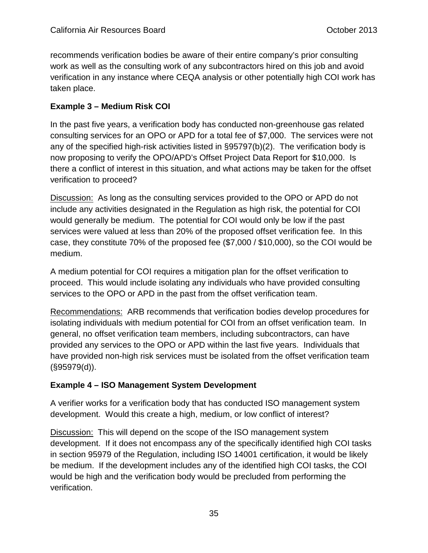recommends verification bodies be aware of their entire company's prior consulting work as well as the consulting work of any subcontractors hired on this job and avoid verification in any instance where CEQA analysis or other potentially high COI work has taken place.

# **Example 3 – Medium Risk COI**

In the past five years, a verification body has conducted non-greenhouse gas related consulting services for an OPO or APD for a total fee of \$7,000. The services were not any of the specified high-risk activities listed in §95797(b)(2). The verification body is now proposing to verify the OPO/APD's Offset Project Data Report for \$10,000. Is there a conflict of interest in this situation, and what actions may be taken for the offset verification to proceed?

Discussion: As long as the consulting services provided to the OPO or APD do not include any activities designated in the Regulation as high risk, the potential for COI would generally be medium. The potential for COI would only be low if the past services were valued at less than 20% of the proposed offset verification fee. In this case, they constitute 70% of the proposed fee (\$7,000 / \$10,000), so the COI would be medium.

A medium potential for COI requires a mitigation plan for the offset verification to proceed. This would include isolating any individuals who have provided consulting services to the OPO or APD in the past from the offset verification team.

Recommendations: ARB recommends that verification bodies develop procedures for isolating individuals with medium potential for COI from an offset verification team. In general, no offset verification team members, including subcontractors, can have provided any services to the OPO or APD within the last five years. Individuals that have provided non-high risk services must be isolated from the offset verification team (§95979(d)).

#### **Example 4 – ISO Management System Development**

A verifier works for a verification body that has conducted ISO management system development. Would this create a high, medium, or low conflict of interest?

Discussion: This will depend on the scope of the ISO management system development. If it does not encompass any of the specifically identified high COI tasks in section 95979 of the Regulation, including ISO 14001 certification, it would be likely be medium. If the development includes any of the identified high COI tasks, the COI would be high and the verification body would be precluded from performing the verification.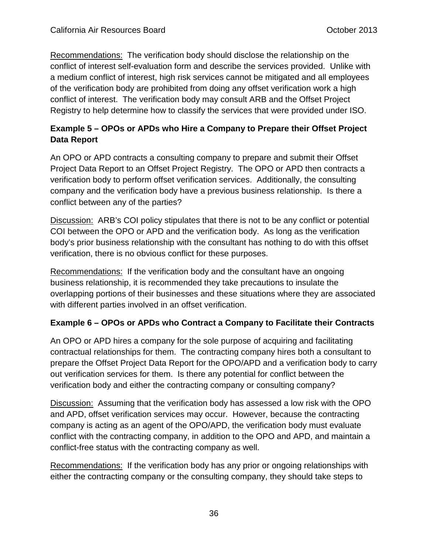Recommendations: The verification body should disclose the relationship on the conflict of interest self-evaluation form and describe the services provided. Unlike with a medium conflict of interest, high risk services cannot be mitigated and all employees of the verification body are prohibited from doing any offset verification work a high conflict of interest. The verification body may consult ARB and the Offset Project Registry to help determine how to classify the services that were provided under ISO.

# **Example 5 – OPOs or APDs who Hire a Company to Prepare their Offset Project Data Report**

An OPO or APD contracts a consulting company to prepare and submit their Offset Project Data Report to an Offset Project Registry. The OPO or APD then contracts a verification body to perform offset verification services. Additionally, the consulting company and the verification body have a previous business relationship. Is there a conflict between any of the parties?

Discussion: ARB's COI policy stipulates that there is not to be any conflict or potential COI between the OPO or APD and the verification body. As long as the verification body's prior business relationship with the consultant has nothing to do with this offset verification, there is no obvious conflict for these purposes.

Recommendations: If the verification body and the consultant have an ongoing business relationship, it is recommended they take precautions to insulate the overlapping portions of their businesses and these situations where they are associated with different parties involved in an offset verification.

#### **Example 6 – OPOs or APDs who Contract a Company to Facilitate their Contracts**

An OPO or APD hires a company for the sole purpose of acquiring and facilitating contractual relationships for them. The contracting company hires both a consultant to prepare the Offset Project Data Report for the OPO/APD and a verification body to carry out verification services for them. Is there any potential for conflict between the verification body and either the contracting company or consulting company?

Discussion: Assuming that the verification body has assessed a low risk with the OPO and APD, offset verification services may occur. However, because the contracting company is acting as an agent of the OPO/APD, the verification body must evaluate conflict with the contracting company, in addition to the OPO and APD, and maintain a conflict-free status with the contracting company as well.

Recommendations: If the verification body has any prior or ongoing relationships with either the contracting company or the consulting company, they should take steps to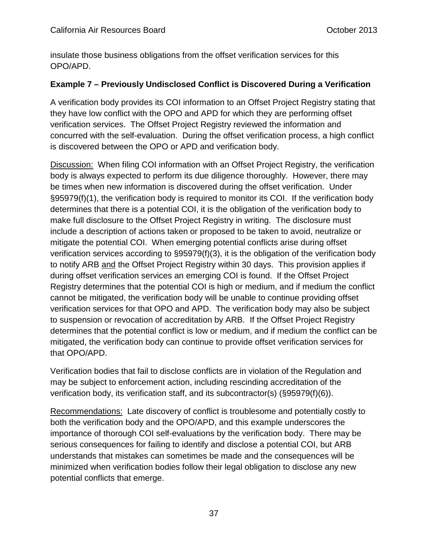insulate those business obligations from the offset verification services for this OPO/APD.

#### **Example 7 – Previously Undisclosed Conflict is Discovered During a Verification**

A verification body provides its COI information to an Offset Project Registry stating that they have low conflict with the OPO and APD for which they are performing offset verification services. The Offset Project Registry reviewed the information and concurred with the self-evaluation. During the offset verification process, a high conflict is discovered between the OPO or APD and verification body.

Discussion: When filing COI information with an Offset Project Registry, the verification body is always expected to perform its due diligence thoroughly. However, there may be times when new information is discovered during the offset verification. Under §95979(f)(1), the verification body is required to monitor its COI. If the verification body determines that there is a potential COI, it is the obligation of the verification body to make full disclosure to the Offset Project Registry in writing. The disclosure must include a description of actions taken or proposed to be taken to avoid, neutralize or mitigate the potential COI. When emerging potential conflicts arise during offset verification services according to §95979(f)(3), it is the obligation of the verification body to notify ARB and the Offset Project Registry within 30 days. This provision applies if during offset verification services an emerging COI is found. If the Offset Project Registry determines that the potential COI is high or medium, and if medium the conflict cannot be mitigated, the verification body will be unable to continue providing offset verification services for that OPO and APD. The verification body may also be subject to suspension or revocation of accreditation by ARB. If the Offset Project Registry determines that the potential conflict is low or medium, and if medium the conflict can be mitigated, the verification body can continue to provide offset verification services for that OPO/APD.

Verification bodies that fail to disclose conflicts are in violation of the Regulation and may be subject to enforcement action, including rescinding accreditation of the verification body, its verification staff, and its subcontractor(s) (§95979(f)(6)).

Recommendations: Late discovery of conflict is troublesome and potentially costly to both the verification body and the OPO/APD, and this example underscores the importance of thorough COI self-evaluations by the verification body. There may be serious consequences for failing to identify and disclose a potential COI, but ARB understands that mistakes can sometimes be made and the consequences will be minimized when verification bodies follow their legal obligation to disclose any new potential conflicts that emerge.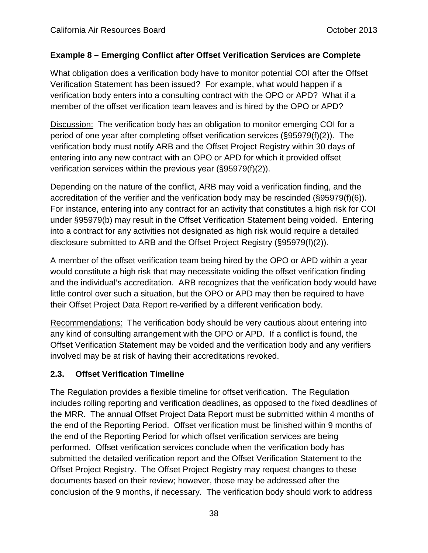#### **Example 8 – Emerging Conflict after Offset Verification Services are Complete**

What obligation does a verification body have to monitor potential COI after the Offset Verification Statement has been issued? For example, what would happen if a verification body enters into a consulting contract with the OPO or APD? What if a member of the offset verification team leaves and is hired by the OPO or APD?

Discussion: The verification body has an obligation to monitor emerging COI for a period of one year after completing offset verification services (§95979(f)(2)). The verification body must notify ARB and the Offset Project Registry within 30 days of entering into any new contract with an OPO or APD for which it provided offset verification services within the previous year (§95979(f)(2)).

Depending on the nature of the conflict, ARB may void a verification finding, and the accreditation of the verifier and the verification body may be rescinded (§95979(f)(6)). For instance, entering into any contract for an activity that constitutes a high risk for COI under §95979(b) may result in the Offset Verification Statement being voided. Entering into a contract for any activities not designated as high risk would require a detailed disclosure submitted to ARB and the Offset Project Registry (§95979(f)(2)).

A member of the offset verification team being hired by the OPO or APD within a year would constitute a high risk that may necessitate voiding the offset verification finding and the individual's accreditation. ARB recognizes that the verification body would have little control over such a situation, but the OPO or APD may then be required to have their Offset Project Data Report re-verified by a different verification body.

Recommendations: The verification body should be very cautious about entering into any kind of consulting arrangement with the OPO or APD. If a conflict is found, the Offset Verification Statement may be voided and the verification body and any verifiers involved may be at risk of having their accreditations revoked.

# **2.3. Offset Verification Timeline**

The Regulation provides a flexible timeline for offset verification. The Regulation includes rolling reporting and verification deadlines, as opposed to the fixed deadlines of the MRR. The annual Offset Project Data Report must be submitted within 4 months of the end of the Reporting Period. Offset verification must be finished within 9 months of the end of the Reporting Period for which offset verification services are being performed. Offset verification services conclude when the verification body has submitted the detailed verification report and the Offset Verification Statement to the Offset Project Registry. The Offset Project Registry may request changes to these documents based on their review; however, those may be addressed after the conclusion of the 9 months, if necessary. The verification body should work to address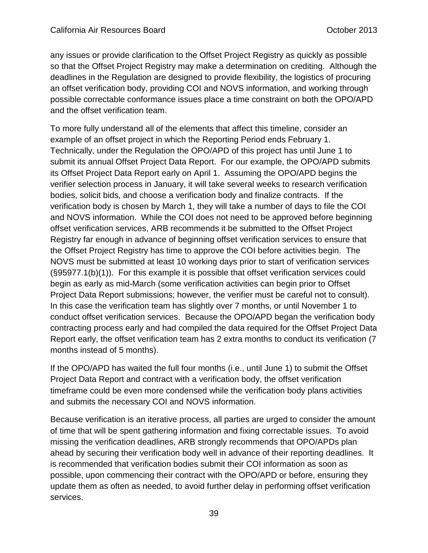any issues or provide clarification to the Offset Project Registry as quickly as possible so that the Offset Project Registry may make a determination on crediting. Although the deadlines in the Regulation are designed to provide flexibility, the logistics of procuring an offset verification body, providing COI and NOVS information, and working through possible correctable conformance issues place a time constraint on both the OPO/APD and the offset verification team.

To more fully understand all of the elements that affect this timeline, consider an example of an offset project in which the Reporting Period ends February 1. Technically, under the Regulation the OPO/APD of this project has until June 1 to submit its annual Offset Project Data Report. For our example, the OPO/APD submits its Offset Project Data Report early on April 1. Assuming the OPO/APD begins the verifier selection process in January, it will take several weeks to research verification bodies, solicit bids, and choose a verification body and finalize contracts. If the verification body is chosen by March 1, they will take a number of days to file the COI and NOVS information. While the COI does not need to be approved before beginning offset verification services, ARB recommends it be submitted to the Offset Project Registry far enough in advance of beginning offset verification services to ensure that the Offset Project Registry has time to approve the COI before activities begin. The NOVS must be submitted at least 10 working days prior to start of verification services (§95977.1(b)(1)). For this example it is possible that offset verification services could begin as early as mid-March (some verification activities can begin prior to Offset Project Data Report submissions; however, the verifier must be careful not to consult). In this case the verification team has slightly over 7 months, or until November 1 to conduct offset verification services. Because the OPO/APD began the verification body contracting process early and had compiled the data required for the Offset Project Data Report early, the offset verification team has 2 extra months to conduct its verification (7 months instead of 5 months).

If the OPO/APD has waited the full four months (i.e., until June 1) to submit the Offset Project Data Report and contract with a verification body, the offset verification timeframe could be even more condensed while the verification body plans activities and submits the necessary COI and NOVS information.

Because verification is an iterative process, all parties are urged to consider the amount of time that will be spent gathering information and fixing correctable issues. To avoid missing the verification deadlines, ARB strongly recommends that OPO/APDs plan ahead by securing their verification body well in advance of their reporting deadlines. It is recommended that verification bodies submit their COI information as soon as possible, upon commencing their contract with the OPO/APD or before, ensuring they update them as often as needed, to avoid further delay in performing offset verification services.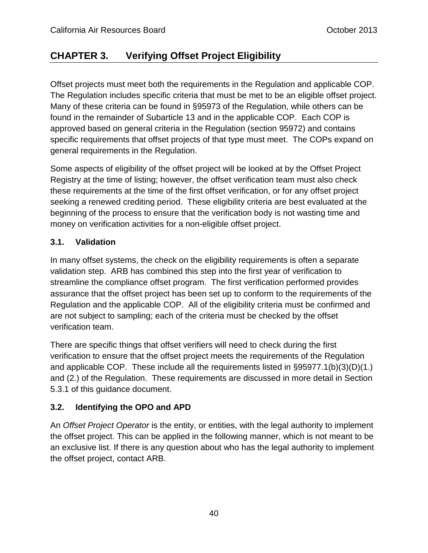# **CHAPTER 3. Verifying Offset Project Eligibility**

Offset projects must meet both the requirements in the Regulation and applicable COP. The Regulation includes specific criteria that must be met to be an eligible offset project. Many of these criteria can be found in §95973 of the Regulation, while others can be found in the remainder of Subarticle 13 and in the applicable COP. Each COP is approved based on general criteria in the Regulation (section 95972) and contains specific requirements that offset projects of that type must meet. The COPs expand on general requirements in the Regulation.

Some aspects of eligibility of the offset project will be looked at by the Offset Project Registry at the time of listing; however, the offset verification team must also check these requirements at the time of the first offset verification, or for any offset project seeking a renewed crediting period. These eligibility criteria are best evaluated at the beginning of the process to ensure that the verification body is not wasting time and money on verification activities for a non-eligible offset project.

# **3.1. Validation**

In many offset systems, the check on the eligibility requirements is often a separate validation step. ARB has combined this step into the first year of verification to streamline the compliance offset program. The first verification performed provides assurance that the offset project has been set up to conform to the requirements of the Regulation and the applicable COP. All of the eligibility criteria must be confirmed and are not subject to sampling; each of the criteria must be checked by the offset verification team.

There are specific things that offset verifiers will need to check during the first verification to ensure that the offset project meets the requirements of the Regulation and applicable COP. These include all the requirements listed in §95977.1(b)(3)(D)(1.) and (2.) of the Regulation. These requirements are discussed in more detail in Section 5.3.1 of this guidance document.

# **3.2. Identifying the OPO and APD**

An *Offset Project Operator* is the entity, or entities, with the legal authority to implement the offset project. This can be applied in the following manner, which is not meant to be an exclusive list. If there is any question about who has the legal authority to implement the offset project, contact ARB.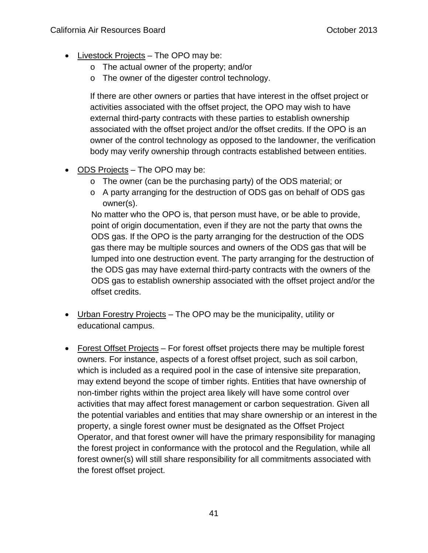- Livestock Projects The OPO may be:
	- o The actual owner of the property; and/or
	- o The owner of the digester control technology.

If there are other owners or parties that have interest in the offset project or activities associated with the offset project, the OPO may wish to have external third-party contracts with these parties to establish ownership associated with the offset project and/or the offset credits. If the OPO is an owner of the control technology as opposed to the landowner, the verification body may verify ownership through contracts established between entities.

- ODS Projects The OPO may be:
	- o The owner (can be the purchasing party) of the ODS material; or
	- o A party arranging for the destruction of ODS gas on behalf of ODS gas owner(s).

No matter who the OPO is, that person must have, or be able to provide, point of origin documentation, even if they are not the party that owns the ODS gas. If the OPO is the party arranging for the destruction of the ODS gas there may be multiple sources and owners of the ODS gas that will be lumped into one destruction event. The party arranging for the destruction of the ODS gas may have external third-party contracts with the owners of the ODS gas to establish ownership associated with the offset project and/or the offset credits.

- Urban Forestry Projects The OPO may be the municipality, utility or educational campus.
- Forest Offset Projects For forest offset projects there may be multiple forest owners. For instance, aspects of a forest offset project, such as soil carbon, which is included as a required pool in the case of intensive site preparation, may extend beyond the scope of timber rights. Entities that have ownership of non-timber rights within the project area likely will have some control over activities that may affect forest management or carbon sequestration. Given all the potential variables and entities that may share ownership or an interest in the property, a single forest owner must be designated as the Offset Project Operator, and that forest owner will have the primary responsibility for managing the forest project in conformance with the protocol and the Regulation, while all forest owner(s) will still share responsibility for all commitments associated with the forest offset project.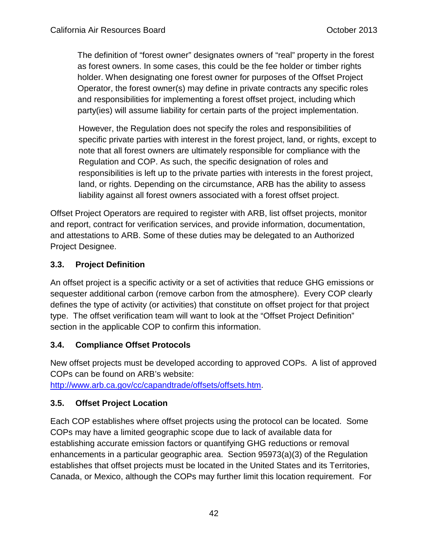The definition of "forest owner" designates owners of "real" property in the forest as forest owners. In some cases, this could be the fee holder or timber rights holder. When designating one forest owner for purposes of the Offset Project Operator, the forest owner(s) may define in private contracts any specific roles and responsibilities for implementing a forest offset project, including which party(ies) will assume liability for certain parts of the project implementation.

However, the Regulation does not specify the roles and responsibilities of specific private parties with interest in the forest project, land, or rights, except to note that all forest owners are ultimately responsible for compliance with the Regulation and COP. As such, the specific designation of roles and responsibilities is left up to the private parties with interests in the forest project, land, or rights. Depending on the circumstance, ARB has the ability to assess liability against all forest owners associated with a forest offset project.

Offset Project Operators are required to register with ARB, list offset projects, monitor and report, contract for verification services, and provide information, documentation, and attestations to ARB. Some of these duties may be delegated to an Authorized Project Designee.

# **3.3. Project Definition**

An offset project is a specific activity or a set of activities that reduce GHG emissions or sequester additional carbon (remove carbon from the atmosphere). Every COP clearly defines the type of activity (or activities) that constitute on offset project for that project type. The offset verification team will want to look at the "Offset Project Definition" section in the applicable COP to confirm this information.

# **3.4. Compliance Offset Protocols**

New offset projects must be developed according to approved COPs. A list of approved COPs can be found on ARB's website:

[http://www.arb.ca.gov/cc/capandtrade/offsets/offsets.htm.](http://www.arb.ca.gov/cc/capandtrade/offsets/offsets.htm)

# **3.5. Offset Project Location**

Each COP establishes where offset projects using the protocol can be located. Some COPs may have a limited geographic scope due to lack of available data for establishing accurate emission factors or quantifying GHG reductions or removal enhancements in a particular geographic area. Section 95973(a)(3) of the Regulation establishes that offset projects must be located in the United States and its Territories, Canada, or Mexico, although the COPs may further limit this location requirement. For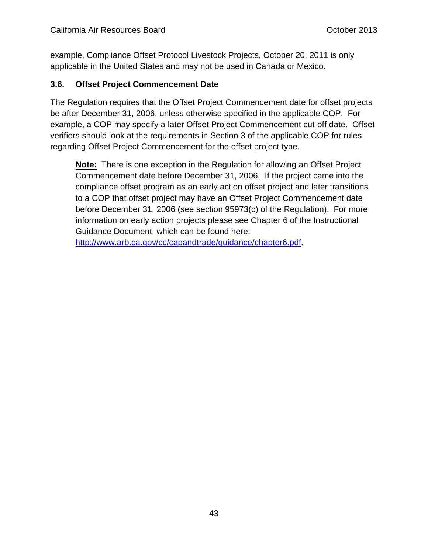example, Compliance Offset Protocol Livestock Projects, October 20, 2011 is only applicable in the United States and may not be used in Canada or Mexico.

#### **3.6. Offset Project Commencement Date**

The Regulation requires that the Offset Project Commencement date for offset projects be after December 31, 2006, unless otherwise specified in the applicable COP. For example, a COP may specify a later Offset Project Commencement cut-off date. Offset verifiers should look at the requirements in Section 3 of the applicable COP for rules regarding Offset Project Commencement for the offset project type.

**Note:** There is one exception in the Regulation for allowing an Offset Project Commencement date before December 31, 2006. If the project came into the compliance offset program as an early action offset project and later transitions to a COP that offset project may have an Offset Project Commencement date before December 31, 2006 (see section 95973(c) of the Regulation). For more information on early action projects please see Chapter 6 of the Instructional Guidance Document, which can be found here:

[http://www.arb.ca.gov/cc/capandtrade/guidance/chapter6.pdf.](http://www.arb.ca.gov/cc/capandtrade/guidance/chapter6.pdf)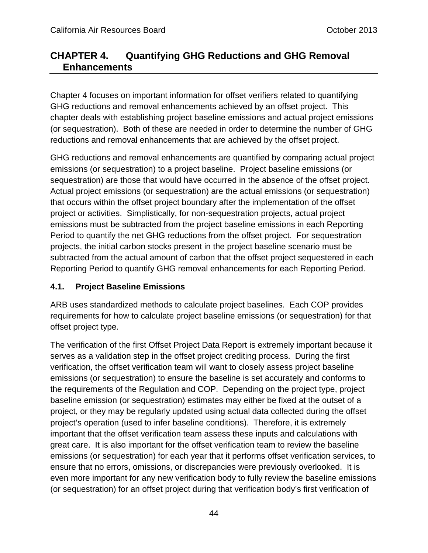# **CHAPTER 4. Quantifying GHG Reductions and GHG Removal Enhancements**

Chapter 4 focuses on important information for offset verifiers related to quantifying GHG reductions and removal enhancements achieved by an offset project. This chapter deals with establishing project baseline emissions and actual project emissions (or sequestration). Both of these are needed in order to determine the number of GHG reductions and removal enhancements that are achieved by the offset project.

GHG reductions and removal enhancements are quantified by comparing actual project emissions (or sequestration) to a project baseline. Project baseline emissions (or sequestration) are those that would have occurred in the absence of the offset project. Actual project emissions (or sequestration) are the actual emissions (or sequestration) that occurs within the offset project boundary after the implementation of the offset project or activities. Simplistically, for non-sequestration projects, actual project emissions must be subtracted from the project baseline emissions in each Reporting Period to quantify the net GHG reductions from the offset project. For sequestration projects, the initial carbon stocks present in the project baseline scenario must be subtracted from the actual amount of carbon that the offset project sequestered in each Reporting Period to quantify GHG removal enhancements for each Reporting Period.

#### **4.1. Project Baseline Emissions**

ARB uses standardized methods to calculate project baselines. Each COP provides requirements for how to calculate project baseline emissions (or sequestration) for that offset project type.

The verification of the first Offset Project Data Report is extremely important because it serves as a validation step in the offset project crediting process. During the first verification, the offset verification team will want to closely assess project baseline emissions (or sequestration) to ensure the baseline is set accurately and conforms to the requirements of the Regulation and COP. Depending on the project type, project baseline emission (or sequestration) estimates may either be fixed at the outset of a project, or they may be regularly updated using actual data collected during the offset project's operation (used to infer baseline conditions). Therefore, it is extremely important that the offset verification team assess these inputs and calculations with great care. It is also important for the offset verification team to review the baseline emissions (or sequestration) for each year that it performs offset verification services, to ensure that no errors, omissions, or discrepancies were previously overlooked. It is even more important for any new verification body to fully review the baseline emissions (or sequestration) for an offset project during that verification body's first verification of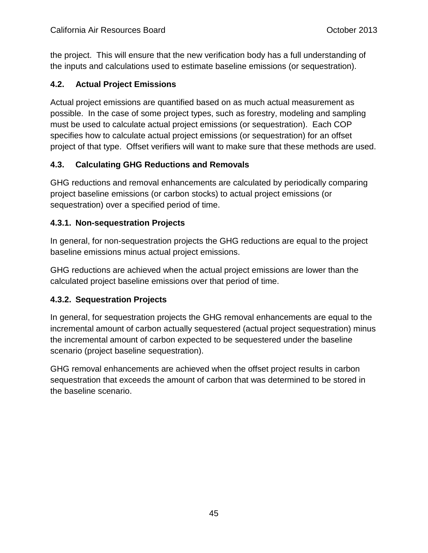the project. This will ensure that the new verification body has a full understanding of the inputs and calculations used to estimate baseline emissions (or sequestration).

# **4.2. Actual Project Emissions**

Actual project emissions are quantified based on as much actual measurement as possible. In the case of some project types, such as forestry, modeling and sampling must be used to calculate actual project emissions (or sequestration). Each COP specifies how to calculate actual project emissions (or sequestration) for an offset project of that type. Offset verifiers will want to make sure that these methods are used.

# **4.3. Calculating GHG Reductions and Removals**

GHG reductions and removal enhancements are calculated by periodically comparing project baseline emissions (or carbon stocks) to actual project emissions (or sequestration) over a specified period of time.

# **4.3.1. Non-sequestration Projects**

In general, for non-sequestration projects the GHG reductions are equal to the project baseline emissions minus actual project emissions.

GHG reductions are achieved when the actual project emissions are lower than the calculated project baseline emissions over that period of time.

# **4.3.2. Sequestration Projects**

In general, for sequestration projects the GHG removal enhancements are equal to the incremental amount of carbon actually sequestered (actual project sequestration) minus the incremental amount of carbon expected to be sequestered under the baseline scenario (project baseline sequestration).

GHG removal enhancements are achieved when the offset project results in carbon sequestration that exceeds the amount of carbon that was determined to be stored in the baseline scenario.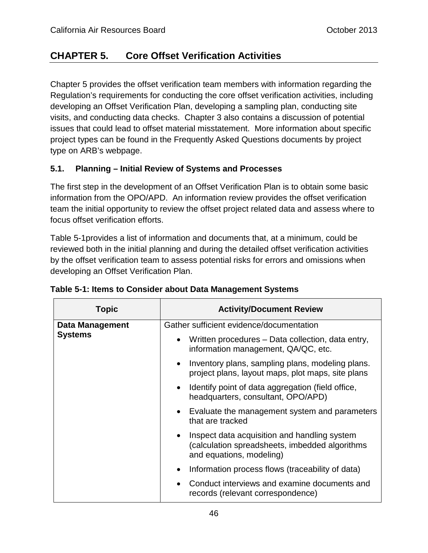# **CHAPTER 5. Core Offset Verification Activities**

Chapter 5 provides the offset verification team members with information regarding the Regulation's requirements for conducting the core offset verification activities, including developing an Offset Verification Plan, developing a sampling plan, conducting site visits, and conducting data checks. Chapter 3 also contains a discussion of potential issues that could lead to offset material misstatement. More information about specific project types can be found in the Frequently Asked Questions documents by project type on ARB's webpage.

# **5.1. Planning – Initial Review of Systems and Processes**

The first step in the development of an Offset Verification Plan is to obtain some basic information from the OPO/APD. An information review provides the offset verification team the initial opportunity to review the offset project related data and assess where to focus offset verification efforts.

Table 5-1provides a list of information and documents that, at a minimum, could be reviewed both in the initial planning and during the detailed offset verification activities by the offset verification team to assess potential risks for errors and omissions when developing an Offset Verification Plan.

| <b>Topic</b>           | <b>Activity/Document Review</b>                                                                                                         |
|------------------------|-----------------------------------------------------------------------------------------------------------------------------------------|
| <b>Data Management</b> | Gather sufficient evidence/documentation                                                                                                |
| <b>Systems</b>         | Written procedures – Data collection, data entry,<br>$\bullet$<br>information management, QA/QC, etc.                                   |
|                        | Inventory plans, sampling plans, modeling plans.<br>$\bullet$<br>project plans, layout maps, plot maps, site plans                      |
|                        | Identify point of data aggregation (field office,<br>$\bullet$<br>headquarters, consultant, OPO/APD)                                    |
|                        | Evaluate the management system and parameters<br>$\bullet$<br>that are tracked                                                          |
|                        | Inspect data acquisition and handling system<br>$\bullet$<br>(calculation spreadsheets, imbedded algorithms<br>and equations, modeling) |
|                        | Information process flows (traceability of data)<br>$\bullet$                                                                           |
|                        | Conduct interviews and examine documents and<br>$\bullet$<br>records (relevant correspondence)                                          |

| Table 5-1: Items to Consider about Data Management Systems |  |  |  |
|------------------------------------------------------------|--|--|--|
|------------------------------------------------------------|--|--|--|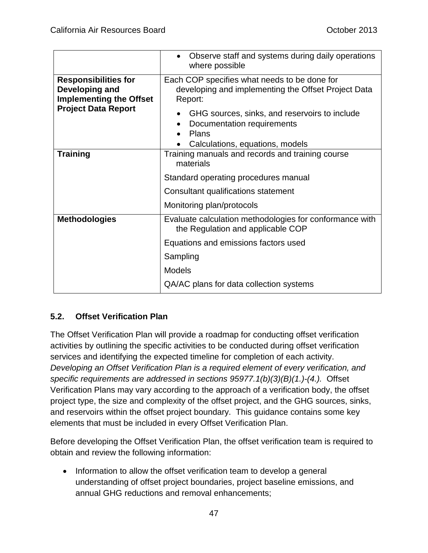|                                                                                                               | Observe staff and systems during daily operations<br>$\bullet$<br>where possible                                                                                |  |  |  |  |
|---------------------------------------------------------------------------------------------------------------|-----------------------------------------------------------------------------------------------------------------------------------------------------------------|--|--|--|--|
| <b>Responsibilities for</b><br>Developing and<br><b>Implementing the Offset</b><br><b>Project Data Report</b> | Each COP specifies what needs to be done for<br>developing and implementing the Offset Project Data<br>Report:<br>GHG sources, sinks, and reservoirs to include |  |  |  |  |
|                                                                                                               | Documentation requirements<br>Plans<br>Calculations, equations, models                                                                                          |  |  |  |  |
| <b>Training</b>                                                                                               | Training manuals and records and training course<br>materials                                                                                                   |  |  |  |  |
|                                                                                                               | Standard operating procedures manual                                                                                                                            |  |  |  |  |
|                                                                                                               | Consultant qualifications statement                                                                                                                             |  |  |  |  |
|                                                                                                               | Monitoring plan/protocols                                                                                                                                       |  |  |  |  |
| <b>Methodologies</b>                                                                                          | Evaluate calculation methodologies for conformance with<br>the Regulation and applicable COP                                                                    |  |  |  |  |
|                                                                                                               | Equations and emissions factors used                                                                                                                            |  |  |  |  |
|                                                                                                               | Sampling                                                                                                                                                        |  |  |  |  |
|                                                                                                               | <b>Models</b>                                                                                                                                                   |  |  |  |  |
|                                                                                                               | QA/AC plans for data collection systems                                                                                                                         |  |  |  |  |

# **5.2. Offset Verification Plan**

The Offset Verification Plan will provide a roadmap for conducting offset verification activities by outlining the specific activities to be conducted during offset verification services and identifying the expected timeline for completion of each activity. *Developing an Offset Verification Plan is a required element of every verification, and specific requirements are addressed in sections 95977.1(b)(3)(B)(1.)-(4.).* Offset Verification Plans may vary according to the approach of a verification body, the offset project type, the size and complexity of the offset project, and the GHG sources, sinks, and reservoirs within the offset project boundary. This guidance contains some key elements that must be included in every Offset Verification Plan.

Before developing the Offset Verification Plan, the offset verification team is required to obtain and review the following information:

• Information to allow the offset verification team to develop a general understanding of offset project boundaries, project baseline emissions, and annual GHG reductions and removal enhancements;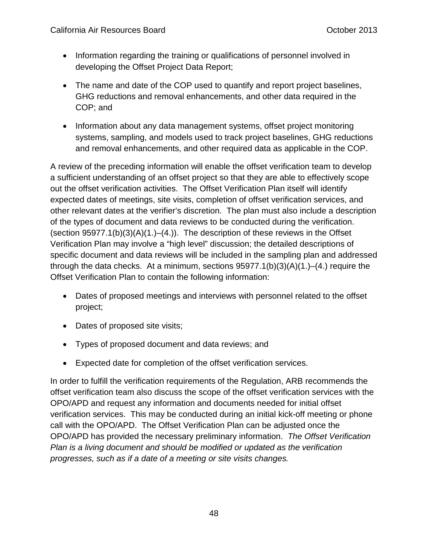- Information regarding the training or qualifications of personnel involved in developing the Offset Project Data Report;
- The name and date of the COP used to quantify and report project baselines, GHG reductions and removal enhancements, and other data required in the COP; and
- Information about any data management systems, offset project monitoring systems, sampling, and models used to track project baselines, GHG reductions and removal enhancements, and other required data as applicable in the COP.

A review of the preceding information will enable the offset verification team to develop a sufficient understanding of an offset project so that they are able to effectively scope out the offset verification activities. The Offset Verification Plan itself will identify expected dates of meetings, site visits, completion of offset verification services, and other relevant dates at the verifier's discretion. The plan must also include a description of the types of document and data reviews to be conducted during the verification. (section  $95977.1(b)(3)(A)(1)-(4.$ ). The description of these reviews in the Offset Verification Plan may involve a "high level" discussion; the detailed descriptions of specific document and data reviews will be included in the sampling plan and addressed through the data checks. At a minimum, sections 95977.1(b)(3)(A)(1.)–(4.) require the Offset Verification Plan to contain the following information:

- Dates of proposed meetings and interviews with personnel related to the offset project;
- Dates of proposed site visits;
- Types of proposed document and data reviews; and
- Expected date for completion of the offset verification services.

In order to fulfill the verification requirements of the Regulation, ARB recommends the offset verification team also discuss the scope of the offset verification services with the OPO/APD and request any information and documents needed for initial offset verification services. This may be conducted during an initial kick-off meeting or phone call with the OPO/APD. The Offset Verification Plan can be adjusted once the OPO/APD has provided the necessary preliminary information. *The Offset Verification Plan is a living document and should be modified or updated as the verification progresses, such as if a date of a meeting or site visits changes.*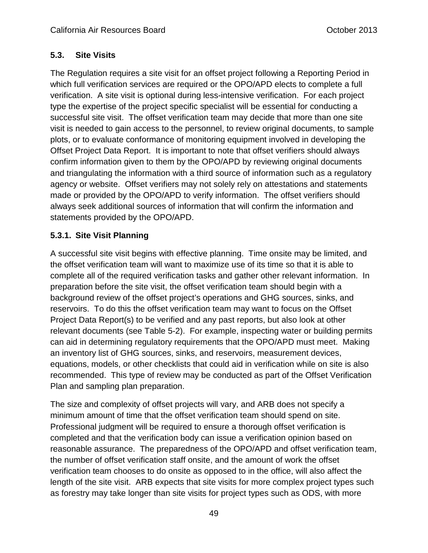# **5.3. Site Visits**

The Regulation requires a site visit for an offset project following a Reporting Period in which full verification services are required or the OPO/APD elects to complete a full verification. A site visit is optional during less-intensive verification. For each project type the expertise of the project specific specialist will be essential for conducting a successful site visit. The offset verification team may decide that more than one site visit is needed to gain access to the personnel, to review original documents, to sample plots, or to evaluate conformance of monitoring equipment involved in developing the Offset Project Data Report. It is important to note that offset verifiers should always confirm information given to them by the OPO/APD by reviewing original documents and triangulating the information with a third source of information such as a regulatory agency or website. Offset verifiers may not solely rely on attestations and statements made or provided by the OPO/APD to verify information. The offset verifiers should always seek additional sources of information that will confirm the information and statements provided by the OPO/APD.

# **5.3.1. Site Visit Planning**

A successful site visit begins with effective planning. Time onsite may be limited, and the offset verification team will want to maximize use of its time so that it is able to complete all of the required verification tasks and gather other relevant information. In preparation before the site visit, the offset verification team should begin with a background review of the offset project's operations and GHG sources, sinks, and reservoirs. To do this the offset verification team may want to focus on the Offset Project Data Report(s) to be verified and any past reports, but also look at other relevant documents (see Table 5-2). For example, inspecting water or building permits can aid in determining regulatory requirements that the OPO/APD must meet. Making an inventory list of GHG sources, sinks, and reservoirs, measurement devices, equations, models, or other checklists that could aid in verification while on site is also recommended. This type of review may be conducted as part of the Offset Verification Plan and sampling plan preparation.

The size and complexity of offset projects will vary, and ARB does not specify a minimum amount of time that the offset verification team should spend on site. Professional judgment will be required to ensure a thorough offset verification is completed and that the verification body can issue a verification opinion based on reasonable assurance. The preparedness of the OPO/APD and offset verification team, the number of offset verification staff onsite, and the amount of work the offset verification team chooses to do onsite as opposed to in the office, will also affect the length of the site visit. ARB expects that site visits for more complex project types such as forestry may take longer than site visits for project types such as ODS, with more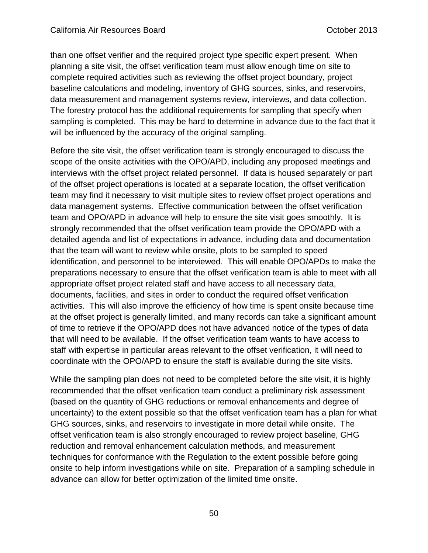than one offset verifier and the required project type specific expert present. When planning a site visit, the offset verification team must allow enough time on site to complete required activities such as reviewing the offset project boundary, project baseline calculations and modeling, inventory of GHG sources, sinks, and reservoirs, data measurement and management systems review, interviews, and data collection. The forestry protocol has the additional requirements for sampling that specify when sampling is completed. This may be hard to determine in advance due to the fact that it will be influenced by the accuracy of the original sampling.

Before the site visit, the offset verification team is strongly encouraged to discuss the scope of the onsite activities with the OPO/APD, including any proposed meetings and interviews with the offset project related personnel. If data is housed separately or part of the offset project operations is located at a separate location, the offset verification team may find it necessary to visit multiple sites to review offset project operations and data management systems. Effective communication between the offset verification team and OPO/APD in advance will help to ensure the site visit goes smoothly. It is strongly recommended that the offset verification team provide the OPO/APD with a detailed agenda and list of expectations in advance, including data and documentation that the team will want to review while onsite, plots to be sampled to speed identification, and personnel to be interviewed. This will enable OPO/APDs to make the preparations necessary to ensure that the offset verification team is able to meet with all appropriate offset project related staff and have access to all necessary data, documents, facilities, and sites in order to conduct the required offset verification activities. This will also improve the efficiency of how time is spent onsite because time at the offset project is generally limited, and many records can take a significant amount of time to retrieve if the OPO/APD does not have advanced notice of the types of data that will need to be available. If the offset verification team wants to have access to staff with expertise in particular areas relevant to the offset verification, it will need to coordinate with the OPO/APD to ensure the staff is available during the site visits.

While the sampling plan does not need to be completed before the site visit, it is highly recommended that the offset verification team conduct a preliminary risk assessment (based on the quantity of GHG reductions or removal enhancements and degree of uncertainty) to the extent possible so that the offset verification team has a plan for what GHG sources, sinks, and reservoirs to investigate in more detail while onsite. The offset verification team is also strongly encouraged to review project baseline, GHG reduction and removal enhancement calculation methods, and measurement techniques for conformance with the Regulation to the extent possible before going onsite to help inform investigations while on site. Preparation of a sampling schedule in advance can allow for better optimization of the limited time onsite.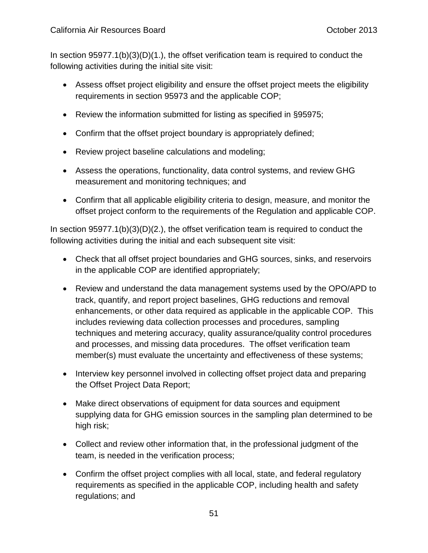In section  $95977.1(b)(3)(D)(1)$ , the offset verification team is required to conduct the following activities during the initial site visit:

- Assess offset project eligibility and ensure the offset project meets the eligibility requirements in section 95973 and the applicable COP;
- Review the information submitted for listing as specified in §95975;
- Confirm that the offset project boundary is appropriately defined;
- Review project baseline calculations and modeling;
- Assess the operations, functionality, data control systems, and review GHG measurement and monitoring techniques; and
- Confirm that all applicable eligibility criteria to design, measure, and monitor the offset project conform to the requirements of the Regulation and applicable COP.

In section  $95977.1(b)(3)(D)(2)$ , the offset verification team is required to conduct the following activities during the initial and each subsequent site visit:

- Check that all offset project boundaries and GHG sources, sinks, and reservoirs in the applicable COP are identified appropriately;
- Review and understand the data management systems used by the OPO/APD to track, quantify, and report project baselines, GHG reductions and removal enhancements, or other data required as applicable in the applicable COP. This includes reviewing data collection processes and procedures, sampling techniques and metering accuracy, quality assurance/quality control procedures and processes, and missing data procedures. The offset verification team member(s) must evaluate the uncertainty and effectiveness of these systems;
- Interview key personnel involved in collecting offset project data and preparing the Offset Project Data Report;
- Make direct observations of equipment for data sources and equipment supplying data for GHG emission sources in the sampling plan determined to be high risk;
- Collect and review other information that, in the professional judgment of the team, is needed in the verification process;
- Confirm the offset project complies with all local, state, and federal regulatory requirements as specified in the applicable COP, including health and safety regulations; and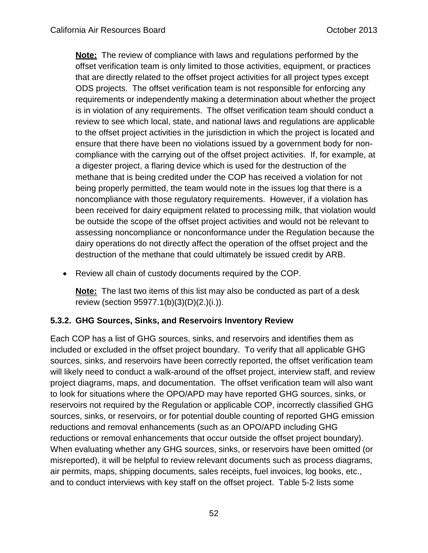**Note:** The review of compliance with laws and regulations performed by the offset verification team is only limited to those activities, equipment, or practices that are directly related to the offset project activities for all project types except ODS projects. The offset verification team is not responsible for enforcing any requirements or independently making a determination about whether the project is in violation of any requirements. The offset verification team should conduct a review to see which local, state, and national laws and regulations are applicable to the offset project activities in the jurisdiction in which the project is located and ensure that there have been no violations issued by a government body for noncompliance with the carrying out of the offset project activities. If, for example, at a digester project, a flaring device which is used for the destruction of the methane that is being credited under the COP has received a violation for not being properly permitted, the team would note in the issues log that there is a noncompliance with those regulatory requirements. However, if a violation has been received for dairy equipment related to processing milk, that violation would be outside the scope of the offset project activities and would not be relevant to assessing noncompliance or nonconformance under the Regulation because the dairy operations do not directly affect the operation of the offset project and the destruction of the methane that could ultimately be issued credit by ARB.

• Review all chain of custody documents required by the COP.

**Note:** The last two items of this list may also be conducted as part of a desk review (section 95977.1(b)(3)(D)(2.)(i.)).

#### **5.3.2. GHG Sources, Sinks, and Reservoirs Inventory Review**

Each COP has a list of GHG sources, sinks, and reservoirs and identifies them as included or excluded in the offset project boundary. To verify that all applicable GHG sources, sinks, and reservoirs have been correctly reported, the offset verification team will likely need to conduct a walk-around of the offset project, interview staff, and review project diagrams, maps, and documentation. The offset verification team will also want to look for situations where the OPO/APD may have reported GHG sources, sinks, or reservoirs not required by the Regulation or applicable COP, incorrectly classified GHG sources, sinks, or reservoirs, or for potential double counting of reported GHG emission reductions and removal enhancements (such as an OPO/APD including GHG reductions or removal enhancements that occur outside the offset project boundary). When evaluating whether any GHG sources, sinks, or reservoirs have been omitted (or misreported), it will be helpful to review relevant documents such as process diagrams, air permits, maps, shipping documents, sales receipts, fuel invoices, log books, etc., and to conduct interviews with key staff on the offset project. Table 5-2 lists some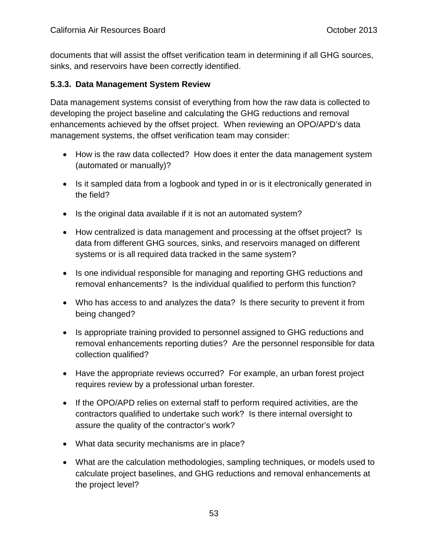documents that will assist the offset verification team in determining if all GHG sources, sinks, and reservoirs have been correctly identified.

#### **5.3.3. Data Management System Review**

Data management systems consist of everything from how the raw data is collected to developing the project baseline and calculating the GHG reductions and removal enhancements achieved by the offset project. When reviewing an OPO/APD's data management systems, the offset verification team may consider:

- How is the raw data collected? How does it enter the data management system (automated or manually)?
- Is it sampled data from a logbook and typed in or is it electronically generated in the field?
- Is the original data available if it is not an automated system?
- How centralized is data management and processing at the offset project? Is data from different GHG sources, sinks, and reservoirs managed on different systems or is all required data tracked in the same system?
- Is one individual responsible for managing and reporting GHG reductions and removal enhancements? Is the individual qualified to perform this function?
- Who has access to and analyzes the data? Is there security to prevent it from being changed?
- Is appropriate training provided to personnel assigned to GHG reductions and removal enhancements reporting duties? Are the personnel responsible for data collection qualified?
- Have the appropriate reviews occurred? For example, an urban forest project requires review by a professional urban forester.
- If the OPO/APD relies on external staff to perform required activities, are the contractors qualified to undertake such work? Is there internal oversight to assure the quality of the contractor's work?
- What data security mechanisms are in place?
- What are the calculation methodologies, sampling techniques, or models used to calculate project baselines, and GHG reductions and removal enhancements at the project level?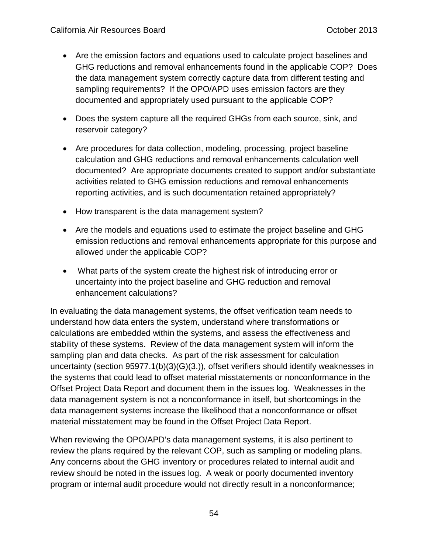- Are the emission factors and equations used to calculate project baselines and GHG reductions and removal enhancements found in the applicable COP? Does the data management system correctly capture data from different testing and sampling requirements? If the OPO/APD uses emission factors are they documented and appropriately used pursuant to the applicable COP?
- Does the system capture all the required GHGs from each source, sink, and reservoir category?
- Are procedures for data collection, modeling, processing, project baseline calculation and GHG reductions and removal enhancements calculation well documented? Are appropriate documents created to support and/or substantiate activities related to GHG emission reductions and removal enhancements reporting activities, and is such documentation retained appropriately?
- How transparent is the data management system?
- Are the models and equations used to estimate the project baseline and GHG emission reductions and removal enhancements appropriate for this purpose and allowed under the applicable COP?
- What parts of the system create the highest risk of introducing error or uncertainty into the project baseline and GHG reduction and removal enhancement calculations?

In evaluating the data management systems, the offset verification team needs to understand how data enters the system, understand where transformations or calculations are embedded within the systems, and assess the effectiveness and stability of these systems. Review of the data management system will inform the sampling plan and data checks. As part of the risk assessment for calculation uncertainty (section 95977.1(b)(3)(G)(3.)), offset verifiers should identify weaknesses in the systems that could lead to offset material misstatements or nonconformance in the Offset Project Data Report and document them in the issues log. Weaknesses in the data management system is not a nonconformance in itself, but shortcomings in the data management systems increase the likelihood that a nonconformance or offset material misstatement may be found in the Offset Project Data Report.

When reviewing the OPO/APD's data management systems, it is also pertinent to review the plans required by the relevant COP, such as sampling or modeling plans. Any concerns about the GHG inventory or procedures related to internal audit and review should be noted in the issues log. A weak or poorly documented inventory program or internal audit procedure would not directly result in a nonconformance;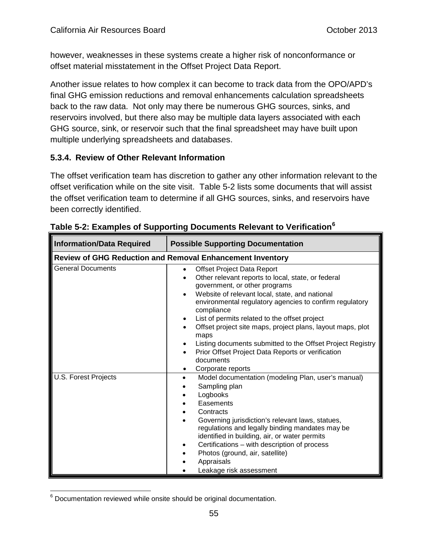however, weaknesses in these systems create a higher risk of nonconformance or offset material misstatement in the Offset Project Data Report.

Another issue relates to how complex it can become to track data from the OPO/APD's final GHG emission reductions and removal enhancements calculation spreadsheets back to the raw data. Not only may there be numerous GHG sources, sinks, and reservoirs involved, but there also may be multiple data layers associated with each GHG source, sink, or reservoir such that the final spreadsheet may have built upon multiple underlying spreadsheets and databases.

# **5.3.4. Review of Other Relevant Information**

The offset verification team has discretion to gather any other information relevant to the offset verification while on the site visit. Table 5-2 lists some documents that will assist the offset verification team to determine if all GHG sources, sinks, and reservoirs have been correctly identified.

| <b>Information/Data Required</b> | <b>Possible Supporting Documentation</b>                                                                                                                                                                                                                                                                                                                                                                                                                                                                                                                                  |  |  |
|----------------------------------|---------------------------------------------------------------------------------------------------------------------------------------------------------------------------------------------------------------------------------------------------------------------------------------------------------------------------------------------------------------------------------------------------------------------------------------------------------------------------------------------------------------------------------------------------------------------------|--|--|
|                                  | Review of GHG Reduction and Removal Enhancement Inventory                                                                                                                                                                                                                                                                                                                                                                                                                                                                                                                 |  |  |
| <b>General Documents</b>         | Offset Project Data Report<br>$\bullet$<br>Other relevant reports to local, state, or federal<br>$\bullet$<br>government, or other programs<br>Website of relevant local, state, and national<br>$\bullet$<br>environmental regulatory agencies to confirm regulatory<br>compliance<br>List of permits related to the offset project<br>٠<br>Offset project site maps, project plans, layout maps, plot<br>$\bullet$<br>maps<br>Listing documents submitted to the Offset Project Registry<br>$\bullet$<br>Prior Offset Project Data Reports or verification<br>documents |  |  |
| U.S. Forest Projects             | Corporate reports<br>Model documentation (modeling Plan, user's manual)<br>Sampling plan<br>Logbooks<br>Easements<br>Contracts<br>Governing jurisdiction's relevant laws, statues,<br>regulations and legally binding mandates may be<br>identified in building, air, or water permits<br>Certifications - with description of process<br>Photos (ground, air, satellite)<br>Appraisals<br>Leakage risk assessment                                                                                                                                                        |  |  |

**Table 5-2: Examples of Supporting Documents Relevant to Verification[6](#page-27-0)**

<span id="page-54-0"></span> $6$  Documentation reviewed while onsite should be original documentation.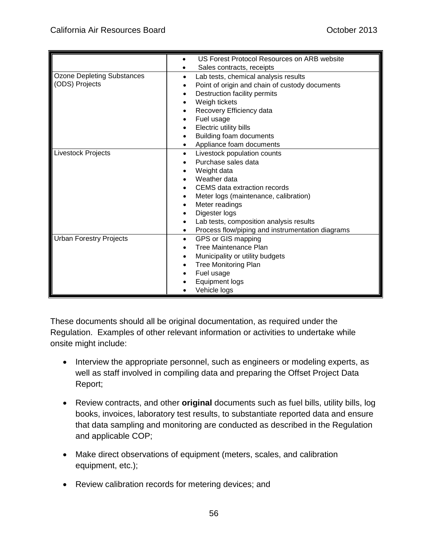|                                   | US Forest Protocol Resources on ARB website                   |
|-----------------------------------|---------------------------------------------------------------|
|                                   | Sales contracts, receipts                                     |
| <b>Ozone Depleting Substances</b> | Lab tests, chemical analysis results<br>$\bullet$             |
| (ODS) Projects                    | Point of origin and chain of custody documents                |
|                                   | Destruction facility permits                                  |
|                                   | Weigh tickets<br>$\bullet$                                    |
|                                   | Recovery Efficiency data                                      |
|                                   | Fuel usage                                                    |
|                                   | Electric utility bills                                        |
|                                   | Building foam documents<br>$\bullet$                          |
|                                   | Appliance foam documents<br>$\bullet$                         |
| Livestock Projects                | Livestock population counts<br>$\bullet$                      |
|                                   | Purchase sales data                                           |
|                                   | Weight data                                                   |
|                                   | Weather data                                                  |
|                                   | CEMS data extraction records                                  |
|                                   | Meter logs (maintenance, calibration)<br>$\bullet$            |
|                                   | Meter readings                                                |
|                                   | Digester logs                                                 |
|                                   | Lab tests, composition analysis results                       |
|                                   | Process flow/piping and instrumentation diagrams<br>$\bullet$ |
| <b>Urban Forestry Projects</b>    | GPS or GIS mapping<br>$\bullet$                               |
|                                   | Tree Maintenance Plan                                         |
|                                   | Municipality or utility budgets<br>$\bullet$                  |
|                                   | <b>Tree Monitoring Plan</b><br>$\bullet$                      |
|                                   | Fuel usage                                                    |
|                                   | <b>Equipment logs</b>                                         |
|                                   | Vehicle logs                                                  |

These documents should all be original documentation, as required under the Regulation. Examples of other relevant information or activities to undertake while onsite might include:

- Interview the appropriate personnel, such as engineers or modeling experts, as well as staff involved in compiling data and preparing the Offset Project Data Report;
- Review contracts, and other **original** documents such as fuel bills, utility bills, log books, invoices, laboratory test results, to substantiate reported data and ensure that data sampling and monitoring are conducted as described in the Regulation and applicable COP;
- Make direct observations of equipment (meters, scales, and calibration equipment, etc.);
- Review calibration records for metering devices; and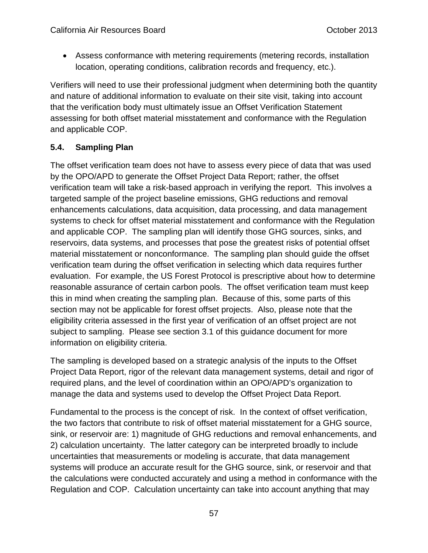• Assess conformance with metering requirements (metering records, installation location, operating conditions, calibration records and frequency, etc.).

Verifiers will need to use their professional judgment when determining both the quantity and nature of additional information to evaluate on their site visit, taking into account that the verification body must ultimately issue an Offset Verification Statement assessing for both offset material misstatement and conformance with the Regulation and applicable COP.

# **5.4. Sampling Plan**

The offset verification team does not have to assess every piece of data that was used by the OPO/APD to generate the Offset Project Data Report; rather, the offset verification team will take a risk-based approach in verifying the report. This involves a targeted sample of the project baseline emissions, GHG reductions and removal enhancements calculations, data acquisition, data processing, and data management systems to check for offset material misstatement and conformance with the Regulation and applicable COP. The sampling plan will identify those GHG sources, sinks, and reservoirs, data systems, and processes that pose the greatest risks of potential offset material misstatement or nonconformance. The sampling plan should guide the offset verification team during the offset verification in selecting which data requires further evaluation. For example, the US Forest Protocol is prescriptive about how to determine reasonable assurance of certain carbon pools. The offset verification team must keep this in mind when creating the sampling plan. Because of this, some parts of this section may not be applicable for forest offset projects. Also, please note that the eligibility criteria assessed in the first year of verification of an offset project are not subject to sampling. Please see section 3.1 of this guidance document for more information on eligibility criteria.

The sampling is developed based on a strategic analysis of the inputs to the Offset Project Data Report, rigor of the relevant data management systems, detail and rigor of required plans, and the level of coordination within an OPO/APD's organization to manage the data and systems used to develop the Offset Project Data Report.

Fundamental to the process is the concept of risk. In the context of offset verification, the two factors that contribute to risk of offset material misstatement for a GHG source, sink, or reservoir are: 1) magnitude of GHG reductions and removal enhancements, and 2) calculation uncertainty. The latter category can be interpreted broadly to include uncertainties that measurements or modeling is accurate, that data management systems will produce an accurate result for the GHG source, sink, or reservoir and that the calculations were conducted accurately and using a method in conformance with the Regulation and COP. Calculation uncertainty can take into account anything that may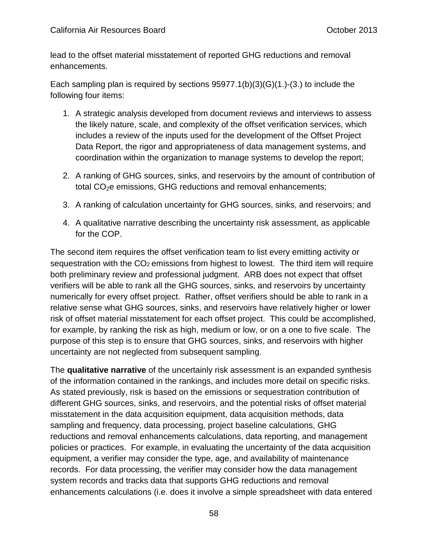lead to the offset material misstatement of reported GHG reductions and removal enhancements.

Each sampling plan is required by sections 95977.1(b)(3)(G)(1.)-(3.) to include the following four items:

- 1. A strategic analysis developed from document reviews and interviews to assess the likely nature, scale, and complexity of the offset verification services, which includes a review of the inputs used for the development of the Offset Project Data Report, the rigor and appropriateness of data management systems, and coordination within the organization to manage systems to develop the report;
- 2. A ranking of GHG sources, sinks, and reservoirs by the amount of contribution of total  $CO<sub>2</sub>e$  emissions, GHG reductions and removal enhancements;
- 3. A ranking of calculation uncertainty for GHG sources, sinks, and reservoirs; and
- 4. A qualitative narrative describing the uncertainty risk assessment, as applicable for the COP.

The second item requires the offset verification team to list every emitting activity or sequestration with the CO<sub>2</sub> emissions from highest to lowest. The third item will require both preliminary review and professional judgment. ARB does not expect that offset verifiers will be able to rank all the GHG sources, sinks, and reservoirs by uncertainty numerically for every offset project. Rather, offset verifiers should be able to rank in a relative sense what GHG sources, sinks, and reservoirs have relatively higher or lower risk of offset material misstatement for each offset project. This could be accomplished, for example, by ranking the risk as high, medium or low, or on a one to five scale. The purpose of this step is to ensure that GHG sources, sinks, and reservoirs with higher uncertainty are not neglected from subsequent sampling.

The **qualitative narrative** of the uncertainly risk assessment is an expanded synthesis of the information contained in the rankings, and includes more detail on specific risks. As stated previously, risk is based on the emissions or sequestration contribution of different GHG sources, sinks, and reservoirs, and the potential risks of offset material misstatement in the data acquisition equipment, data acquisition methods, data sampling and frequency, data processing, project baseline calculations, GHG reductions and removal enhancements calculations, data reporting, and management policies or practices. For example, in evaluating the uncertainty of the data acquisition equipment, a verifier may consider the type, age, and availability of maintenance records. For data processing, the verifier may consider how the data management system records and tracks data that supports GHG reductions and removal enhancements calculations (i.e. does it involve a simple spreadsheet with data entered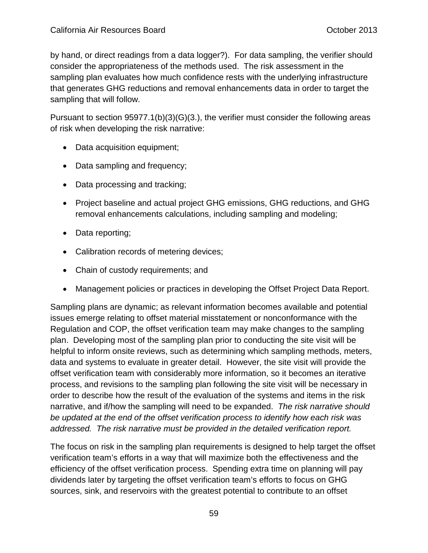by hand, or direct readings from a data logger?). For data sampling, the verifier should consider the appropriateness of the methods used. The risk assessment in the sampling plan evaluates how much confidence rests with the underlying infrastructure that generates GHG reductions and removal enhancements data in order to target the sampling that will follow.

Pursuant to section 95977.1(b)(3)(G)(3.), the verifier must consider the following areas of risk when developing the risk narrative:

- Data acquisition equipment;
- Data sampling and frequency:
- Data processing and tracking;
- Project baseline and actual project GHG emissions, GHG reductions, and GHG removal enhancements calculations, including sampling and modeling;
- Data reporting;
- Calibration records of metering devices;
- Chain of custody requirements; and
- Management policies or practices in developing the Offset Project Data Report.

Sampling plans are dynamic; as relevant information becomes available and potential issues emerge relating to offset material misstatement or nonconformance with the Regulation and COP, the offset verification team may make changes to the sampling plan. Developing most of the sampling plan prior to conducting the site visit will be helpful to inform onsite reviews, such as determining which sampling methods, meters, data and systems to evaluate in greater detail. However, the site visit will provide the offset verification team with considerably more information, so it becomes an iterative process, and revisions to the sampling plan following the site visit will be necessary in order to describe how the result of the evaluation of the systems and items in the risk narrative, and if/how the sampling will need to be expanded. *The risk narrative should be updated at the end of the offset verification process to identify how each risk was addressed. The risk narrative must be provided in the detailed verification report.*

The focus on risk in the sampling plan requirements is designed to help target the offset verification team's efforts in a way that will maximize both the effectiveness and the efficiency of the offset verification process. Spending extra time on planning will pay dividends later by targeting the offset verification team's efforts to focus on GHG sources, sink, and reservoirs with the greatest potential to contribute to an offset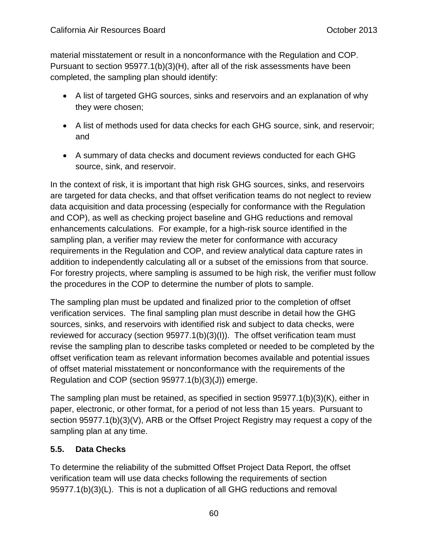material misstatement or result in a nonconformance with the Regulation and COP. Pursuant to section 95977.1(b)(3)(H), after all of the risk assessments have been completed, the sampling plan should identify:

- A list of targeted GHG sources, sinks and reservoirs and an explanation of why they were chosen;
- A list of methods used for data checks for each GHG source, sink, and reservoir; and
- A summary of data checks and document reviews conducted for each GHG source, sink, and reservoir.

In the context of risk, it is important that high risk GHG sources, sinks, and reservoirs are targeted for data checks, and that offset verification teams do not neglect to review data acquisition and data processing (especially for conformance with the Regulation and COP), as well as checking project baseline and GHG reductions and removal enhancements calculations. For example, for a high-risk source identified in the sampling plan, a verifier may review the meter for conformance with accuracy requirements in the Regulation and COP, and review analytical data capture rates in addition to independently calculating all or a subset of the emissions from that source. For forestry projects, where sampling is assumed to be high risk, the verifier must follow the procedures in the COP to determine the number of plots to sample.

The sampling plan must be updated and finalized prior to the completion of offset verification services. The final sampling plan must describe in detail how the GHG sources, sinks, and reservoirs with identified risk and subject to data checks, were reviewed for accuracy (section 95977.1(b)(3)(I)). The offset verification team must revise the sampling plan to describe tasks completed or needed to be completed by the offset verification team as relevant information becomes available and potential issues of offset material misstatement or nonconformance with the requirements of the Regulation and COP (section 95977.1(b)(3)(J)) emerge.

The sampling plan must be retained, as specified in section 95977.1(b)(3)(K), either in paper, electronic, or other format, for a period of not less than 15 years. Pursuant to section 95977.1(b)(3)(V), ARB or the Offset Project Registry may request a copy of the sampling plan at any time.

# **5.5. Data Checks**

To determine the reliability of the submitted Offset Project Data Report, the offset verification team will use data checks following the requirements of section 95977.1(b)(3)(L). This is not a duplication of all GHG reductions and removal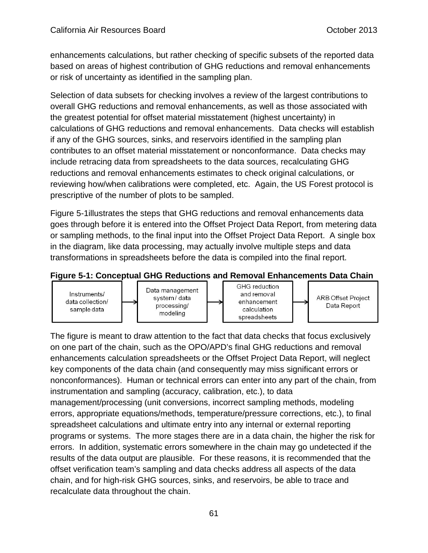enhancements calculations, but rather checking of specific subsets of the reported data based on areas of highest contribution of GHG reductions and removal enhancements or risk of uncertainty as identified in the sampling plan.

Selection of data subsets for checking involves a review of the largest contributions to overall GHG reductions and removal enhancements, as well as those associated with the greatest potential for offset material misstatement (highest uncertainty) in calculations of GHG reductions and removal enhancements. Data checks will establish if any of the GHG sources, sinks, and reservoirs identified in the sampling plan contributes to an offset material misstatement or nonconformance. Data checks may include retracing data from spreadsheets to the data sources, recalculating GHG reductions and removal enhancements estimates to check original calculations, or reviewing how/when calibrations were completed, etc. Again, the US Forest protocol is prescriptive of the number of plots to be sampled.

Figure 5-1illustrates the steps that GHG reductions and removal enhancements data goes through before it is entered into the Offset Project Data Report, from metering data or sampling methods, to the final input into the Offset Project Data Report. A single box in the diagram, like data processing, may actually involve multiple steps and data transformations in spreadsheets before the data is compiled into the final report.





The figure is meant to draw attention to the fact that data checks that focus exclusively on one part of the chain, such as the OPO/APD's final GHG reductions and removal enhancements calculation spreadsheets or the Offset Project Data Report, will neglect key components of the data chain (and consequently may miss significant errors or nonconformances). Human or technical errors can enter into any part of the chain, from instrumentation and sampling (accuracy, calibration, etc.), to data management/processing (unit conversions, incorrect sampling methods, modeling errors, appropriate equations/methods, temperature/pressure corrections, etc.), to final spreadsheet calculations and ultimate entry into any internal or external reporting programs or systems. The more stages there are in a data chain, the higher the risk for errors. In addition, systematic errors somewhere in the chain may go undetected if the results of the data output are plausible. For these reasons, it is recommended that the offset verification team's sampling and data checks address all aspects of the data chain, and for high-risk GHG sources, sinks, and reservoirs, be able to trace and recalculate data throughout the chain.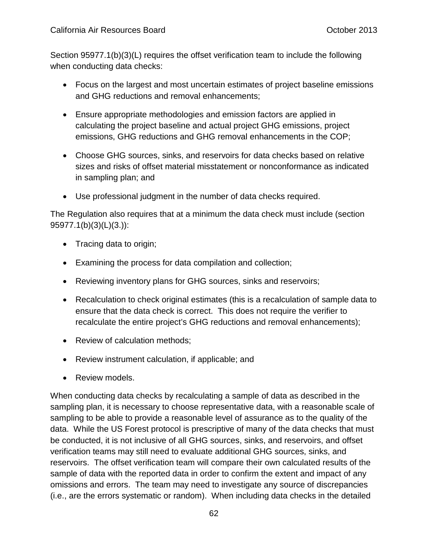Section 95977.1(b)(3)(L) requires the offset verification team to include the following when conducting data checks:

- Focus on the largest and most uncertain estimates of project baseline emissions and GHG reductions and removal enhancements;
- Ensure appropriate methodologies and emission factors are applied in calculating the project baseline and actual project GHG emissions, project emissions, GHG reductions and GHG removal enhancements in the COP;
- Choose GHG sources, sinks, and reservoirs for data checks based on relative sizes and risks of offset material misstatement or nonconformance as indicated in sampling plan; and
- Use professional judgment in the number of data checks required.

The Regulation also requires that at a minimum the data check must include (section 95977.1(b)(3)(L)(3.)):

- Tracing data to origin;
- Examining the process for data compilation and collection;
- Reviewing inventory plans for GHG sources, sinks and reservoirs;
- Recalculation to check original estimates (this is a recalculation of sample data to ensure that the data check is correct. This does not require the verifier to recalculate the entire project's GHG reductions and removal enhancements);
- Review of calculation methods;
- Review instrument calculation, if applicable; and
- Review models.

When conducting data checks by recalculating a sample of data as described in the sampling plan, it is necessary to choose representative data, with a reasonable scale of sampling to be able to provide a reasonable level of assurance as to the quality of the data. While the US Forest protocol is prescriptive of many of the data checks that must be conducted, it is not inclusive of all GHG sources, sinks, and reservoirs, and offset verification teams may still need to evaluate additional GHG sources, sinks, and reservoirs. The offset verification team will compare their own calculated results of the sample of data with the reported data in order to confirm the extent and impact of any omissions and errors. The team may need to investigate any source of discrepancies (i.e., are the errors systematic or random). When including data checks in the detailed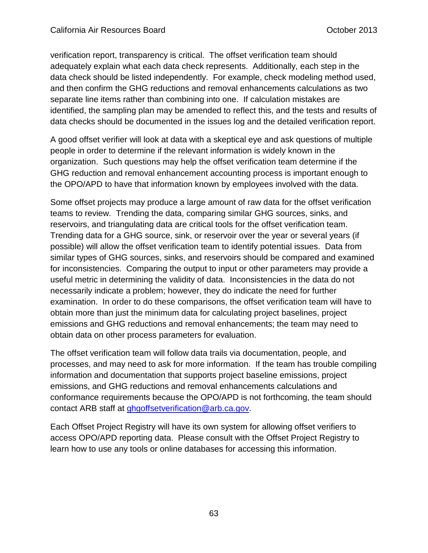verification report, transparency is critical. The offset verification team should adequately explain what each data check represents. Additionally, each step in the data check should be listed independently. For example, check modeling method used, and then confirm the GHG reductions and removal enhancements calculations as two separate line items rather than combining into one. If calculation mistakes are identified, the sampling plan may be amended to reflect this, and the tests and results of data checks should be documented in the issues log and the detailed verification report.

A good offset verifier will look at data with a skeptical eye and ask questions of multiple people in order to determine if the relevant information is widely known in the organization. Such questions may help the offset verification team determine if the GHG reduction and removal enhancement accounting process is important enough to the OPO/APD to have that information known by employees involved with the data.

Some offset projects may produce a large amount of raw data for the offset verification teams to review. Trending the data, comparing similar GHG sources, sinks, and reservoirs, and triangulating data are critical tools for the offset verification team. Trending data for a GHG source, sink, or reservoir over the year or several years (if possible) will allow the offset verification team to identify potential issues. Data from similar types of GHG sources, sinks, and reservoirs should be compared and examined for inconsistencies. Comparing the output to input or other parameters may provide a useful metric in determining the validity of data. Inconsistencies in the data do not necessarily indicate a problem; however, they do indicate the need for further examination. In order to do these comparisons, the offset verification team will have to obtain more than just the minimum data for calculating project baselines, project emissions and GHG reductions and removal enhancements; the team may need to obtain data on other process parameters for evaluation.

The offset verification team will follow data trails via documentation, people, and processes, and may need to ask for more information. If the team has trouble compiling information and documentation that supports project baseline emissions, project emissions, and GHG reductions and removal enhancements calculations and conformance requirements because the OPO/APD is not forthcoming, the team should contact ARB staff at [ghgoffsetverification@arb.ca.gov.](mailto:ghgoffsetverification@arb.ca.gov)

Each Offset Project Registry will have its own system for allowing offset verifiers to access OPO/APD reporting data. Please consult with the Offset Project Registry to learn how to use any tools or online databases for accessing this information.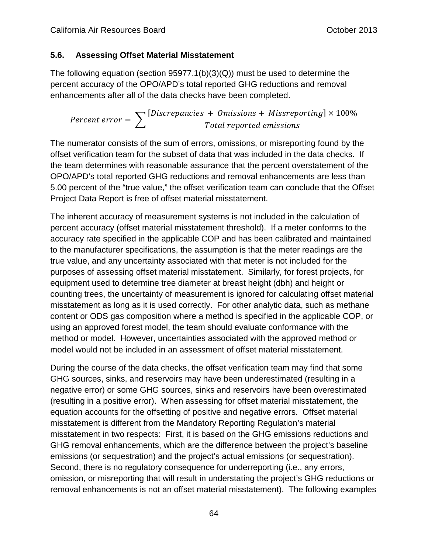#### **5.6. Assessing Offset Material Misstatement**

The following equation (section 95977.1(b)(3)(Q)) must be used to determine the percent accuracy of the OPO/APD's total reported GHG reductions and removal enhancements after all of the data checks have been completed.

$$
Percent\ error = \sum \frac{[Discrepancies + Omissions + Missreporting] \times 100\%}{Total\ reported\ emissions}
$$

The numerator consists of the sum of errors, omissions, or misreporting found by the offset verification team for the subset of data that was included in the data checks. If the team determines with reasonable assurance that the percent overstatement of the OPO/APD's total reported GHG reductions and removal enhancements are less than 5.00 percent of the "true value," the offset verification team can conclude that the Offset Project Data Report is free of offset material misstatement.

The inherent accuracy of measurement systems is not included in the calculation of percent accuracy (offset material misstatement threshold). If a meter conforms to the accuracy rate specified in the applicable COP and has been calibrated and maintained to the manufacturer specifications, the assumption is that the meter readings are the true value, and any uncertainty associated with that meter is not included for the purposes of assessing offset material misstatement. Similarly, for forest projects, for equipment used to determine tree diameter at breast height (dbh) and height or counting trees, the uncertainty of measurement is ignored for calculating offset material misstatement as long as it is used correctly. For other analytic data, such as methane content or ODS gas composition where a method is specified in the applicable COP, or using an approved forest model, the team should evaluate conformance with the method or model. However, uncertainties associated with the approved method or model would not be included in an assessment of offset material misstatement.

During the course of the data checks, the offset verification team may find that some GHG sources, sinks, and reservoirs may have been underestimated (resulting in a negative error) or some GHG sources, sinks and reservoirs have been overestimated (resulting in a positive error). When assessing for offset material misstatement, the equation accounts for the offsetting of positive and negative errors. Offset material misstatement is different from the Mandatory Reporting Regulation's material misstatement in two respects: First, it is based on the GHG emissions reductions and GHG removal enhancements, which are the difference between the project's baseline emissions (or sequestration) and the project's actual emissions (or sequestration). Second, there is no regulatory consequence for underreporting (i.e., any errors, omission, or misreporting that will result in understating the project's GHG reductions or removal enhancements is not an offset material misstatement). The following examples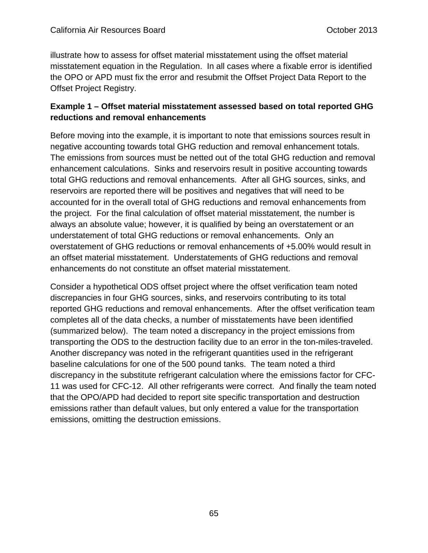illustrate how to assess for offset material misstatement using the offset material misstatement equation in the Regulation. In all cases where a fixable error is identified the OPO or APD must fix the error and resubmit the Offset Project Data Report to the Offset Project Registry.

#### **Example 1 – Offset material misstatement assessed based on total reported GHG reductions and removal enhancements**

Before moving into the example, it is important to note that emissions sources result in negative accounting towards total GHG reduction and removal enhancement totals. The emissions from sources must be netted out of the total GHG reduction and removal enhancement calculations. Sinks and reservoirs result in positive accounting towards total GHG reductions and removal enhancements. After all GHG sources, sinks, and reservoirs are reported there will be positives and negatives that will need to be accounted for in the overall total of GHG reductions and removal enhancements from the project. For the final calculation of offset material misstatement, the number is always an absolute value; however, it is qualified by being an overstatement or an understatement of total GHG reductions or removal enhancements. Only an overstatement of GHG reductions or removal enhancements of +5.00% would result in an offset material misstatement. Understatements of GHG reductions and removal enhancements do not constitute an offset material misstatement.

Consider a hypothetical ODS offset project where the offset verification team noted discrepancies in four GHG sources, sinks, and reservoirs contributing to its total reported GHG reductions and removal enhancements. After the offset verification team completes all of the data checks, a number of misstatements have been identified (summarized below). The team noted a discrepancy in the project emissions from transporting the ODS to the destruction facility due to an error in the ton-miles-traveled. Another discrepancy was noted in the refrigerant quantities used in the refrigerant baseline calculations for one of the 500 pound tanks. The team noted a third discrepancy in the substitute refrigerant calculation where the emissions factor for CFC-11 was used for CFC-12. All other refrigerants were correct. And finally the team noted that the OPO/APD had decided to report site specific transportation and destruction emissions rather than default values, but only entered a value for the transportation emissions, omitting the destruction emissions.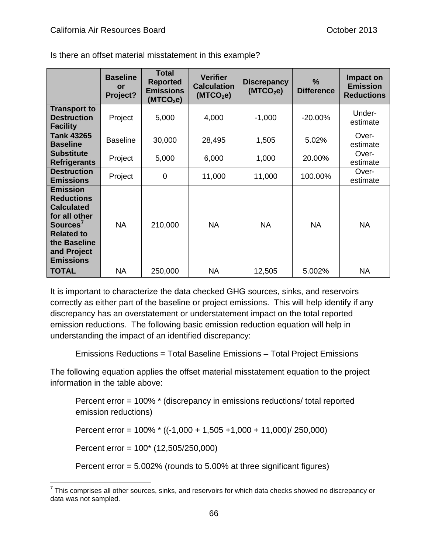|                                                                                                                                                                   | <b>Baseline</b><br>or<br>Project? | <b>Total</b><br><b>Reported</b><br><b>Emissions</b><br>(MTCO <sub>2</sub> e) | <b>Verifier</b><br><b>Calculation</b><br>(MTCO <sub>2</sub> e) | <b>Discrepancy</b><br>(MTCO <sub>2</sub> e) | $\frac{9}{6}$<br><b>Difference</b> | Impact on<br><b>Emission</b><br><b>Reductions</b> |
|-------------------------------------------------------------------------------------------------------------------------------------------------------------------|-----------------------------------|------------------------------------------------------------------------------|----------------------------------------------------------------|---------------------------------------------|------------------------------------|---------------------------------------------------|
| <b>Transport to</b><br><b>Destruction</b><br><b>Facility</b>                                                                                                      | Project                           | 5,000                                                                        | 4,000                                                          | $-1,000$                                    | $-20.00\%$                         | Under-<br>estimate                                |
| <b>Tank 43265</b><br><b>Baseline</b>                                                                                                                              | <b>Baseline</b>                   | 30,000                                                                       | 28,495                                                         | 1,505                                       | 5.02%                              | Over-<br>estimate                                 |
| <b>Substitute</b><br><b>Refrigerants</b>                                                                                                                          | Project                           | 5,000                                                                        | 6,000                                                          | 1,000                                       | 20.00%                             | Over-<br>estimate                                 |
| <b>Destruction</b><br><b>Emissions</b>                                                                                                                            | Project                           | $\overline{0}$                                                               | 11,000                                                         | 11,000                                      | 100.00%                            | Over-<br>estimate                                 |
| <b>Emission</b><br><b>Reductions</b><br><b>Calculated</b><br>for all other<br>Sources $7$<br><b>Related to</b><br>the Baseline<br>and Project<br><b>Emissions</b> | <b>NA</b>                         | 210,000                                                                      | <b>NA</b>                                                      | <b>NA</b>                                   | <b>NA</b>                          | <b>NA</b>                                         |
| <b>TOTAL</b>                                                                                                                                                      | <b>NA</b>                         | 250,000                                                                      | <b>NA</b>                                                      | 12,505                                      | 5.002%                             | <b>NA</b>                                         |

Is there an offset material misstatement in this example?

It is important to characterize the data checked GHG sources, sinks, and reservoirs correctly as either part of the baseline or project emissions. This will help identify if any discrepancy has an overstatement or understatement impact on the total reported emission reductions. The following basic emission reduction equation will help in understanding the impact of an identified discrepancy:

Emissions Reductions = Total Baseline Emissions – Total Project Emissions

The following equation applies the offset material misstatement equation to the project information in the table above:

Percent error = 100% \* (discrepancy in emissions reductions/ total reported emission reductions)

Percent error = 100% \* ((-1,000 + 1,505 +1,000 + 11,000)/ 250,000)

Percent error = 100\* (12,505/250,000)

Percent error = 5.002% (rounds to 5.00% at three significant figures)

 $7$  This comprises all other sources, sinks, and reservoirs for which data checks showed no discrepancy or data was not sampled.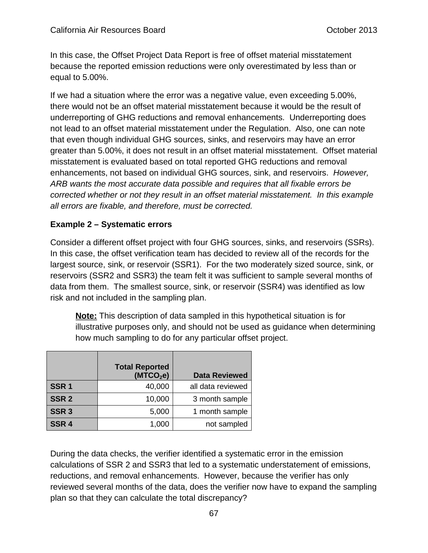In this case, the Offset Project Data Report is free of offset material misstatement because the reported emission reductions were only overestimated by less than or equal to 5.00%.

If we had a situation where the error was a negative value, even exceeding 5.00%, there would not be an offset material misstatement because it would be the result of underreporting of GHG reductions and removal enhancements. Underreporting does not lead to an offset material misstatement under the Regulation. Also, one can note that even though individual GHG sources, sinks, and reservoirs may have an error greater than 5.00%, it does not result in an offset material misstatement. Offset material misstatement is evaluated based on total reported GHG reductions and removal enhancements, not based on individual GHG sources, sink, and reservoirs. *However, ARB wants the most accurate data possible and requires that all fixable errors be corrected whether or not they result in an offset material misstatement. In this example all errors are fixable, and therefore, must be corrected.*

#### **Example 2 – Systematic errors**

Consider a different offset project with four GHG sources, sinks, and reservoirs (SSRs). In this case, the offset verification team has decided to review all of the records for the largest source, sink, or reservoir (SSR1). For the two moderately sized source, sink, or reservoirs (SSR2 and SSR3) the team felt it was sufficient to sample several months of data from them. The smallest source, sink, or reservoir (SSR4) was identified as low risk and not included in the sampling plan.

**Note:** This description of data sampled in this hypothetical situation is for illustrative purposes only, and should not be used as guidance when determining how much sampling to do for any particular offset project.

|                  | <b>Total Reported</b><br>(MTCO <sub>2</sub> e) | <b>Data Reviewed</b> |
|------------------|------------------------------------------------|----------------------|
| SSR <sub>1</sub> | 40,000                                         | all data reviewed    |
| SSR <sub>2</sub> | 10,000                                         | 3 month sample       |
| SSR <sub>3</sub> | 5,000                                          | 1 month sample       |
| SSR <sub>4</sub> | 1,000                                          | not sampled          |

During the data checks, the verifier identified a systematic error in the emission calculations of SSR 2 and SSR3 that led to a systematic understatement of emissions, reductions, and removal enhancements. However, because the verifier has only reviewed several months of the data, does the verifier now have to expand the sampling plan so that they can calculate the total discrepancy?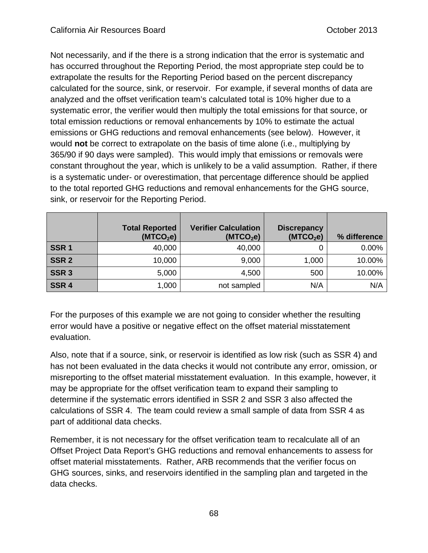Not necessarily, and if the there is a strong indication that the error is systematic and has occurred throughout the Reporting Period, the most appropriate step could be to extrapolate the results for the Reporting Period based on the percent discrepancy calculated for the source, sink, or reservoir. For example, if several months of data are analyzed and the offset verification team's calculated total is 10% higher due to a systematic error, the verifier would then multiply the total emissions for that source, or total emission reductions or removal enhancements by 10% to estimate the actual emissions or GHG reductions and removal enhancements (see below). However, it would **not** be correct to extrapolate on the basis of time alone (i.e., multiplying by 365/90 if 90 days were sampled). This would imply that emissions or removals were constant throughout the year, which is unlikely to be a valid assumption. Rather, if there is a systematic under- or overestimation, that percentage difference should be applied to the total reported GHG reductions and removal enhancements for the GHG source, sink, or reservoir for the Reporting Period.

|                  | <b>Total Reported</b><br>(MTCO <sub>2</sub> e) | <b>Verifier Calculation</b><br>(MTCO <sub>2</sub> e) | <b>Discrepancy</b><br>(MTCO <sub>2</sub> e) | % difference |
|------------------|------------------------------------------------|------------------------------------------------------|---------------------------------------------|--------------|
| SSR <sub>1</sub> | 40,000                                         | 40,000                                               | 0                                           | 0.00%        |
| SSR <sub>2</sub> | 10,000                                         | 9,000                                                | 1,000                                       | 10.00%       |
| SSR <sub>3</sub> | 5,000                                          | 4,500                                                | 500                                         | 10.00%       |
| SSR <sub>4</sub> | 1,000                                          | not sampled                                          | N/A                                         | N/A          |

For the purposes of this example we are not going to consider whether the resulting error would have a positive or negative effect on the offset material misstatement evaluation.

Also, note that if a source, sink, or reservoir is identified as low risk (such as SSR 4) and has not been evaluated in the data checks it would not contribute any error, omission, or misreporting to the offset material misstatement evaluation. In this example, however, it may be appropriate for the offset verification team to expand their sampling to determine if the systematic errors identified in SSR 2 and SSR 3 also affected the calculations of SSR 4. The team could review a small sample of data from SSR 4 as part of additional data checks.

Remember, it is not necessary for the offset verification team to recalculate all of an Offset Project Data Report's GHG reductions and removal enhancements to assess for offset material misstatements. Rather, ARB recommends that the verifier focus on GHG sources, sinks, and reservoirs identified in the sampling plan and targeted in the data checks.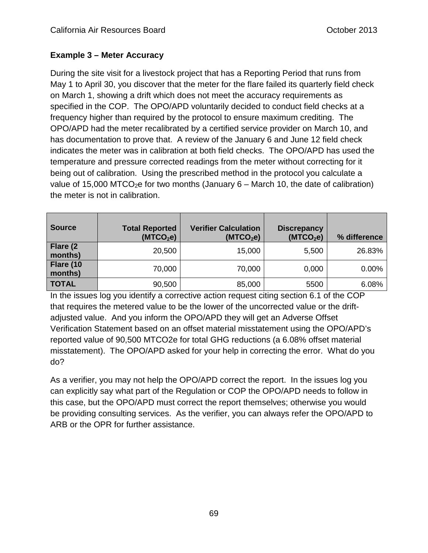## **Example 3 – Meter Accuracy**

During the site visit for a livestock project that has a Reporting Period that runs from May 1 to April 30, you discover that the meter for the flare failed its quarterly field check on March 1, showing a drift which does not meet the accuracy requirements as specified in the COP. The OPO/APD voluntarily decided to conduct field checks at a frequency higher than required by the protocol to ensure maximum crediting. The OPO/APD had the meter recalibrated by a certified service provider on March 10, and has documentation to prove that. A review of the January 6 and June 12 field check indicates the meter was in calibration at both field checks. The OPO/APD has used the temperature and pressure corrected readings from the meter without correcting for it being out of calibration. Using the prescribed method in the protocol you calculate a value of 15,000 MTCO<sub>2</sub>e for two months (January  $6 -$  March 10, the date of calibration) the meter is not in calibration.

| <b>Source</b>        | <b>Total Reported</b><br>(MTCO <sub>2</sub> e) | <b>Verifier Calculation</b><br>(MTCO <sub>2</sub> e) | <b>Discrepancy</b><br>(MTCO <sub>2</sub> e) | % difference |
|----------------------|------------------------------------------------|------------------------------------------------------|---------------------------------------------|--------------|
| Flare (2<br>months)  | 20,500                                         | 15,000                                               | 5,500                                       | 26.83%       |
| Flare (10<br>months) | 70,000                                         | 70,000                                               | 0,000                                       | 0.00%        |
| <b>TOTAL</b>         | 90,500                                         | 85,000                                               | 5500                                        | 6.08%        |

In the issues log you identify a corrective action request citing section 6.1 of the COP that requires the metered value to be the lower of the uncorrected value or the driftadjusted value. And you inform the OPO/APD they will get an Adverse Offset Verification Statement based on an offset material misstatement using the OPO/APD's reported value of 90,500 MTCO2e for total GHG reductions (a 6.08% offset material misstatement). The OPO/APD asked for your help in correcting the error. What do you do?

As a verifier, you may not help the OPO/APD correct the report. In the issues log you can explicitly say what part of the Regulation or COP the OPO/APD needs to follow in this case, but the OPO/APD must correct the report themselves; otherwise you would be providing consulting services. As the verifier, you can always refer the OPO/APD to ARB or the OPR for further assistance.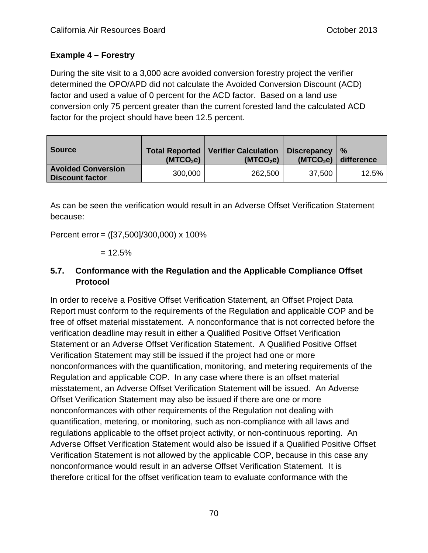#### **Example 4 – Forestry**

During the site visit to a 3,000 acre avoided conversion forestry project the verifier determined the OPO/APD did not calculate the Avoided Conversion Discount (ACD) factor and used a value of 0 percent for the ACD factor. Based on a land use conversion only 75 percent greater than the current forested land the calculated ACD factor for the project should have been 12.5 percent.

| <b>Source</b>                                       | (MTCO <sub>2</sub> e) | <b>Total Reported   Verifier Calculation</b><br>(MTCO <sub>2</sub> e) | <b>Discrepancy</b><br>(MTCO <sub>2</sub> e) | $\frac{9}{6}$<br>difference |
|-----------------------------------------------------|-----------------------|-----------------------------------------------------------------------|---------------------------------------------|-----------------------------|
| <b>Avoided Conversion</b><br><b>Discount factor</b> | 300,000               | 262,500                                                               | 37,500                                      | 12.5%                       |

As can be seen the verification would result in an Adverse Offset Verification Statement because:

Percent error = ([37,500]/300,000) x 100%

 $= 12.5%$ 

#### **5.7. Conformance with the Regulation and the Applicable Compliance Offset Protocol**

In order to receive a Positive Offset Verification Statement, an Offset Project Data Report must conform to the requirements of the Regulation and applicable COP and be free of offset material misstatement. A nonconformance that is not corrected before the verification deadline may result in either a Qualified Positive Offset Verification Statement or an Adverse Offset Verification Statement. A Qualified Positive Offset Verification Statement may still be issued if the project had one or more nonconformances with the quantification, monitoring, and metering requirements of the Regulation and applicable COP. In any case where there is an offset material misstatement, an Adverse Offset Verification Statement will be issued. An Adverse Offset Verification Statement may also be issued if there are one or more nonconformances with other requirements of the Regulation not dealing with quantification, metering, or monitoring, such as non-compliance with all laws and regulations applicable to the offset project activity, or non-continuous reporting. An Adverse Offset Verification Statement would also be issued if a Qualified Positive Offset Verification Statement is not allowed by the applicable COP, because in this case any nonconformance would result in an adverse Offset Verification Statement. It is therefore critical for the offset verification team to evaluate conformance with the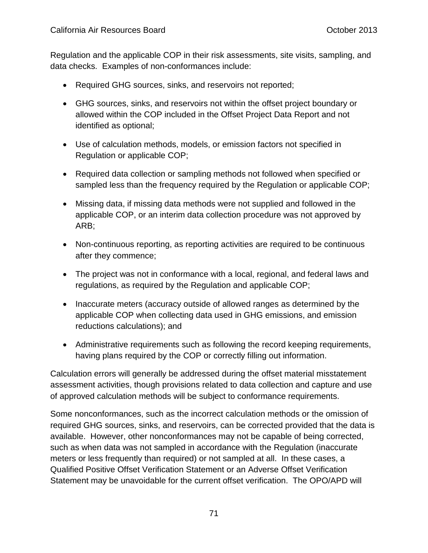Regulation and the applicable COP in their risk assessments, site visits, sampling, and data checks. Examples of non-conformances include:

- Required GHG sources, sinks, and reservoirs not reported;
- GHG sources, sinks, and reservoirs not within the offset project boundary or allowed within the COP included in the Offset Project Data Report and not identified as optional;
- Use of calculation methods, models, or emission factors not specified in Regulation or applicable COP;
- Required data collection or sampling methods not followed when specified or sampled less than the frequency required by the Regulation or applicable COP;
- Missing data, if missing data methods were not supplied and followed in the applicable COP, or an interim data collection procedure was not approved by ARB;
- Non-continuous reporting, as reporting activities are required to be continuous after they commence;
- The project was not in conformance with a local, regional, and federal laws and regulations, as required by the Regulation and applicable COP;
- Inaccurate meters (accuracy outside of allowed ranges as determined by the applicable COP when collecting data used in GHG emissions, and emission reductions calculations); and
- Administrative requirements such as following the record keeping requirements, having plans required by the COP or correctly filling out information.

Calculation errors will generally be addressed during the offset material misstatement assessment activities, though provisions related to data collection and capture and use of approved calculation methods will be subject to conformance requirements.

Some nonconformances, such as the incorrect calculation methods or the omission of required GHG sources, sinks, and reservoirs, can be corrected provided that the data is available. However, other nonconformances may not be capable of being corrected, such as when data was not sampled in accordance with the Regulation (inaccurate meters or less frequently than required) or not sampled at all. In these cases, a Qualified Positive Offset Verification Statement or an Adverse Offset Verification Statement may be unavoidable for the current offset verification. The OPO/APD will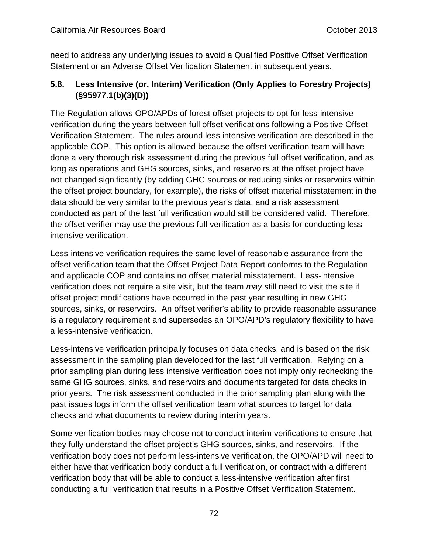need to address any underlying issues to avoid a Qualified Positive Offset Verification Statement or an Adverse Offset Verification Statement in subsequent years.

# **5.8. Less Intensive (or, Interim) Verification (Only Applies to Forestry Projects) (§95977.1(b)(3)(D))**

The Regulation allows OPO/APDs of forest offset projects to opt for less-intensive verification during the years between full offset verifications following a Positive Offset Verification Statement. The rules around less intensive verification are described in the applicable COP. This option is allowed because the offset verification team will have done a very thorough risk assessment during the previous full offset verification, and as long as operations and GHG sources, sinks, and reservoirs at the offset project have not changed significantly (by adding GHG sources or reducing sinks or reservoirs within the offset project boundary, for example), the risks of offset material misstatement in the data should be very similar to the previous year's data, and a risk assessment conducted as part of the last full verification would still be considered valid. Therefore, the offset verifier may use the previous full verification as a basis for conducting less intensive verification.

Less-intensive verification requires the same level of reasonable assurance from the offset verification team that the Offset Project Data Report conforms to the Regulation and applicable COP and contains no offset material misstatement. Less-intensive verification does not require a site visit, but the team *may* still need to visit the site if offset project modifications have occurred in the past year resulting in new GHG sources, sinks, or reservoirs. An offset verifier's ability to provide reasonable assurance is a regulatory requirement and supersedes an OPO/APD's regulatory flexibility to have a less-intensive verification.

Less-intensive verification principally focuses on data checks, and is based on the risk assessment in the sampling plan developed for the last full verification. Relying on a prior sampling plan during less intensive verification does not imply only rechecking the same GHG sources, sinks, and reservoirs and documents targeted for data checks in prior years. The risk assessment conducted in the prior sampling plan along with the past issues logs inform the offset verification team what sources to target for data checks and what documents to review during interim years.

Some verification bodies may choose not to conduct interim verifications to ensure that they fully understand the offset project's GHG sources, sinks, and reservoirs. If the verification body does not perform less-intensive verification, the OPO/APD will need to either have that verification body conduct a full verification, or contract with a different verification body that will be able to conduct a less-intensive verification after first conducting a full verification that results in a Positive Offset Verification Statement.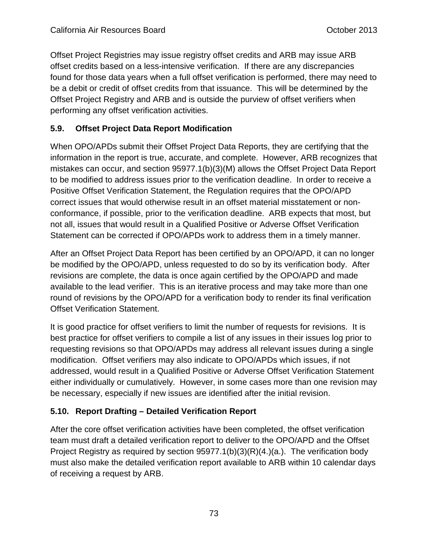Offset Project Registries may issue registry offset credits and ARB may issue ARB offset credits based on a less-intensive verification. If there are any discrepancies found for those data years when a full offset verification is performed, there may need to be a debit or credit of offset credits from that issuance. This will be determined by the Offset Project Registry and ARB and is outside the purview of offset verifiers when performing any offset verification activities.

## **5.9. Offset Project Data Report Modification**

When OPO/APDs submit their Offset Project Data Reports, they are certifying that the information in the report is true, accurate, and complete. However, ARB recognizes that mistakes can occur, and section 95977.1(b)(3)(M) allows the Offset Project Data Report to be modified to address issues prior to the verification deadline. In order to receive a Positive Offset Verification Statement, the Regulation requires that the OPO/APD correct issues that would otherwise result in an offset material misstatement or nonconformance, if possible, prior to the verification deadline. ARB expects that most, but not all, issues that would result in a Qualified Positive or Adverse Offset Verification Statement can be corrected if OPO/APDs work to address them in a timely manner.

After an Offset Project Data Report has been certified by an OPO/APD, it can no longer be modified by the OPO/APD, unless requested to do so by its verification body. After revisions are complete, the data is once again certified by the OPO/APD and made available to the lead verifier. This is an iterative process and may take more than one round of revisions by the OPO/APD for a verification body to render its final verification Offset Verification Statement.

It is good practice for offset verifiers to limit the number of requests for revisions. It is best practice for offset verifiers to compile a list of any issues in their issues log prior to requesting revisions so that OPO/APDs may address all relevant issues during a single modification. Offset verifiers may also indicate to OPO/APDs which issues, if not addressed, would result in a Qualified Positive or Adverse Offset Verification Statement either individually or cumulatively. However, in some cases more than one revision may be necessary, especially if new issues are identified after the initial revision.

## **5.10. Report Drafting – Detailed Verification Report**

After the core offset verification activities have been completed, the offset verification team must draft a detailed verification report to deliver to the OPO/APD and the Offset Proiect Registry as required by section 95977.1(b)(3)(R)(4.)(a.). The verification body must also make the detailed verification report available to ARB within 10 calendar days of receiving a request by ARB.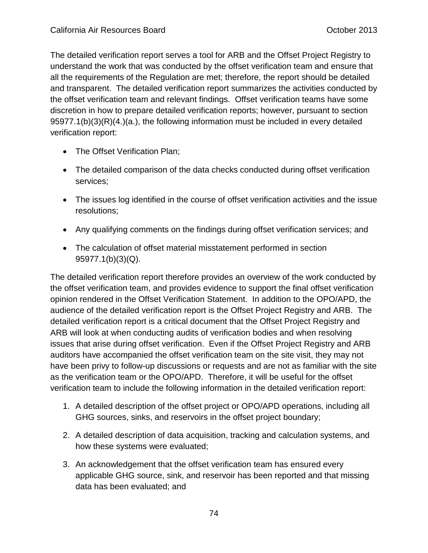The detailed verification report serves a tool for ARB and the Offset Project Registry to understand the work that was conducted by the offset verification team and ensure that all the requirements of the Regulation are met; therefore, the report should be detailed and transparent. The detailed verification report summarizes the activities conducted by the offset verification team and relevant findings. Offset verification teams have some discretion in how to prepare detailed verification reports; however, pursuant to section 95977.1(b)(3)(R)(4.)(a.), the following information must be included in every detailed verification report:

- The Offset Verification Plan;
- The detailed comparison of the data checks conducted during offset verification services;
- The issues log identified in the course of offset verification activities and the issue resolutions;
- Any qualifying comments on the findings during offset verification services; and
- The calculation of offset material misstatement performed in section 95977.1(b)(3)(Q).

The detailed verification report therefore provides an overview of the work conducted by the offset verification team, and provides evidence to support the final offset verification opinion rendered in the Offset Verification Statement. In addition to the OPO/APD, the audience of the detailed verification report is the Offset Project Registry and ARB. The detailed verification report is a critical document that the Offset Project Registry and ARB will look at when conducting audits of verification bodies and when resolving issues that arise during offset verification. Even if the Offset Project Registry and ARB auditors have accompanied the offset verification team on the site visit, they may not have been privy to follow-up discussions or requests and are not as familiar with the site as the verification team or the OPO/APD. Therefore, it will be useful for the offset verification team to include the following information in the detailed verification report:

- 1. A detailed description of the offset project or OPO/APD operations, including all GHG sources, sinks, and reservoirs in the offset project boundary;
- 2. A detailed description of data acquisition, tracking and calculation systems, and how these systems were evaluated;
- 3. An acknowledgement that the offset verification team has ensured every applicable GHG source, sink, and reservoir has been reported and that missing data has been evaluated; and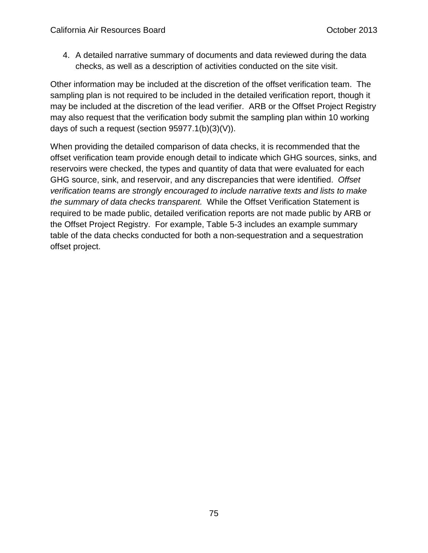4. A detailed narrative summary of documents and data reviewed during the data checks, as well as a description of activities conducted on the site visit.

Other information may be included at the discretion of the offset verification team. The sampling plan is not required to be included in the detailed verification report, though it may be included at the discretion of the lead verifier. ARB or the Offset Project Registry may also request that the verification body submit the sampling plan within 10 working days of such a request (section 95977.1(b)(3)(V)).

When providing the detailed comparison of data checks, it is recommended that the offset verification team provide enough detail to indicate which GHG sources, sinks, and reservoirs were checked, the types and quantity of data that were evaluated for each GHG source, sink, and reservoir, and any discrepancies that were identified. *Offset verification teams are strongly encouraged to include narrative texts and lists to make the summary of data checks transparent.* While the Offset Verification Statement is required to be made public, detailed verification reports are not made public by ARB or the Offset Project Registry. For example, Table 5-3 includes an example summary table of the data checks conducted for both a non-sequestration and a sequestration offset project.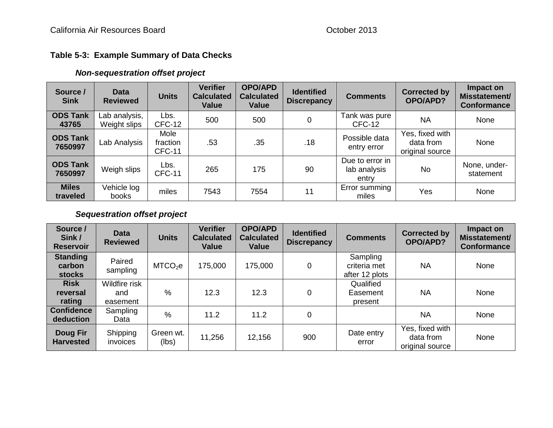# **Table 5-3: Example Summary of Data Checks**

# *Non-sequestration offset project*

| Source /<br><b>Sink</b>    | <b>Data</b><br><b>Reviewed</b> | <b>Units</b>                      | <b>Verifier</b><br><b>Calculated</b><br><b>Value</b> | <b>OPO/APD</b><br><b>Calculated</b><br>Value | <b>Identified</b><br><b>Discrepancy</b> | <b>Comments</b>                          | <b>Corrected by</b><br>OPO/APD?                 | Impact on<br>Misstatement/<br><b>Conformance</b> |
|----------------------------|--------------------------------|-----------------------------------|------------------------------------------------------|----------------------------------------------|-----------------------------------------|------------------------------------------|-------------------------------------------------|--------------------------------------------------|
| <b>ODS Tank</b><br>43765   | Lab analysis,<br>Weight slips  | Lbs.<br>CFC-12                    | 500                                                  | 500                                          | $\mathbf 0$                             | Tank was pure<br><b>CFC-12</b>           | <b>NA</b>                                       | None                                             |
| <b>ODS Tank</b><br>7650997 | Lab Analysis                   | Mole<br>fraction<br><b>CFC-11</b> | .53                                                  | .35                                          | .18                                     | Possible data<br>entry error             | Yes, fixed with<br>data from<br>original source | None                                             |
| <b>ODS Tank</b><br>7650997 | Weigh slips                    | Lbs.<br><b>CFC-11</b>             | 265                                                  | 175                                          | 90                                      | Due to error in<br>lab analysis<br>entry | <b>No</b>                                       | None, under-<br>statement                        |
| <b>Miles</b><br>traveled   | Vehicle log<br>books           | miles                             | 7543                                                 | 7554                                         | 11                                      | Error summing<br>miles                   | Yes                                             | None                                             |

# *Sequestration offset project*

| Source /<br>Sink/<br><b>Reservoir</b>      | <b>Data</b><br><b>Reviewed</b>   | <b>Units</b>        | <b>Verifier</b><br><b>Calculated</b><br><b>Value</b> | <b>OPO/APD</b><br><b>Calculated</b><br>Value | <b>Identified</b><br><b>Discrepancy</b> | <b>Comments</b>                            | <b>Corrected by</b><br>OPO/APD?                 | Impact on<br><b>Misstatement/</b><br><b>Conformance</b> |
|--------------------------------------------|----------------------------------|---------------------|------------------------------------------------------|----------------------------------------------|-----------------------------------------|--------------------------------------------|-------------------------------------------------|---------------------------------------------------------|
| <b>Standing</b><br>carbon<br><b>stocks</b> | Paired<br>sampling               | MTCO <sub>2</sub> e | 175,000                                              | 175,000                                      | $\mathbf 0$                             | Sampling<br>criteria met<br>after 12 plots | <b>NA</b>                                       | None                                                    |
| <b>Risk</b><br>reversal<br>rating          | Wildfire risk<br>and<br>easement | $\%$                | 12.3                                                 | 12.3                                         | 0                                       | Qualified<br>Easement<br>present           | <b>NA</b>                                       | None                                                    |
| <b>Confidence</b><br>deduction             | Sampling<br>Data                 | $\frac{0}{0}$       | 11.2                                                 | 11.2                                         | $\mathbf 0$                             |                                            | <b>NA</b>                                       | None                                                    |
| Doug Fir<br><b>Harvested</b>               | Shipping<br>invoices             | Green wt.<br>(lbs)  | 11,256                                               | 12,156                                       | 900                                     | Date entry<br>error                        | Yes, fixed with<br>data from<br>original source | None                                                    |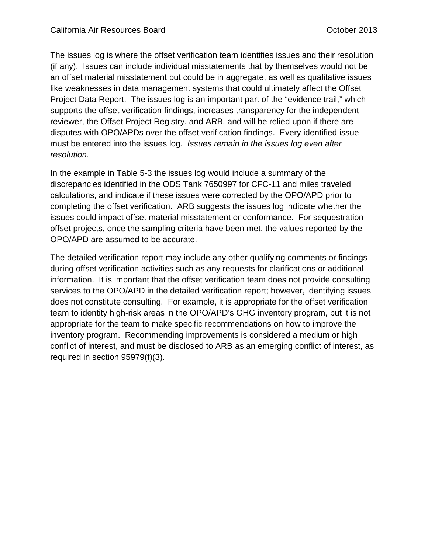The issues log is where the offset verification team identifies issues and their resolution (if any). Issues can include individual misstatements that by themselves would not be an offset material misstatement but could be in aggregate, as well as qualitative issues like weaknesses in data management systems that could ultimately affect the Offset Project Data Report. The issues log is an important part of the "evidence trail," which supports the offset verification findings, increases transparency for the independent reviewer, the Offset Project Registry, and ARB, and will be relied upon if there are disputes with OPO/APDs over the offset verification findings. Every identified issue must be entered into the issues log. *Issues remain in the issues log even after resolution.*

In the example in Table 5-3 the issues log would include a summary of the discrepancies identified in the ODS Tank 7650997 for CFC-11 and miles traveled calculations, and indicate if these issues were corrected by the OPO/APD prior to completing the offset verification. ARB suggests the issues log indicate whether the issues could impact offset material misstatement or conformance. For sequestration offset projects, once the sampling criteria have been met, the values reported by the OPO/APD are assumed to be accurate.

The detailed verification report may include any other qualifying comments or findings during offset verification activities such as any requests for clarifications or additional information. It is important that the offset verification team does not provide consulting services to the OPO/APD in the detailed verification report; however, identifying issues does not constitute consulting. For example, it is appropriate for the offset verification team to identity high-risk areas in the OPO/APD's GHG inventory program, but it is not appropriate for the team to make specific recommendations on how to improve the inventory program. Recommending improvements is considered a medium or high conflict of interest, and must be disclosed to ARB as an emerging conflict of interest, as required in section 95979(f)(3).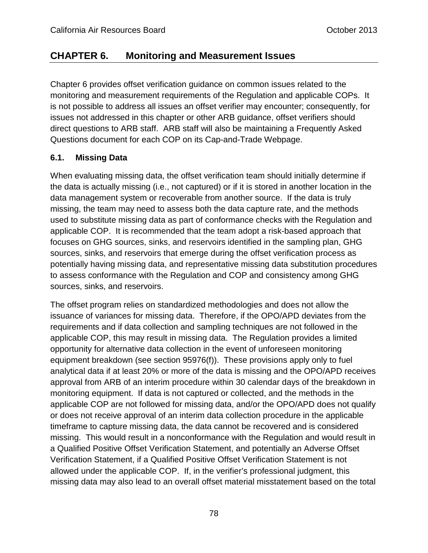## **CHAPTER 6. Monitoring and Measurement Issues**

Chapter 6 provides offset verification guidance on common issues related to the monitoring and measurement requirements of the Regulation and applicable COPs. It is not possible to address all issues an offset verifier may encounter; consequently, for issues not addressed in this chapter or other ARB guidance, offset verifiers should direct questions to ARB staff. ARB staff will also be maintaining a Frequently Asked Questions document for each COP on its Cap-and-Trade Webpage.

#### **6.1. Missing Data**

When evaluating missing data, the offset verification team should initially determine if the data is actually missing (i.e., not captured) or if it is stored in another location in the data management system or recoverable from another source. If the data is truly missing, the team may need to assess both the data capture rate, and the methods used to substitute missing data as part of conformance checks with the Regulation and applicable COP. It is recommended that the team adopt a risk-based approach that focuses on GHG sources, sinks, and reservoirs identified in the sampling plan, GHG sources, sinks, and reservoirs that emerge during the offset verification process as potentially having missing data, and representative missing data substitution procedures to assess conformance with the Regulation and COP and consistency among GHG sources, sinks, and reservoirs.

The offset program relies on standardized methodologies and does not allow the issuance of variances for missing data. Therefore, if the OPO/APD deviates from the requirements and if data collection and sampling techniques are not followed in the applicable COP, this may result in missing data. The Regulation provides a limited opportunity for alternative data collection in the event of unforeseen monitoring equipment breakdown (see section 95976(f)). These provisions apply only to fuel analytical data if at least 20% or more of the data is missing and the OPO/APD receives approval from ARB of an interim procedure within 30 calendar days of the breakdown in monitoring equipment. If data is not captured or collected, and the methods in the applicable COP are not followed for missing data, and/or the OPO/APD does not qualify or does not receive approval of an interim data collection procedure in the applicable timeframe to capture missing data, the data cannot be recovered and is considered missing. This would result in a nonconformance with the Regulation and would result in a Qualified Positive Offset Verification Statement, and potentially an Adverse Offset Verification Statement, if a Qualified Positive Offset Verification Statement is not allowed under the applicable COP. If, in the verifier's professional judgment, this missing data may also lead to an overall offset material misstatement based on the total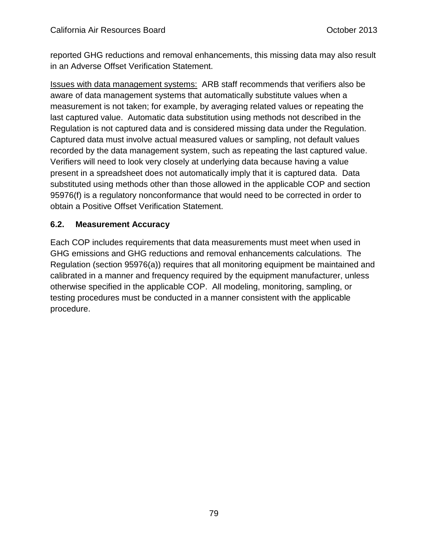reported GHG reductions and removal enhancements, this missing data may also result in an Adverse Offset Verification Statement.

Issues with data management systems: ARB staff recommends that verifiers also be aware of data management systems that automatically substitute values when a measurement is not taken; for example, by averaging related values or repeating the last captured value. Automatic data substitution using methods not described in the Regulation is not captured data and is considered missing data under the Regulation. Captured data must involve actual measured values or sampling, not default values recorded by the data management system, such as repeating the last captured value. Verifiers will need to look very closely at underlying data because having a value present in a spreadsheet does not automatically imply that it is captured data. Data substituted using methods other than those allowed in the applicable COP and section 95976(f) is a regulatory nonconformance that would need to be corrected in order to obtain a Positive Offset Verification Statement.

#### **6.2. Measurement Accuracy**

Each COP includes requirements that data measurements must meet when used in GHG emissions and GHG reductions and removal enhancements calculations. The Regulation (section 95976(a)) requires that all monitoring equipment be maintained and calibrated in a manner and frequency required by the equipment manufacturer, unless otherwise specified in the applicable COP. All modeling, monitoring, sampling, or testing procedures must be conducted in a manner consistent with the applicable procedure.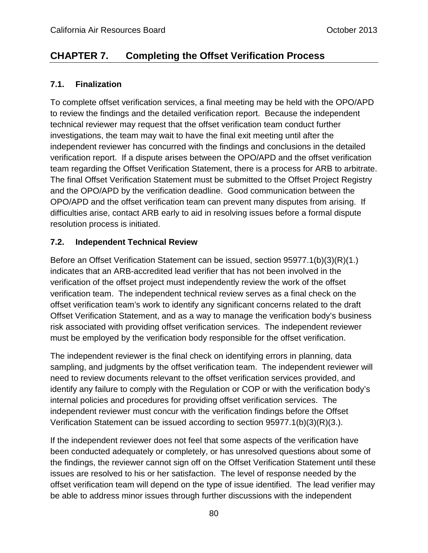# **CHAPTER 7. Completing the Offset Verification Process**

#### **7.1. Finalization**

To complete offset verification services, a final meeting may be held with the OPO/APD to review the findings and the detailed verification report. Because the independent technical reviewer may request that the offset verification team conduct further investigations, the team may wait to have the final exit meeting until after the independent reviewer has concurred with the findings and conclusions in the detailed verification report. If a dispute arises between the OPO/APD and the offset verification team regarding the Offset Verification Statement, there is a process for ARB to arbitrate. The final Offset Verification Statement must be submitted to the Offset Project Registry and the OPO/APD by the verification deadline. Good communication between the OPO/APD and the offset verification team can prevent many disputes from arising. If difficulties arise, contact ARB early to aid in resolving issues before a formal dispute resolution process is initiated.

#### **7.2. Independent Technical Review**

Before an Offset Verification Statement can be issued, section 95977.1(b)(3)(R)(1.) indicates that an ARB-accredited lead verifier that has not been involved in the verification of the offset project must independently review the work of the offset verification team. The independent technical review serves as a final check on the offset verification team's work to identify any significant concerns related to the draft Offset Verification Statement, and as a way to manage the verification body's business risk associated with providing offset verification services. The independent reviewer must be employed by the verification body responsible for the offset verification.

The independent reviewer is the final check on identifying errors in planning, data sampling, and judgments by the offset verification team. The independent reviewer will need to review documents relevant to the offset verification services provided, and identify any failure to comply with the Regulation or COP or with the verification body's internal policies and procedures for providing offset verification services. The independent reviewer must concur with the verification findings before the Offset Verification Statement can be issued according to section 95977.1(b)(3)(R)(3.).

If the independent reviewer does not feel that some aspects of the verification have been conducted adequately or completely, or has unresolved questions about some of the findings, the reviewer cannot sign off on the Offset Verification Statement until these issues are resolved to his or her satisfaction. The level of response needed by the offset verification team will depend on the type of issue identified. The lead verifier may be able to address minor issues through further discussions with the independent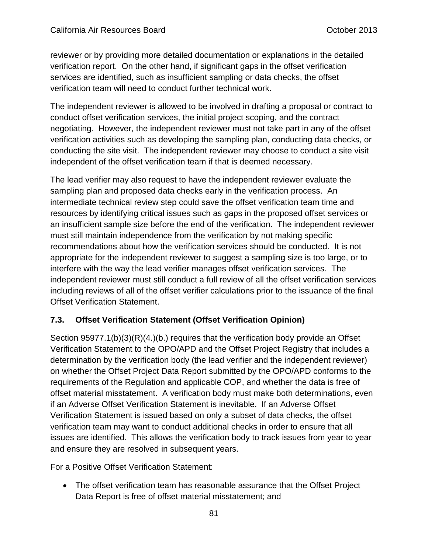reviewer or by providing more detailed documentation or explanations in the detailed verification report. On the other hand, if significant gaps in the offset verification services are identified, such as insufficient sampling or data checks, the offset verification team will need to conduct further technical work.

The independent reviewer is allowed to be involved in drafting a proposal or contract to conduct offset verification services, the initial project scoping, and the contract negotiating. However, the independent reviewer must not take part in any of the offset verification activities such as developing the sampling plan, conducting data checks, or conducting the site visit. The independent reviewer may choose to conduct a site visit independent of the offset verification team if that is deemed necessary.

The lead verifier may also request to have the independent reviewer evaluate the sampling plan and proposed data checks early in the verification process. An intermediate technical review step could save the offset verification team time and resources by identifying critical issues such as gaps in the proposed offset services or an insufficient sample size before the end of the verification. The independent reviewer must still maintain independence from the verification by not making specific recommendations about how the verification services should be conducted. It is not appropriate for the independent reviewer to suggest a sampling size is too large, or to interfere with the way the lead verifier manages offset verification services. The independent reviewer must still conduct a full review of all the offset verification services including reviews of all of the offset verifier calculations prior to the issuance of the final Offset Verification Statement.

## **7.3. Offset Verification Statement (Offset Verification Opinion)**

Section 95977.1(b)(3)(R)(4.)(b.) requires that the verification body provide an Offset Verification Statement to the OPO/APD and the Offset Project Registry that includes a determination by the verification body (the lead verifier and the independent reviewer) on whether the Offset Project Data Report submitted by the OPO/APD conforms to the requirements of the Regulation and applicable COP, and whether the data is free of offset material misstatement. A verification body must make both determinations, even if an Adverse Offset Verification Statement is inevitable. If an Adverse Offset Verification Statement is issued based on only a subset of data checks, the offset verification team may want to conduct additional checks in order to ensure that all issues are identified. This allows the verification body to track issues from year to year and ensure they are resolved in subsequent years.

For a Positive Offset Verification Statement:

• The offset verification team has reasonable assurance that the Offset Project Data Report is free of offset material misstatement; and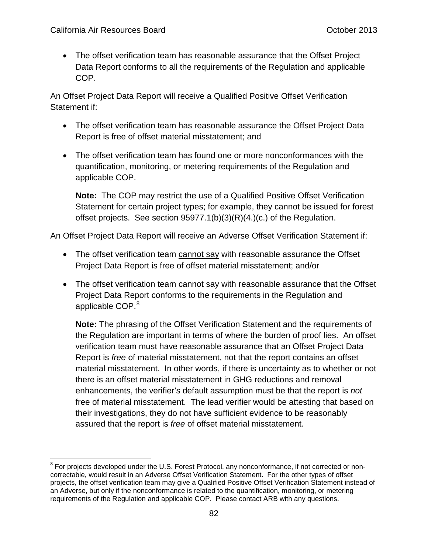• The offset verification team has reasonable assurance that the Offset Project Data Report conforms to all the requirements of the Regulation and applicable COP.

An Offset Project Data Report will receive a Qualified Positive Offset Verification Statement if:

- The offset verification team has reasonable assurance the Offset Project Data Report is free of offset material misstatement; and
- The offset verification team has found one or more nonconformances with the quantification, monitoring, or metering requirements of the Regulation and applicable COP.

**Note:** The COP may restrict the use of a Qualified Positive Offset Verification Statement for certain project types; for example, they cannot be issued for forest offset projects. See section  $95977.1(b)(3)(R)(4.(c))$  of the Regulation.

An Offset Project Data Report will receive an Adverse Offset Verification Statement if:

- The offset verification team cannot say with reasonable assurance the Offset Project Data Report is free of offset material misstatement; and/or
- The offset verification team cannot say with reasonable assurance that the Offset Project Data Report conforms to the requirements in the Regulation and applicable COP. $^8$  $^8$

**Note:** The phrasing of the Offset Verification Statement and the requirements of the Regulation are important in terms of where the burden of proof lies. An offset verification team must have reasonable assurance that an Offset Project Data Report is *free* of material misstatement, not that the report contains an offset material misstatement. In other words, if there is uncertainty as to whether or not there is an offset material misstatement in GHG reductions and removal enhancements, the verifier's default assumption must be that the report is *not*  free of material misstatement. The lead verifier would be attesting that based on their investigations, they do not have sufficient evidence to be reasonably assured that the report is *free* of offset material misstatement.

<sup>&</sup>lt;sup>8</sup> For projects developed under the U.S. Forest Protocol, any nonconformance, if not corrected or noncorrectable, would result in an Adverse Offset Verification Statement. For the other types of offset projects, the offset verification team may give a Qualified Positive Offset Verification Statement instead of an Adverse, but only if the nonconformance is related to the quantification, monitoring, or metering requirements of the Regulation and applicable COP. Please contact ARB with any questions.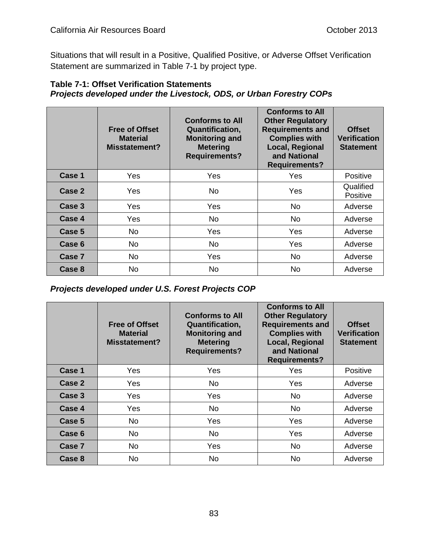Situations that will result in a Positive, Qualified Positive, or Adverse Offset Verification Statement are summarized in Table 7-1 by project type.

#### **Table 7-1: Offset Verification Statements** *Projects developed under the Livestock, ODS, or Urban Forestry COPs*

|        | <b>Free of Offset</b><br><b>Material</b><br>Misstatement? | <b>Conforms to All</b><br><b>Quantification,</b><br><b>Monitoring and</b><br><b>Metering</b><br><b>Requirements?</b> | <b>Conforms to All</b><br><b>Other Regulatory</b><br><b>Requirements and</b><br><b>Complies with</b><br><b>Local, Regional</b><br>and National<br><b>Requirements?</b> | <b>Offset</b><br><b>Verification</b><br><b>Statement</b> |
|--------|-----------------------------------------------------------|----------------------------------------------------------------------------------------------------------------------|------------------------------------------------------------------------------------------------------------------------------------------------------------------------|----------------------------------------------------------|
| Case 1 | Yes                                                       | Yes                                                                                                                  | <b>Yes</b>                                                                                                                                                             | <b>Positive</b>                                          |
| Case 2 | Yes                                                       | No.                                                                                                                  | <b>Yes</b>                                                                                                                                                             | Qualified<br>Positive                                    |
| Case 3 | Yes                                                       | Yes                                                                                                                  | <b>No</b>                                                                                                                                                              | Adverse                                                  |
| Case 4 | Yes                                                       | <b>No</b>                                                                                                            | <b>No</b>                                                                                                                                                              | Adverse                                                  |
| Case 5 | No.                                                       | Yes                                                                                                                  | Yes                                                                                                                                                                    | Adverse                                                  |
| Case 6 | No.                                                       | <b>No</b>                                                                                                            | Yes                                                                                                                                                                    | Adverse                                                  |
| Case 7 | No                                                        | Yes                                                                                                                  | <b>No</b>                                                                                                                                                              | Adverse                                                  |
| Case 8 | No.                                                       | No                                                                                                                   | No.                                                                                                                                                                    | Adverse                                                  |

*Projects developed under U.S. Forest Projects COP*

|        | <b>Free of Offset</b><br><b>Material</b><br><b>Misstatement?</b> | <b>Conforms to All</b><br>Quantification,<br><b>Monitoring and</b><br><b>Metering</b><br><b>Requirements?</b> | <b>Conforms to All</b><br><b>Other Regulatory</b><br><b>Requirements and</b><br><b>Complies with</b><br>Local, Regional<br>and National<br><b>Requirements?</b> | <b>Offset</b><br><b>Verification</b><br><b>Statement</b> |
|--------|------------------------------------------------------------------|---------------------------------------------------------------------------------------------------------------|-----------------------------------------------------------------------------------------------------------------------------------------------------------------|----------------------------------------------------------|
| Case 1 | Yes                                                              | <b>Yes</b>                                                                                                    | <b>Yes</b>                                                                                                                                                      | <b>Positive</b>                                          |
| Case 2 | Yes                                                              | No                                                                                                            | Yes                                                                                                                                                             | Adverse                                                  |
| Case 3 | Yes                                                              | <b>Yes</b>                                                                                                    | <b>No</b>                                                                                                                                                       | Adverse                                                  |
| Case 4 | Yes                                                              | <b>No</b>                                                                                                     | <b>No</b>                                                                                                                                                       | Adverse                                                  |
| Case 5 | <b>No</b>                                                        | <b>Yes</b>                                                                                                    | Yes                                                                                                                                                             | Adverse                                                  |
| Case 6 | <b>No</b>                                                        | <b>No</b>                                                                                                     | <b>Yes</b>                                                                                                                                                      | Adverse                                                  |
| Case 7 | <b>No</b>                                                        | <b>Yes</b>                                                                                                    | <b>No</b>                                                                                                                                                       | Adverse                                                  |
| Case 8 | <b>No</b>                                                        | <b>No</b>                                                                                                     | <b>No</b>                                                                                                                                                       | Adverse                                                  |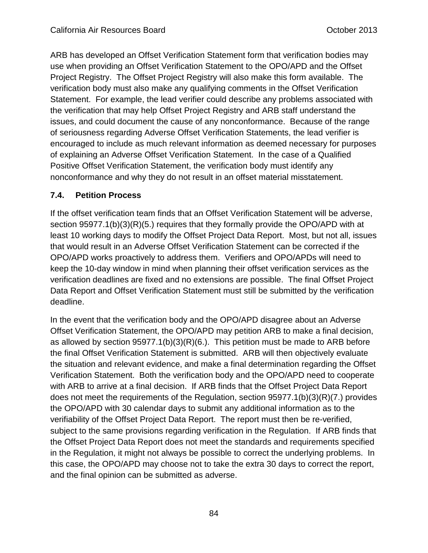ARB has developed an Offset Verification Statement form that verification bodies may use when providing an Offset Verification Statement to the OPO/APD and the Offset Project Registry. The Offset Project Registry will also make this form available. The verification body must also make any qualifying comments in the Offset Verification Statement. For example, the lead verifier could describe any problems associated with the verification that may help Offset Project Registry and ARB staff understand the issues, and could document the cause of any nonconformance. Because of the range of seriousness regarding Adverse Offset Verification Statements, the lead verifier is encouraged to include as much relevant information as deemed necessary for purposes of explaining an Adverse Offset Verification Statement. In the case of a Qualified Positive Offset Verification Statement, the verification body must identify any nonconformance and why they do not result in an offset material misstatement.

#### **7.4. Petition Process**

If the offset verification team finds that an Offset Verification Statement will be adverse, section 95977.1(b)(3)(R)(5.) requires that they formally provide the OPO/APD with at least 10 working days to modify the Offset Project Data Report. Most, but not all, issues that would result in an Adverse Offset Verification Statement can be corrected if the OPO/APD works proactively to address them. Verifiers and OPO/APDs will need to keep the 10-day window in mind when planning their offset verification services as the verification deadlines are fixed and no extensions are possible. The final Offset Project Data Report and Offset Verification Statement must still be submitted by the verification deadline.

In the event that the verification body and the OPO/APD disagree about an Adverse Offset Verification Statement, the OPO/APD may petition ARB to make a final decision, as allowed by section 95977.1(b)(3)(R)(6.). This petition must be made to ARB before the final Offset Verification Statement is submitted. ARB will then objectively evaluate the situation and relevant evidence, and make a final determination regarding the Offset Verification Statement. Both the verification body and the OPO/APD need to cooperate with ARB to arrive at a final decision. If ARB finds that the Offset Project Data Report does not meet the requirements of the Regulation, section 95977.1(b)(3)(R)(7.) provides the OPO/APD with 30 calendar days to submit any additional information as to the verifiability of the Offset Project Data Report. The report must then be re-verified, subject to the same provisions regarding verification in the Regulation. If ARB finds that the Offset Project Data Report does not meet the standards and requirements specified in the Regulation, it might not always be possible to correct the underlying problems. In this case, the OPO/APD may choose not to take the extra 30 days to correct the report, and the final opinion can be submitted as adverse.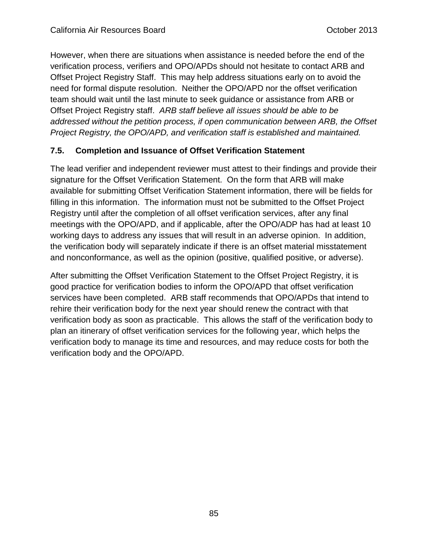However, when there are situations when assistance is needed before the end of the verification process, verifiers and OPO/APDs should not hesitate to contact ARB and Offset Project Registry Staff. This may help address situations early on to avoid the need for formal dispute resolution. Neither the OPO/APD nor the offset verification team should wait until the last minute to seek guidance or assistance from ARB or Offset Project Registry staff. *ARB staff believe all issues should be able to be addressed without the petition process, if open communication between ARB, the Offset Project Registry, the OPO/APD, and verification staff is established and maintained.*

#### **7.5. Completion and Issuance of Offset Verification Statement**

The lead verifier and independent reviewer must attest to their findings and provide their signature for the Offset Verification Statement. On the form that ARB will make available for submitting Offset Verification Statement information, there will be fields for filling in this information. The information must not be submitted to the Offset Project Registry until after the completion of all offset verification services, after any final meetings with the OPO/APD, and if applicable, after the OPO/ADP has had at least 10 working days to address any issues that will result in an adverse opinion. In addition, the verification body will separately indicate if there is an offset material misstatement and nonconformance, as well as the opinion (positive, qualified positive, or adverse).

After submitting the Offset Verification Statement to the Offset Project Registry, it is good practice for verification bodies to inform the OPO/APD that offset verification services have been completed. ARB staff recommends that OPO/APDs that intend to rehire their verification body for the next year should renew the contract with that verification body as soon as practicable. This allows the staff of the verification body to plan an itinerary of offset verification services for the following year, which helps the verification body to manage its time and resources, and may reduce costs for both the verification body and the OPO/APD.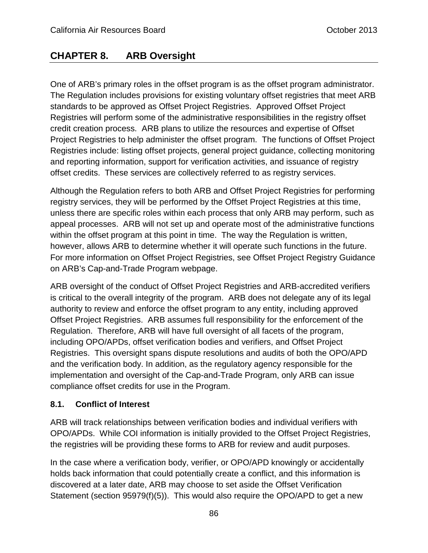# **CHAPTER 8. ARB Oversight**

One of ARB's primary roles in the offset program is as the offset program administrator. The Regulation includes provisions for existing voluntary offset registries that meet ARB standards to be approved as Offset Project Registries. Approved Offset Project Registries will perform some of the administrative responsibilities in the registry offset credit creation process. ARB plans to utilize the resources and expertise of Offset Project Registries to help administer the offset program. The functions of Offset Project Registries include: listing offset projects, general project guidance, collecting monitoring and reporting information, support for verification activities, and issuance of registry offset credits. These services are collectively referred to as registry services.

Although the Regulation refers to both ARB and Offset Project Registries for performing registry services, they will be performed by the Offset Project Registries at this time, unless there are specific roles within each process that only ARB may perform, such as appeal processes. ARB will not set up and operate most of the administrative functions within the offset program at this point in time. The way the Regulation is written, however, allows ARB to determine whether it will operate such functions in the future. For more information on Offset Project Registries, see Offset Project Registry Guidance on ARB's Cap-and-Trade Program webpage.

ARB oversight of the conduct of Offset Project Registries and ARB-accredited verifiers is critical to the overall integrity of the program. ARB does not delegate any of its legal authority to review and enforce the offset program to any entity, including approved Offset Project Registries. ARB assumes full responsibility for the enforcement of the Regulation. Therefore, ARB will have full oversight of all facets of the program, including OPO/APDs, offset verification bodies and verifiers, and Offset Project Registries. This oversight spans dispute resolutions and audits of both the OPO/APD and the verification body. In addition, as the regulatory agency responsible for the implementation and oversight of the Cap-and-Trade Program, only ARB can issue compliance offset credits for use in the Program.

## **8.1. Conflict of Interest**

ARB will track relationships between verification bodies and individual verifiers with OPO/APDs. While COI information is initially provided to the Offset Project Registries, the registries will be providing these forms to ARB for review and audit purposes.

In the case where a verification body, verifier, or OPO/APD knowingly or accidentally holds back information that could potentially create a conflict, and this information is discovered at a later date, ARB may choose to set aside the Offset Verification Statement (section 95979(f)(5)). This would also require the OPO/APD to get a new